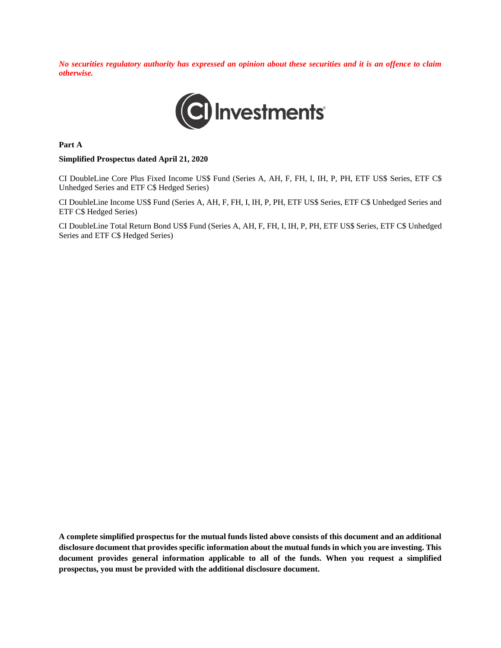*No securities regulatory authority has expressed an opinion about these securities and it is an offence to claim otherwise.*



**Part A**

#### **Simplified Prospectus dated April 21, 2020**

CI DoubleLine Core Plus Fixed Income US\$ Fund (Series A, AH, F, FH, I, IH, P, PH, ETF US\$ Series, ETF C\$ Unhedged Series and ETF C\$ Hedged Series)

CI DoubleLine Income US\$ Fund (Series A, AH, F, FH, I, IH, P, PH, ETF US\$ Series, ETF C\$ Unhedged Series and ETF C\$ Hedged Series)

CI DoubleLine Total Return Bond US\$ Fund (Series A, AH, F, FH, I, IH, P, PH, ETF US\$ Series, ETF C\$ Unhedged Series and ETF C\$ Hedged Series)

**A complete simplified prospectus for the mutual funds listed above consists of this document and an additional disclosure document that provides specific information about the mutual funds in which you are investing. This document provides general information applicable to all of the funds. When you request a simplified prospectus, you must be provided with the additional disclosure document.**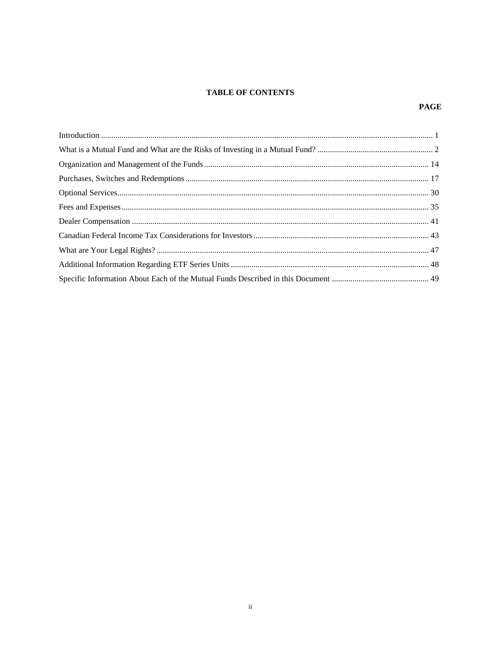## **TABLE OF CONTENTS**

### **PAGE**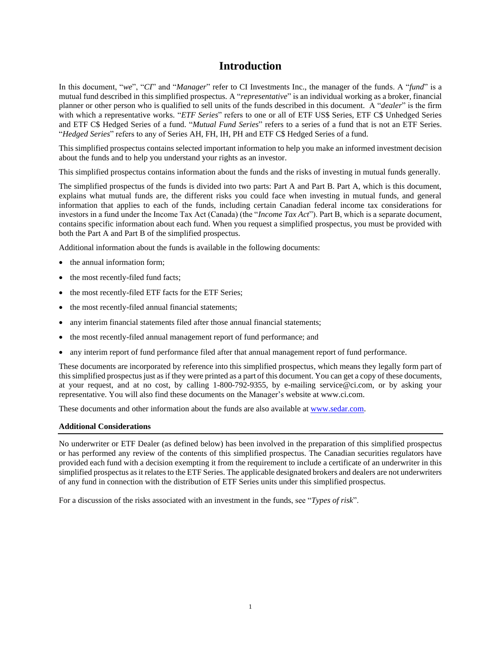## **Introduction**

<span id="page-2-0"></span>In this document, "*we*", "*CI*" and "*Manager*" refer to CI Investments Inc., the manager of the funds. A "*fund*" is a mutual fund described in this simplified prospectus. A "*representative*" is an individual working as a broker, financial planner or other person who is qualified to sell units of the funds described in this document. A "*dealer*" is the firm with which a representative works. "*ETF Series*" refers to one or all of ETF US\$ Series, ETF C\$ Unhedged Series and ETF C\$ Hedged Series of a fund. "*Mutual Fund Series*" refers to a series of a fund that is not an ETF Series. "*Hedged Series*" refers to any of Series AH, FH, IH, PH and ETF C\$ Hedged Series of a fund.

This simplified prospectus contains selected important information to help you make an informed investment decision about the funds and to help you understand your rights as an investor.

This simplified prospectus contains information about the funds and the risks of investing in mutual funds generally.

The simplified prospectus of the funds is divided into two parts: Part A and Part B. Part A, which is this document, explains what mutual funds are, the different risks you could face when investing in mutual funds, and general information that applies to each of the funds, including certain Canadian federal income tax considerations for investors in a fund under the Income Tax Act (Canada) (the "*Income Tax Act*"). Part B, which is a separate document, contains specific information about each fund. When you request a simplified prospectus, you must be provided with both the Part A and Part B of the simplified prospectus.

Additional information about the funds is available in the following documents:

- the annual information form:
- the most recently-filed fund facts;
- the most recently-filed ETF facts for the ETF Series;
- the most recently-filed annual financial statements;
- any interim financial statements filed after those annual financial statements;
- the most recently-filed annual management report of fund performance; and
- any interim report of fund performance filed after that annual management report of fund performance.

These documents are incorporated by reference into this simplified prospectus, which means they legally form part of this simplified prospectus just as if they were printed as a part of this document. You can get a copy of these documents, at your request, and at no cost, by calling 1-800-792-9355, by e-mailing service@ci.com, or by asking your representative. You will also find these documents on the Manager's website at www.ci.com.

These documents and other information about the funds are also available a[t www.sedar.com.](http://www.sedar.com/)

#### **Additional Considerations**

No underwriter or ETF Dealer (as defined below) has been involved in the preparation of this simplified prospectus or has performed any review of the contents of this simplified prospectus. The Canadian securities regulators have provided each fund with a decision exempting it from the requirement to include a certificate of an underwriter in this simplified prospectus as it relates to the ETF Series. The applicable designated brokers and dealers are not underwriters of any fund in connection with the distribution of ETF Series units under this simplified prospectus.

For a discussion of the risks associated with an investment in the funds, see "*Types of risk*".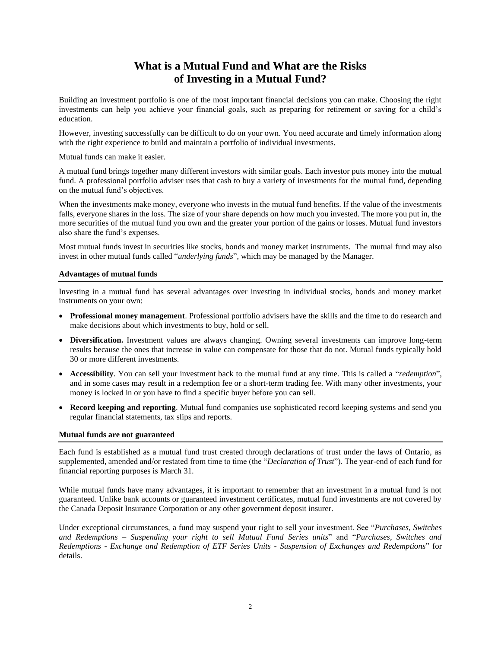# **What is a Mutual Fund and What are the Risks of Investing in a Mutual Fund?**

<span id="page-3-0"></span>Building an investment portfolio is one of the most important financial decisions you can make. Choosing the right investments can help you achieve your financial goals, such as preparing for retirement or saving for a child's education.

However, investing successfully can be difficult to do on your own. You need accurate and timely information along with the right experience to build and maintain a portfolio of individual investments.

Mutual funds can make it easier.

A mutual fund brings together many different investors with similar goals. Each investor puts money into the mutual fund. A professional portfolio adviser uses that cash to buy a variety of investments for the mutual fund, depending on the mutual fund's objectives.

When the investments make money, everyone who invests in the mutual fund benefits. If the value of the investments falls, everyone shares in the loss. The size of your share depends on how much you invested. The more you put in, the more securities of the mutual fund you own and the greater your portion of the gains or losses. Mutual fund investors also share the fund's expenses.

Most mutual funds invest in securities like stocks, bonds and money market instruments. The mutual fund may also invest in other mutual funds called "*underlying funds*", which may be managed by the Manager.

### **Advantages of mutual funds**

Investing in a mutual fund has several advantages over investing in individual stocks, bonds and money market instruments on your own:

- **Professional money management**. Professional portfolio advisers have the skills and the time to do research and make decisions about which investments to buy, hold or sell.
- **Diversification.** Investment values are always changing. Owning several investments can improve long-term results because the ones that increase in value can compensate for those that do not. Mutual funds typically hold 30 or more different investments.
- **Accessibility**. You can sell your investment back to the mutual fund at any time. This is called a "*redemption*", and in some cases may result in a redemption fee or a short-term trading fee. With many other investments, your money is locked in or you have to find a specific buyer before you can sell.
- **Record keeping and reporting**. Mutual fund companies use sophisticated record keeping systems and send you regular financial statements, tax slips and reports.

#### **Mutual funds are not guaranteed**

Each fund is established as a mutual fund trust created through declarations of trust under the laws of Ontario, as supplemented, amended and/or restated from time to time (the "*Declaration of Trust*"). The year-end of each fund for financial reporting purposes is March 31.

While mutual funds have many advantages, it is important to remember that an investment in a mutual fund is not guaranteed. Unlike bank accounts or guaranteed investment certificates, mutual fund investments are not covered by the Canada Deposit Insurance Corporation or any other government deposit insurer.

Under exceptional circumstances, a fund may suspend your right to sell your investment. See "*Purchases, Switches and Redemptions – Suspending your right to sell Mutual Fund Series units*" and "*Purchases, Switches and Redemptions - Exchange and Redemption of ETF Series Units - Suspension of Exchanges and Redemptions*" for details.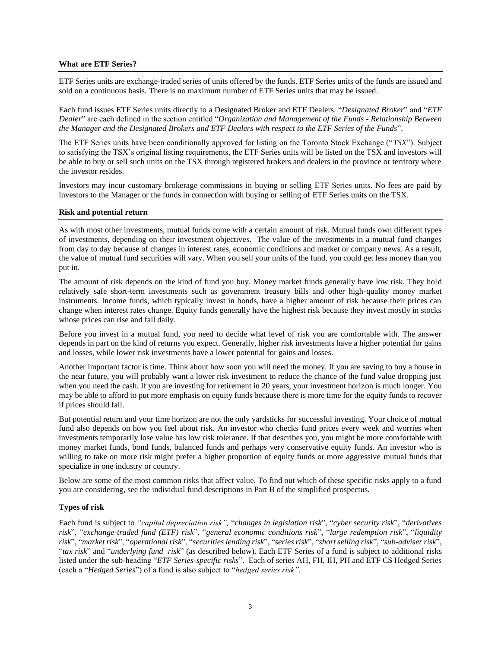#### **What are ETF Series?**

ETF Series units are exchange-traded series of units offered by the funds. ETF Series units of the funds are issued and sold on a continuous basis. There is no maximum number of ETF Series units that may be issued.

Each fund issues ETF Series units directly to a Designated Broker and ETF Dealers. "*Designated Broker*" and "*ETF Dealer*" are each defined in the section entitled "*Organization and Management of the Funds - Relationship Between the Manager and the Designated Brokers and ETF Dealers with respect to the ETF Series of the Funds*".

The ETF Series units have been conditionally approved for listing on the Toronto Stock Exchange ("*TSX*"). Subject to satisfying the TSX's original listing requirements, the ETF Series units will be listed on the TSX and investors will be able to buy or sell such units on the TSX through registered brokers and dealers in the province or territory where the investor resides.

Investors may incur customary brokerage commissions in buying or selling ETF Series units. No fees are paid by investors to the Manager or the funds in connection with buying or selling of ETF Series units on the TSX.

### **Risk and potential return**

As with most other investments, mutual funds come with a certain amount of risk. Mutual funds own different types of investments, depending on their investment objectives. The value of the investments in a mutual fund changes from day to day because of changes in interest rates, economic conditions and market or company news. As a result, the value of mutual fund securities will vary. When you sell your units of the fund, you could get less money than you put in.

The amount of risk depends on the kind of fund you buy. Money market funds generally have low risk. They hold relatively safe short-term investments such as government treasury bills and other high-quality money market instruments. Income funds, which typically invest in bonds, have a higher amount of risk because their prices can change when interest rates change. Equity funds generally have the highest risk because they invest mostly in stocks whose prices can rise and fall daily.

Before you invest in a mutual fund, you need to decide what level of risk you are comfortable with. The answer depends in part on the kind of returns you expect. Generally, higher risk investments have a higher potential for gains and losses, while lower risk investments have a lower potential for gains and losses.

Another important factor is time. Think about how soon you will need the money. If you are saving to buy a house in the near future, you will probably want a lower risk investment to reduce the chance of the fund value dropping just when you need the cash. If you are investing for retirement in 20 years, your investment horizon is much longer. You may be able to afford to put more emphasis on equity funds because there is more time for the equity funds to recover if prices should fall.

But potential return and your time horizon are not the only yardsticks for successful investing. Your choice of mutual fund also depends on how you feel about risk. An investor who checks fund prices every week and worries when investments temporarily lose value has low risk tolerance. If that describes you, you might be more comfortable with money market funds, bond funds, balanced funds and perhaps very conservative equity funds. An investor who is willing to take on more risk might prefer a higher proportion of equity funds or more aggressive mutual funds that specialize in one industry or country.

Below are some of the most common risks that affect value. To find out which of these specific risks apply to a fund you are considering, see the individual fund descriptions in Part B of the simplified prospectus.

## **Types of risk**

Each fund is subject to *"capital depreciation risk",* "*changes in legislation risk*", "*cyber security risk*", "*derivatives risk*", "*exchange-traded fund (ETF) risk*", "*general economic conditions risk*", "*large redemption risk*", "*liquidity risk*", "*market risk*", "*operational risk*", "*securities lending risk*", "*series risk*", "*short selling risk*", "*sub-adviser risk*", "*tax risk*" and "*underlying fund risk*" (as described below). Each ETF Series of a fund is subject to additional risks listed under the sub-heading "*ETF Series-specific risks*". Each of series AH, FH, IH, PH and ETF C\$ Hedged Series (each a "*Hedged Series*") of a fund is also subject to "*hedged series risk".*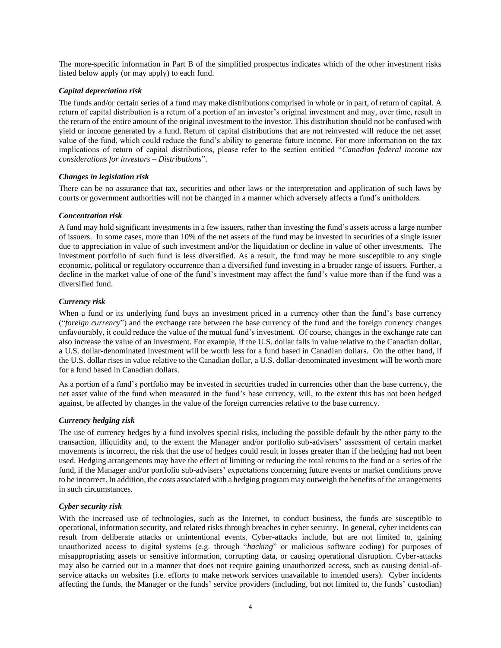The more-specific information in Part B of the simplified prospectus indicates which of the other investment risks listed below apply (or may apply) to each fund.

## *Capital depreciation risk*

The funds and/or certain series of a fund may make distributions comprised in whole or in part, of return of capital. A return of capital distribution is a return of a portion of an investor's original investment and may, over time, result in the return of the entire amount of the original investment to the investor. This distribution should not be confused with yield or income generated by a fund. Return of capital distributions that are not reinvested will reduce the net asset value of the fund, which could reduce the fund's ability to generate future income. For more information on the tax implications of return of capital distributions, please refer to the section entitled "*Canadian federal income tax considerations for investors – Distributions*".

## *Changes in legislation risk*

There can be no assurance that tax, securities and other laws or the interpretation and application of such laws by courts or government authorities will not be changed in a manner which adversely affects a fund's unitholders.

## *Concentration risk*

A fund may hold significant investments in a few issuers, rather than investing the fund's assets across a large number of issuers. In some cases, more than 10% of the net assets of the fund may be invested in securities of a single issuer due to appreciation in value of such investment and/or the liquidation or decline in value of other investments. The investment portfolio of such fund is less diversified. As a result, the fund may be more susceptible to any single economic, political or regulatory occurrence than a diversified fund investing in a broader range of issuers. Further, a decline in the market value of one of the fund's investment may affect the fund's value more than if the fund was a diversified fund.

## *Currency risk*

When a fund or its underlying fund buys an investment priced in a currency other than the fund's base currency ("*foreign currency*") and the exchange rate between the base currency of the fund and the foreign currency changes unfavourably, it could reduce the value of the mutual fund's investment. Of course, changes in the exchange rate can also increase the value of an investment. For example, if the U.S. dollar falls in value relative to the Canadian dollar, a U.S. dollar-denominated investment will be worth less for a fund based in Canadian dollars. On the other hand, if the U.S. dollar rises in value relative to the Canadian dollar, a U.S. dollar-denominated investment will be worth more for a fund based in Canadian dollars.

As a portion of a fund's portfolio may be invested in securities traded in currencies other than the base currency, the net asset value of the fund when measured in the fund's base currency, will, to the extent this has not been hedged against, be affected by changes in the value of the foreign currencies relative to the base currency.

## *Currency hedging risk*

The use of currency hedges by a fund involves special risks, including the possible default by the other party to the transaction, illiquidity and, to the extent the Manager and/or portfolio sub-advisers' assessment of certain market movements is incorrect, the risk that the use of hedges could result in losses greater than if the hedging had not been used. Hedging arrangements may have the effect of limiting or reducing the total returns to the fund or a series of the fund, if the Manager and/or portfolio sub-advisers' expectations concerning future events or market conditions prove to be incorrect. In addition, the costs associated with a hedging program may outweigh the benefits of the arrangements in such circumstances.

## *Cyber security risk*

With the increased use of technologies, such as the Internet, to conduct business, the funds are susceptible to operational, information security, and related risks through breaches in cyber security. In general, cyber incidents can result from deliberate attacks or unintentional events. Cyber-attacks include, but are not limited to, gaining unauthorized access to digital systems (e.g. through "*hacking*" or malicious software coding) for purposes of misappropriating assets or sensitive information, corrupting data, or causing operational disruption. Cyber-attacks may also be carried out in a manner that does not require gaining unauthorized access, such as causing denial-ofservice attacks on websites (i.e. efforts to make network services unavailable to intended users). Cyber incidents affecting the funds, the Manager or the funds' service providers (including, but not limited to, the funds' custodian)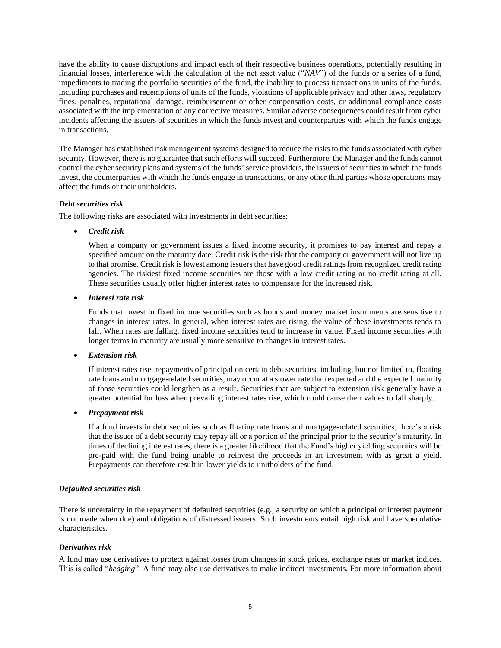have the ability to cause disruptions and impact each of their respective business operations, potentially resulting in financial losses, interference with the calculation of the net asset value ("*NAV*") of the funds or a series of a fund, impediments to trading the portfolio securities of the fund, the inability to process transactions in units of the funds, including purchases and redemptions of units of the funds, violations of applicable privacy and other laws, regulatory fines, penalties, reputational damage, reimbursement or other compensation costs, or additional compliance costs associated with the implementation of any corrective measures. Similar adverse consequences could result from cyber incidents affecting the issuers of securities in which the funds invest and counterparties with which the funds engage in transactions.

The Manager has established risk management systems designed to reduce the risks to the funds associated with cyber security. However, there is no guarantee that such efforts will succeed. Furthermore, the Manager and the funds cannot control the cyber security plans and systems of the funds' service providers, the issuers of securities in which the funds invest, the counterparties with which the funds engage in transactions, or any other third parties whose operations may affect the funds or their unitholders.

## *Debt securities risk*

The following risks are associated with investments in debt securities:

• *Credit risk*

When a company or government issues a fixed income security, it promises to pay interest and repay a specified amount on the maturity date. Credit risk is the risk that the company or government will not live up to that promise. Credit risk is lowest among issuers that have good credit ratings from recognized credit rating agencies. The riskiest fixed income securities are those with a low credit rating or no credit rating at all. These securities usually offer higher interest rates to compensate for the increased risk.

• *Interest rate risk*

Funds that invest in fixed income securities such as bonds and money market instruments are sensitive to changes in interest rates. In general, when interest rates are rising, the value of these investments tends to fall. When rates are falling, fixed income securities tend to increase in value. Fixed income securities with longer terms to maturity are usually more sensitive to changes in interest rates.

• *Extension risk*

If interest rates rise, repayments of principal on certain debt securities, including, but not limited to, floating rate loans and mortgage-related securities, may occur at a slower rate than expected and the expected maturity of those securities could lengthen as a result. Securities that are subject to extension risk generally have a greater potential for loss when prevailing interest rates rise, which could cause their values to fall sharply.

• *Prepayment risk*

If a fund invests in debt securities such as floating rate loans and mortgage-related securities, there's a risk that the issuer of a debt security may repay all or a portion of the principal prior to the security's maturity. In times of declining interest rates, there is a greater likelihood that the Fund's higher yielding securities will be pre-paid with the fund being unable to reinvest the proceeds in an investment with as great a yield. Prepayments can therefore result in lower yields to unitholders of the fund.

## *Defaulted securities risk*

There is uncertainty in the repayment of defaulted securities (e.g., a security on which a principal or interest payment is not made when due) and obligations of distressed issuers. Such investments entail high risk and have speculative characteristics.

## *Derivatives risk*

A fund may use derivatives to protect against losses from changes in stock prices, exchange rates or market indices. This is called "*hedging*". A fund may also use derivatives to make indirect investments. For more information about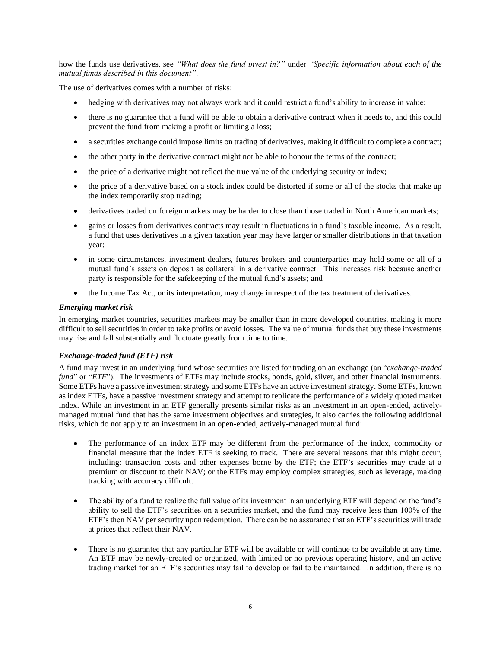how the funds use derivatives, see *"What does the fund invest in?"* under *"Specific information about each of the mutual funds described in this document"*.

The use of derivatives comes with a number of risks:

- hedging with derivatives may not always work and it could restrict a fund's ability to increase in value;
- there is no guarantee that a fund will be able to obtain a derivative contract when it needs to, and this could prevent the fund from making a profit or limiting a loss;
- a securities exchange could impose limits on trading of derivatives, making it difficult to complete a contract;
- the other party in the derivative contract might not be able to honour the terms of the contract;
- the price of a derivative might not reflect the true value of the underlying security or index;
- the price of a derivative based on a stock index could be distorted if some or all of the stocks that make up the index temporarily stop trading;
- derivatives traded on foreign markets may be harder to close than those traded in North American markets;
- gains or losses from derivatives contracts may result in fluctuations in a fund's taxable income. As a result, a fund that uses derivatives in a given taxation year may have larger or smaller distributions in that taxation year;
- in some circumstances, investment dealers, futures brokers and counterparties may hold some or all of a mutual fund's assets on deposit as collateral in a derivative contract. This increases risk because another party is responsible for the safekeeping of the mutual fund's assets; and
- the Income Tax Act, or its interpretation, may change in respect of the tax treatment of derivatives.

### *Emerging market risk*

In emerging market countries, securities markets may be smaller than in more developed countries, making it more difficult to sell securities in order to take profits or avoid losses. The value of mutual funds that buy these investments may rise and fall substantially and fluctuate greatly from time to time.

## *Exchange-traded fund (ETF) risk*

A fund may invest in an underlying fund whose securities are listed for trading on an exchange (an "*exchange-traded fund*" or "*ETF*"). The investments of ETFs may include stocks, bonds, gold, silver, and other financial instruments. Some ETFs have a passive investment strategy and some ETFs have an active investment strategy. Some ETFs, known as index ETFs, have a passive investment strategy and attempt to replicate the performance of a widely quoted market index. While an investment in an ETF generally presents similar risks as an investment in an open-ended, activelymanaged mutual fund that has the same investment objectives and strategies, it also carries the following additional risks, which do not apply to an investment in an open-ended, actively-managed mutual fund:

- The performance of an index ETF may be different from the performance of the index, commodity or financial measure that the index ETF is seeking to track. There are several reasons that this might occur, including: transaction costs and other expenses borne by the ETF; the ETF's securities may trade at a premium or discount to their NAV; or the ETFs may employ complex strategies, such as leverage, making tracking with accuracy difficult.
- The ability of a fund to realize the full value of its investment in an underlying ETF will depend on the fund's ability to sell the ETF's securities on a securities market, and the fund may receive less than 100% of the ETF's then NAV per security upon redemption. There can be no assurance that an ETF's securities will trade at prices that reflect their NAV.
- There is no guarantee that any particular ETF will be available or will continue to be available at any time. An ETF may be newly-created or organized, with limited or no previous operating history, and an active trading market for an ETF's securities may fail to develop or fail to be maintained. In addition, there is no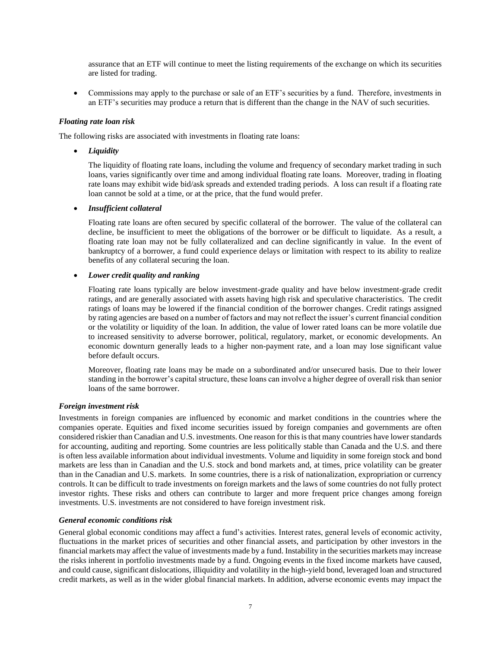assurance that an ETF will continue to meet the listing requirements of the exchange on which its securities are listed for trading.

• Commissions may apply to the purchase or sale of an ETF's securities by a fund. Therefore, investments in an ETF's securities may produce a return that is different than the change in the NAV of such securities.

#### *Floating rate loan risk*

The following risks are associated with investments in floating rate loans:

• *Liquidity* 

The liquidity of floating rate loans, including the volume and frequency of secondary market trading in such loans, varies significantly over time and among individual floating rate loans. Moreover, trading in floating rate loans may exhibit wide bid/ask spreads and extended trading periods. A loss can result if a floating rate loan cannot be sold at a time, or at the price, that the fund would prefer.

### • *Insufficient collateral*

Floating rate loans are often secured by specific collateral of the borrower. The value of the collateral can decline, be insufficient to meet the obligations of the borrower or be difficult to liquidate. As a result, a floating rate loan may not be fully collateralized and can decline significantly in value. In the event of bankruptcy of a borrower, a fund could experience delays or limitation with respect to its ability to realize benefits of any collateral securing the loan.

### • *Lower credit quality and ranking*

Floating rate loans typically are below investment-grade quality and have below investment-grade credit ratings, and are generally associated with assets having high risk and speculative characteristics. The credit ratings of loans may be lowered if the financial condition of the borrower changes. Credit ratings assigned by rating agencies are based on a number of factors and may not reflect the issuer's current financial condition or the volatility or liquidity of the loan. In addition, the value of lower rated loans can be more volatile due to increased sensitivity to adverse borrower, political, regulatory, market, or economic developments. An economic downturn generally leads to a higher non-payment rate, and a loan may lose significant value before default occurs.

Moreover, floating rate loans may be made on a subordinated and/or unsecured basis. Due to their lower standing in the borrower's capital structure, these loans can involve a higher degree of overall risk than senior loans of the same borrower.

## *Foreign investment risk*

Investments in foreign companies are influenced by economic and market conditions in the countries where the companies operate. Equities and fixed income securities issued by foreign companies and governments are often considered riskier than Canadian and U.S. investments. One reason for this is that many countries have lower standards for accounting, auditing and reporting. Some countries are less politically stable than Canada and the U.S. and there is often less available information about individual investments. Volume and liquidity in some foreign stock and bond markets are less than in Canadian and the U.S. stock and bond markets and, at times, price volatility can be greater than in the Canadian and U.S. markets. In some countries, there is a risk of nationalization, expropriation or currency controls. It can be difficult to trade investments on foreign markets and the laws of some countries do not fully protect investor rights. These risks and others can contribute to larger and more frequent price changes among foreign investments. U.S. investments are not considered to have foreign investment risk.

#### *General economic conditions risk*

General global economic conditions may affect a fund's activities. Interest rates, general levels of economic activity, fluctuations in the market prices of securities and other financial assets, and participation by other investors in the financial markets may affect the value of investments made by a fund. Instability in the securities markets may increase the risks inherent in portfolio investments made by a fund. Ongoing events in the fixed income markets have caused, and could cause, significant dislocations, illiquidity and volatility in the high-yield bond, leveraged loan and structured credit markets, as well as in the wider global financial markets. In addition, adverse economic events may impact the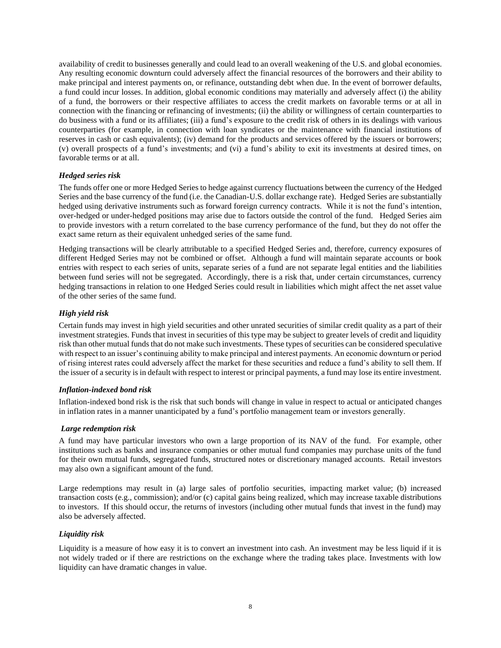availability of credit to businesses generally and could lead to an overall weakening of the U.S. and global economies. Any resulting economic downturn could adversely affect the financial resources of the borrowers and their ability to make principal and interest payments on, or refinance, outstanding debt when due. In the event of borrower defaults, a fund could incur losses. In addition, global economic conditions may materially and adversely affect (i) the ability of a fund, the borrowers or their respective affiliates to access the credit markets on favorable terms or at all in connection with the financing or refinancing of investments; (ii) the ability or willingness of certain counterparties to do business with a fund or its affiliates; (iii) a fund's exposure to the credit risk of others in its dealings with various counterparties (for example, in connection with loan syndicates or the maintenance with financial institutions of reserves in cash or cash equivalents); (iv) demand for the products and services offered by the issuers or borrowers; (v) overall prospects of a fund's investments; and (vi) a fund's ability to exit its investments at desired times, on favorable terms or at all.

## *Hedged series risk*

The funds offer one or more Hedged Series to hedge against currency fluctuations between the currency of the Hedged Series and the base currency of the fund (i.e. the Canadian-U.S. dollar exchange rate). Hedged Series are substantially hedged using derivative instruments such as forward foreign currency contracts. While it is not the fund's intention, over-hedged or under-hedged positions may arise due to factors outside the control of the fund. Hedged Series aim to provide investors with a return correlated to the base currency performance of the fund, but they do not offer the exact same return as their equivalent unhedged series of the same fund.

Hedging transactions will be clearly attributable to a specified Hedged Series and, therefore, currency exposures of different Hedged Series may not be combined or offset. Although a fund will maintain separate accounts or book entries with respect to each series of units, separate series of a fund are not separate legal entities and the liabilities between fund series will not be segregated. Accordingly, there is a risk that, under certain circumstances, currency hedging transactions in relation to one Hedged Series could result in liabilities which might affect the net asset value of the other series of the same fund.

## *High yield risk*

Certain funds may invest in high yield securities and other unrated securities of similar credit quality as a part of their investment strategies. Funds that invest in securities of this type may be subject to greater levels of credit and liquidity risk than other mutual funds that do not make such investments. These types of securities can be considered speculative with respect to an issuer's continuing ability to make principal and interest payments. An economic downturn or period of rising interest rates could adversely affect the market for these securities and reduce a fund's ability to sell them. If the issuer of a security is in default with respect to interest or principal payments, a fund may lose its entire investment.

## *Inflation-indexed bond risk*

Inflation-indexed bond risk is the risk that such bonds will change in value in respect to actual or anticipated changes in inflation rates in a manner unanticipated by a fund's portfolio management team or investors generally.

#### *Large redemption risk*

A fund may have particular investors who own a large proportion of its NAV of the fund. For example, other institutions such as banks and insurance companies or other mutual fund companies may purchase units of the fund for their own mutual funds, segregated funds, structured notes or discretionary managed accounts. Retail investors may also own a significant amount of the fund.

Large redemptions may result in (a) large sales of portfolio securities, impacting market value; (b) increased transaction costs (e.g., commission); and/or (c) capital gains being realized, which may increase taxable distributions to investors. If this should occur, the returns of investors (including other mutual funds that invest in the fund) may also be adversely affected.

## *Liquidity risk*

Liquidity is a measure of how easy it is to convert an investment into cash. An investment may be less liquid if it is not widely traded or if there are restrictions on the exchange where the trading takes place. Investments with low liquidity can have dramatic changes in value.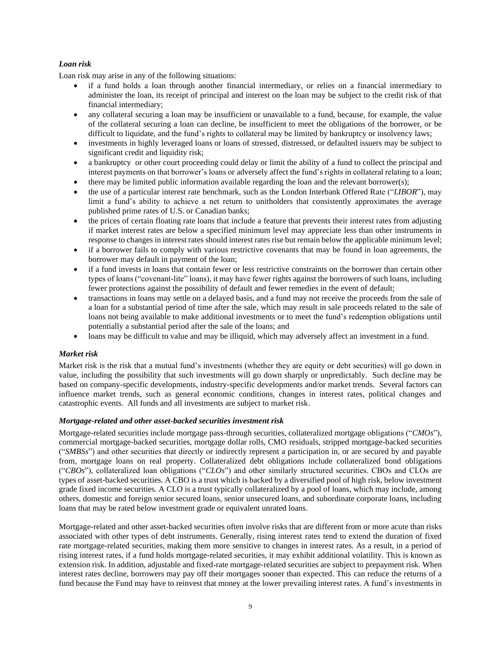## *Loan risk*

Loan risk may arise in any of the following situations:

- if a fund holds a loan through another financial intermediary, or relies on a financial intermediary to administer the loan, its receipt of principal and interest on the loan may be subject to the credit risk of that financial intermediary;
- any collateral securing a loan may be insufficient or unavailable to a fund, because, for example, the value of the collateral securing a loan can decline, be insufficient to meet the obligations of the borrower, or be difficult to liquidate, and the fund's rights to collateral may be limited by bankruptcy or insolvency laws;
- investments in highly leveraged loans or loans of stressed, distressed, or defaulted issuers may be subject to significant credit and liquidity risk;
- a bankruptcy or other court proceeding could delay or limit the ability of a fund to collect the principal and interest payments on that borrower's loans or adversely affect the fund's rights in collateral relating to a loan;
- there may be limited public information available regarding the loan and the relevant borrower(s);
- the use of a particular interest rate benchmark, such as the London Interbank Offered Rate ("*LIBOR*"), may limit a fund's ability to achieve a net return to unitholders that consistently approximates the average published prime rates of U.S. or Canadian banks;
- the prices of certain floating rate loans that include a feature that prevents their interest rates from adjusting if market interest rates are below a specified minimum level may appreciate less than other instruments in response to changes in interest rates should interest rates rise but remain below the applicable minimum level;
- if a borrower fails to comply with various restrictive covenants that may be found in loan agreements, the borrower may default in payment of the loan;
- if a fund invests in loans that contain fewer or less restrictive constraints on the borrower than certain other types of loans ("covenant-lite" loans), it may have fewer rights against the borrowers of such loans, including fewer protections against the possibility of default and fewer remedies in the event of default;
- transactions in loans may settle on a delayed basis, and a fund may not receive the proceeds from the sale of a loan for a substantial period of time after the sale, which may result in sale proceeds related to the sale of loans not being available to make additional investments or to meet the fund's redemption obligations until potentially a substantial period after the sale of the loans; and
- loans may be difficult to value and may be illiquid, which may adversely affect an investment in a fund.

## *Market risk*

Market risk is the risk that a mutual fund's investments (whether they are equity or debt securities) will go down in value, including the possibility that such investments will go down sharply or unpredictably. Such decline may be based on company-specific developments, industry-specific developments and/or market trends. Several factors can influence market trends, such as general economic conditions, changes in interest rates, political changes and catastrophic events. All funds and all investments are subject to market risk.

## *Mortgage-related and other asset-backed securities investment risk*

Mortgage-related securities include mortgage pass-through securities, collateralized mortgage obligations ("*CMOs*"), commercial mortgage-backed securities, mortgage dollar rolls, CMO residuals, stripped mortgage-backed securities ("*SMBSs*") and other securities that directly or indirectly represent a participation in, or are secured by and payable from, mortgage loans on real property. Collateralized debt obligations include collateralized bond obligations ("*CBOs*"), collateralized loan obligations ("*CLOs*") and other similarly structured securities. CBOs and CLOs are types of asset-backed securities. A CBO is a trust which is backed by a diversified pool of high risk, below investment grade fixed income securities. A CLO is a trust typically collateralized by a pool of loans, which may include, among others, domestic and foreign senior secured loans, senior unsecured loans, and subordinate corporate loans, including loans that may be rated below investment grade or equivalent unrated loans.

Mortgage-related and other asset-backed securities often involve risks that are different from or more acute than risks associated with other types of debt instruments. Generally, rising interest rates tend to extend the duration of fixed rate mortgage-related securities, making them more sensitive to changes in interest rates. As a result, in a period of rising interest rates, if a fund holds mortgage-related securities, it may exhibit additional volatility. This is known as extension risk. In addition, adjustable and fixed-rate mortgage-related securities are subject to prepayment risk. When interest rates decline, borrowers may pay off their mortgages sooner than expected. This can reduce the returns of a fund because the Fund may have to reinvest that money at the lower prevailing interest rates. A fund's investments in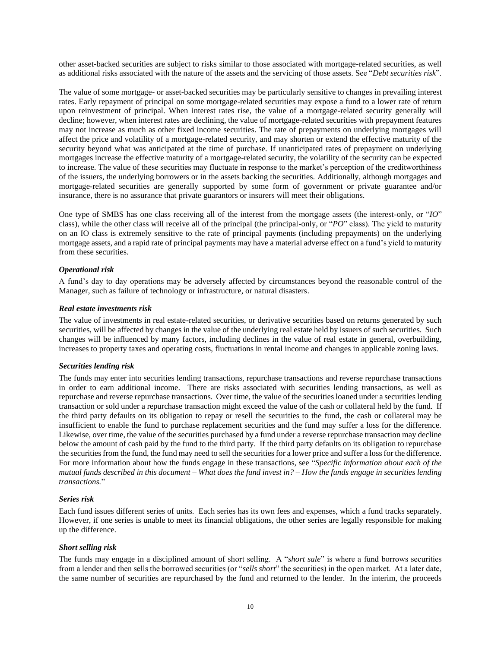other asset-backed securities are subject to risks similar to those associated with mortgage-related securities, as well as additional risks associated with the nature of the assets and the servicing of those assets. See "*Debt securities risk*".

The value of some mortgage- or asset-backed securities may be particularly sensitive to changes in prevailing interest rates. Early repayment of principal on some mortgage-related securities may expose a fund to a lower rate of return upon reinvestment of principal. When interest rates rise, the value of a mortgage-related security generally will decline; however, when interest rates are declining, the value of mortgage-related securities with prepayment features may not increase as much as other fixed income securities. The rate of prepayments on underlying mortgages will affect the price and volatility of a mortgage-related security, and may shorten or extend the effective maturity of the security beyond what was anticipated at the time of purchase. If unanticipated rates of prepayment on underlying mortgages increase the effective maturity of a mortgage-related security, the volatility of the security can be expected to increase. The value of these securities may fluctuate in response to the market's perception of the creditworthiness of the issuers, the underlying borrowers or in the assets backing the securities. Additionally, although mortgages and mortgage-related securities are generally supported by some form of government or private guarantee and/or insurance, there is no assurance that private guarantors or insurers will meet their obligations.

One type of SMBS has one class receiving all of the interest from the mortgage assets (the interest-only, or "*IO*" class), while the other class will receive all of the principal (the principal-only, or "*PO*" class). The yield to maturity on an IO class is extremely sensitive to the rate of principal payments (including prepayments) on the underlying mortgage assets, and a rapid rate of principal payments may have a material adverse effect on a fund's yield to maturity from these securities.

### *Operational risk*

A fund's day to day operations may be adversely affected by circumstances beyond the reasonable control of the Manager, such as failure of technology or infrastructure, or natural disasters.

#### *Real estate investments risk*

The value of investments in real estate-related securities, or derivative securities based on returns generated by such securities, will be affected by changes in the value of the underlying real estate held by issuers of such securities. Such changes will be influenced by many factors, including declines in the value of real estate in general, overbuilding, increases to property taxes and operating costs, fluctuations in rental income and changes in applicable zoning laws.

#### *Securities lending risk*

The funds may enter into securities lending transactions, repurchase transactions and reverse repurchase transactions in order to earn additional income. There are risks associated with securities lending transactions, as well as repurchase and reverse repurchase transactions. Over time, the value of the securities loaned under a securities lending transaction or sold under a repurchase transaction might exceed the value of the cash or collateral held by the fund. If the third party defaults on its obligation to repay or resell the securities to the fund, the cash or collateral may be insufficient to enable the fund to purchase replacement securities and the fund may suffer a loss for the difference. Likewise, over time, the value of the securities purchased by a fund under a reverse repurchase transaction may decline below the amount of cash paid by the fund to the third party. If the third party defaults on its obligation to repurchase the securities from the fund, the fund may need to sell the securities for a lower price and suffer a loss for the difference. For more information about how the funds engage in these transactions, see "*Specific information about each of the mutual funds described in this document – What does the fund invest in?* – *How the funds engage in securities lending transactions.*"

#### *Series risk*

Each fund issues different series of units. Each series has its own fees and expenses, which a fund tracks separately. However, if one series is unable to meet its financial obligations, the other series are legally responsible for making up the difference.

#### *Short selling risk*

The funds may engage in a disciplined amount of short selling. A "*short sale*" is where a fund borrows securities from a lender and then sells the borrowed securities (or "*sells short*" the securities) in the open market. At a later date, the same number of securities are repurchased by the fund and returned to the lender. In the interim, the proceeds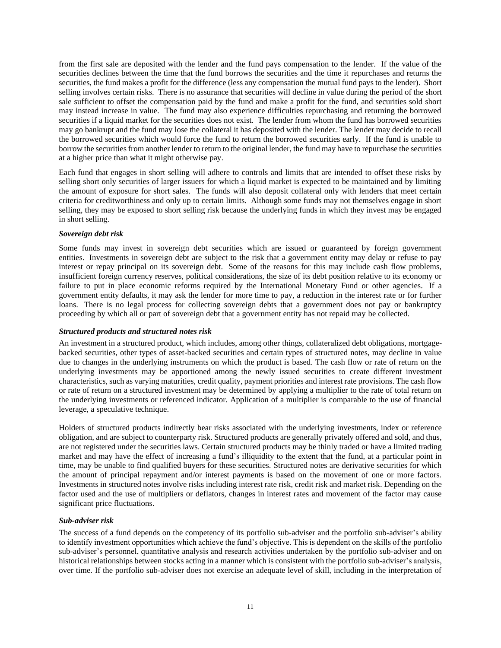from the first sale are deposited with the lender and the fund pays compensation to the lender. If the value of the securities declines between the time that the fund borrows the securities and the time it repurchases and returns the securities, the fund makes a profit for the difference (less any compensation the mutual fund pays to the lender). Short selling involves certain risks. There is no assurance that securities will decline in value during the period of the short sale sufficient to offset the compensation paid by the fund and make a profit for the fund, and securities sold short may instead increase in value. The fund may also experience difficulties repurchasing and returning the borrowed securities if a liquid market for the securities does not exist. The lender from whom the fund has borrowed securities may go bankrupt and the fund may lose the collateral it has deposited with the lender. The lender may decide to recall the borrowed securities which would force the fund to return the borrowed securities early. If the fund is unable to borrow the securities from another lender to return to the original lender, the fund may have to repurchase the securities at a higher price than what it might otherwise pay.

Each fund that engages in short selling will adhere to controls and limits that are intended to offset these risks by selling short only securities of larger issuers for which a liquid market is expected to be maintained and by limiting the amount of exposure for short sales. The funds will also deposit collateral only with lenders that meet certain criteria for creditworthiness and only up to certain limits. Although some funds may not themselves engage in short selling, they may be exposed to short selling risk because the underlying funds in which they invest may be engaged in short selling.

### *Sovereign debt risk*

Some funds may invest in sovereign debt securities which are issued or guaranteed by foreign government entities. Investments in sovereign debt are subject to the risk that a government entity may delay or refuse to pay interest or repay principal on its sovereign debt. Some of the reasons for this may include cash flow problems, insufficient foreign currency reserves, political considerations, the size of its debt position relative to its economy or failure to put in place economic reforms required by the International Monetary Fund or other agencies. If a government entity defaults, it may ask the lender for more time to pay, a reduction in the interest rate or for further loans. There is no legal process for collecting sovereign debts that a government does not pay or bankruptcy proceeding by which all or part of sovereign debt that a government entity has not repaid may be collected.

#### *Structured products and structured notes risk*

An investment in a structured product, which includes, among other things, collateralized debt obligations, mortgagebacked securities, other types of asset-backed securities and certain types of structured notes, may decline in value due to changes in the underlying instruments on which the product is based. The cash flow or rate of return on the underlying investments may be apportioned among the newly issued securities to create different investment characteristics, such as varying maturities, credit quality, payment priorities and interest rate provisions. The cash flow or rate of return on a structured investment may be determined by applying a multiplier to the rate of total return on the underlying investments or referenced indicator. Application of a multiplier is comparable to the use of financial leverage, a speculative technique.

Holders of structured products indirectly bear risks associated with the underlying investments, index or reference obligation, and are subject to counterparty risk. Structured products are generally privately offered and sold, and thus, are not registered under the securities laws. Certain structured products may be thinly traded or have a limited trading market and may have the effect of increasing a fund's illiquidity to the extent that the fund, at a particular point in time, may be unable to find qualified buyers for these securities. Structured notes are derivative securities for which the amount of principal repayment and/or interest payments is based on the movement of one or more factors. Investments in structured notes involve risks including interest rate risk, credit risk and market risk. Depending on the factor used and the use of multipliers or deflators, changes in interest rates and movement of the factor may cause significant price fluctuations.

## *Sub-adviser risk*

The success of a fund depends on the competency of its portfolio sub-adviser and the portfolio sub-adviser's ability to identify investment opportunities which achieve the fund's objective. This is dependent on the skills of the portfolio sub-adviser's personnel, quantitative analysis and research activities undertaken by the portfolio sub-adviser and on historical relationships between stocks acting in a manner which is consistent with the portfolio sub-adviser's analysis, over time. If the portfolio sub-adviser does not exercise an adequate level of skill, including in the interpretation of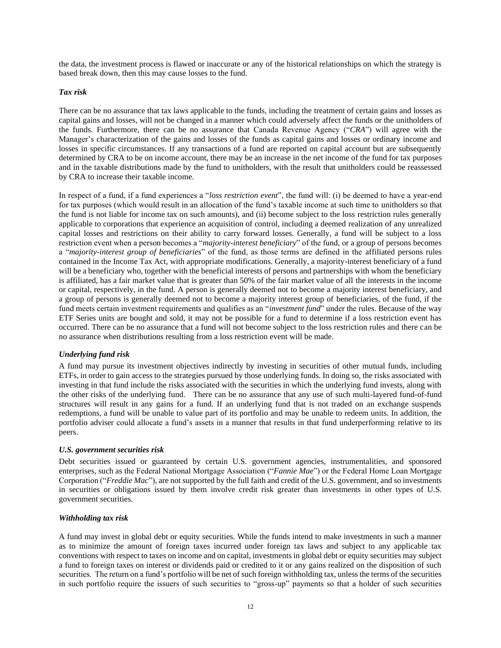the data, the investment process is flawed or inaccurate or any of the historical relationships on which the strategy is based break down, then this may cause losses to the fund.

#### *Tax risk*

There can be no assurance that tax laws applicable to the funds, including the treatment of certain gains and losses as capital gains and losses, will not be changed in a manner which could adversely affect the funds or the unitholders of the funds. Furthermore, there can be no assurance that Canada Revenue Agency ("*CRA*") will agree with the Manager's characterization of the gains and losses of the funds as capital gains and losses or ordinary income and losses in specific circumstances. If any transactions of a fund are reported on capital account but are subsequently determined by CRA to be on income account, there may be an increase in the net income of the fund for tax purposes and in the taxable distributions made by the fund to unitholders, with the result that unitholders could be reassessed by CRA to increase their taxable income.

In respect of a fund, if a fund experiences a "*loss restriction event*", the fund will: (i) be deemed to have a year-end for tax purposes (which would result in an allocation of the fund's taxable income at such time to unitholders so that the fund is not liable for income tax on such amounts), and (ii) become subject to the loss restriction rules generally applicable to corporations that experience an acquisition of control, including a deemed realization of any unrealized capital losses and restrictions on their ability to carry forward losses. Generally, a fund will be subject to a loss restriction event when a person becomes a "*majority-interest beneficiary*" of the fund, or a group of persons becomes a "*majority-interest group of beneficiaries*" of the fund, as those terms are defined in the affiliated persons rules contained in the Income Tax Act, with appropriate modifications. Generally, a majority-interest beneficiary of a fund will be a beneficiary who, together with the beneficial interests of persons and partnerships with whom the beneficiary is affiliated, has a fair market value that is greater than 50% of the fair market value of all the interests in the income or capital, respectively, in the fund. A person is generally deemed not to become a majority interest beneficiary, and a group of persons is generally deemed not to become a majority interest group of beneficiaries, of the fund, if the fund meets certain investment requirements and qualifies as an "*investment fund*" under the rules. Because of the way ETF Series units are bought and sold, it may not be possible for a fund to determine if a loss restriction event has occurred. There can be no assurance that a fund will not become subject to the loss restriction rules and there can be no assurance when distributions resulting from a loss restriction event will be made.

#### *Underlying fund risk*

A fund may pursue its investment objectives indirectly by investing in securities of other mutual funds, including ETFs, in order to gain access to the strategies pursued by those underlying funds. In doing so, the risks associated with investing in that fund include the risks associated with the securities in which the underlying fund invests, along with the other risks of the underlying fund. There can be no assurance that any use of such multi-layered fund-of-fund structures will result in any gains for a fund. If an underlying fund that is not traded on an exchange suspends redemptions, a fund will be unable to value part of its portfolio and may be unable to redeem units. In addition, the portfolio adviser could allocate a fund's assets in a manner that results in that fund underperforming relative to its peers.

#### *U.S. government securities risk*

Debt securities issued or guaranteed by certain U.S. government agencies, instrumentalities, and sponsored enterprises, such as the Federal National Mortgage Association ("*Fannie Mae*") or the Federal Home Loan Mortgage Corporation ("*Freddie Mac*"), are not supported by the full faith and credit of the U.S. government, and so investments in securities or obligations issued by them involve credit risk greater than investments in other types of U.S. government securities.

#### *Withholding tax risk*

A fund may invest in global debt or equity securities. While the funds intend to make investments in such a manner as to minimize the amount of foreign taxes incurred under foreign tax laws and subject to any applicable tax conventions with respect to taxes on income and on capital, investments in global debt or equity securities may subject a fund to foreign taxes on interest or dividends paid or credited to it or any gains realized on the disposition of such securities. The return on a fund's portfolio will be net of such foreign withholding tax, unless the terms of the securities in such portfolio require the issuers of such securities to "gross-up" payments so that a holder of such securities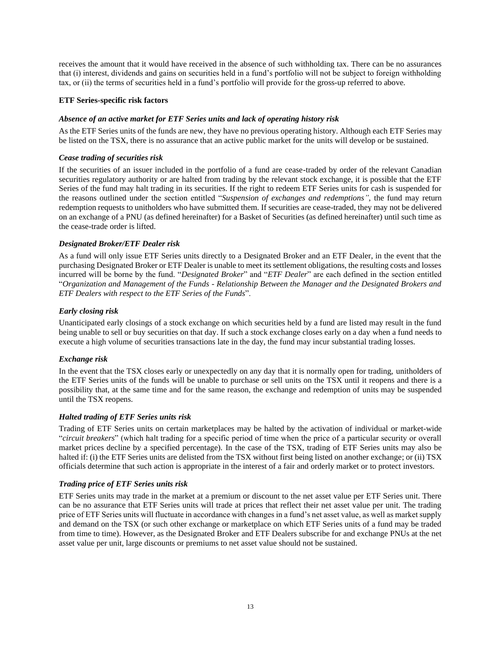receives the amount that it would have received in the absence of such withholding tax. There can be no assurances that (i) interest, dividends and gains on securities held in a fund's portfolio will not be subject to foreign withholding tax, or (ii) the terms of securities held in a fund's portfolio will provide for the gross-up referred to above.

### **ETF Series-specific risk factors**

### *Absence of an active market for ETF Series units and lack of operating history risk*

As the ETF Series units of the funds are new, they have no previous operating history. Although each ETF Series may be listed on the TSX, there is no assurance that an active public market for the units will develop or be sustained.

#### *Cease trading of securities risk*

If the securities of an issuer included in the portfolio of a fund are cease-traded by order of the relevant Canadian securities regulatory authority or are halted from trading by the relevant stock exchange, it is possible that the ETF Series of the fund may halt trading in its securities. If the right to redeem ETF Series units for cash is suspended for the reasons outlined under the section entitled "*Suspension of exchanges and redemptions"*, the fund may return redemption requests to unitholders who have submitted them. If securities are cease-traded, they may not be delivered on an exchange of a PNU (as defined hereinafter) for a Basket of Securities (as defined hereinafter) until such time as the cease-trade order is lifted.

### *Designated Broker/ETF Dealer risk*

As a fund will only issue ETF Series units directly to a Designated Broker and an ETF Dealer, in the event that the purchasing Designated Broker or ETF Dealer is unable to meet its settlement obligations, the resulting costs and losses incurred will be borne by the fund. "*Designated Broker*" and "*ETF Dealer*" are each defined in the section entitled "*Organization and Management of the Funds - Relationship Between the Manager and the Designated Brokers and ETF Dealers with respect to the ETF Series of the Funds*".

## *Early closing risk*

Unanticipated early closings of a stock exchange on which securities held by a fund are listed may result in the fund being unable to sell or buy securities on that day. If such a stock exchange closes early on a day when a fund needs to execute a high volume of securities transactions late in the day, the fund may incur substantial trading losses.

#### *Exchange risk*

In the event that the TSX closes early or unexpectedly on any day that it is normally open for trading, unitholders of the ETF Series units of the funds will be unable to purchase or sell units on the TSX until it reopens and there is a possibility that, at the same time and for the same reason, the exchange and redemption of units may be suspended until the TSX reopens.

## *Halted trading of ETF Series units risk*

Trading of ETF Series units on certain marketplaces may be halted by the activation of individual or market-wide "*circuit breakers*" (which halt trading for a specific period of time when the price of a particular security or overall market prices decline by a specified percentage). In the case of the TSX, trading of ETF Series units may also be halted if: (i) the ETF Series units are delisted from the TSX without first being listed on another exchange; or (ii) TSX officials determine that such action is appropriate in the interest of a fair and orderly market or to protect investors.

## *Trading price of ETF Series units risk*

ETF Series units may trade in the market at a premium or discount to the net asset value per ETF Series unit. There can be no assurance that ETF Series units will trade at prices that reflect their net asset value per unit. The trading price of ETF Series units will fluctuate in accordance with changes in a fund's net asset value, as well as market supply and demand on the TSX (or such other exchange or marketplace on which ETF Series units of a fund may be traded from time to time). However, as the Designated Broker and ETF Dealers subscribe for and exchange PNUs at the net asset value per unit, large discounts or premiums to net asset value should not be sustained.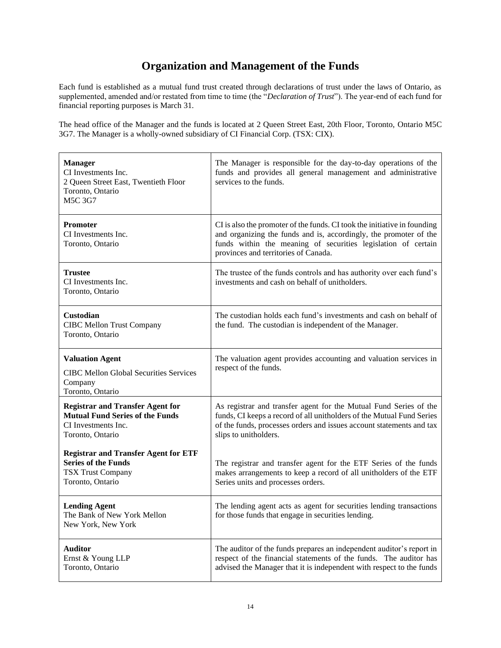# **Organization and Management of the Funds**

<span id="page-15-0"></span>Each fund is established as a mutual fund trust created through declarations of trust under the laws of Ontario, as supplemented, amended and/or restated from time to time (the "*Declaration of Trust*"). The year-end of each fund for financial reporting purposes is March 31.

The head office of the Manager and the funds is located at 2 Queen Street East, 20th Floor, Toronto, Ontario M5C 3G7. The Manager is a wholly-owned subsidiary of CI Financial Corp. (TSX: CIX).

| <b>Manager</b><br>CI Investments Inc.<br>2 Queen Street East, Twentieth Floor<br>Toronto, Ontario<br><b>M5C 3G7</b>          | The Manager is responsible for the day-to-day operations of the<br>funds and provides all general management and administrative<br>services to the funds.                                                                                              |
|------------------------------------------------------------------------------------------------------------------------------|--------------------------------------------------------------------------------------------------------------------------------------------------------------------------------------------------------------------------------------------------------|
| <b>Promoter</b><br>CI Investments Inc.<br>Toronto, Ontario                                                                   | CI is also the promoter of the funds. CI took the initiative in founding<br>and organizing the funds and is, accordingly, the promoter of the<br>funds within the meaning of securities legislation of certain<br>provinces and territories of Canada. |
| <b>Trustee</b><br>CI Investments Inc.<br>Toronto, Ontario                                                                    | The trustee of the funds controls and has authority over each fund's<br>investments and cash on behalf of unitholders.                                                                                                                                 |
| Custodian<br><b>CIBC Mellon Trust Company</b><br>Toronto, Ontario                                                            | The custodian holds each fund's investments and cash on behalf of<br>the fund. The custodian is independent of the Manager.                                                                                                                            |
| <b>Valuation Agent</b><br><b>CIBC Mellon Global Securities Services</b><br>Company<br>Toronto, Ontario                       | The valuation agent provides accounting and valuation services in<br>respect of the funds.                                                                                                                                                             |
| <b>Registrar and Transfer Agent for</b><br><b>Mutual Fund Series of the Funds</b><br>CI Investments Inc.<br>Toronto, Ontario | As registrar and transfer agent for the Mutual Fund Series of the<br>funds, CI keeps a record of all unitholders of the Mutual Fund Series<br>of the funds, processes orders and issues account statements and tax<br>slips to unitholders.            |
| <b>Registrar and Transfer Agent for ETF</b><br><b>Series of the Funds</b><br><b>TSX Trust Company</b><br>Toronto, Ontario    | The registrar and transfer agent for the ETF Series of the funds<br>makes arrangements to keep a record of all unitholders of the ETF<br>Series units and processes orders.                                                                            |
| <b>Lending Agent</b><br>The Bank of New York Mellon<br>New York, New York                                                    | The lending agent acts as agent for securities lending transactions<br>for those funds that engage in securities lending.                                                                                                                              |
| <b>Auditor</b><br>Ernst & Young LLP<br>Toronto, Ontario                                                                      | The auditor of the funds prepares an independent auditor's report in<br>respect of the financial statements of the funds. The auditor has<br>advised the Manager that it is independent with respect to the funds                                      |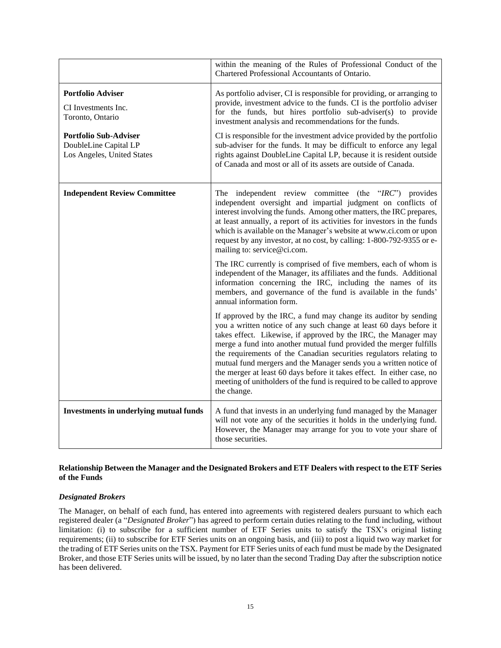|                                                                                     | within the meaning of the Rules of Professional Conduct of the<br>Chartered Professional Accountants of Ontario.                                                                                                                                                                                                                                                                                                                                                                                                                                                                              |
|-------------------------------------------------------------------------------------|-----------------------------------------------------------------------------------------------------------------------------------------------------------------------------------------------------------------------------------------------------------------------------------------------------------------------------------------------------------------------------------------------------------------------------------------------------------------------------------------------------------------------------------------------------------------------------------------------|
| <b>Portfolio Adviser</b><br>CI Investments Inc.<br>Toronto, Ontario                 | As portfolio adviser, CI is responsible for providing, or arranging to<br>provide, investment advice to the funds. CI is the portfolio adviser<br>for the funds, but hires portfolio sub-adviser(s) to provide<br>investment analysis and recommendations for the funds.                                                                                                                                                                                                                                                                                                                      |
| <b>Portfolio Sub-Adviser</b><br>DoubleLine Capital LP<br>Los Angeles, United States | CI is responsible for the investment advice provided by the portfolio<br>sub-adviser for the funds. It may be difficult to enforce any legal<br>rights against DoubleLine Capital LP, because it is resident outside<br>of Canada and most or all of its assets are outside of Canada.                                                                                                                                                                                                                                                                                                        |
| <b>Independent Review Committee</b>                                                 | The independent review committee (the "IRC") provides<br>independent oversight and impartial judgment on conflicts of<br>interest involving the funds. Among other matters, the IRC prepares,<br>at least annually, a report of its activities for investors in the funds<br>which is available on the Manager's website at www.ci.com or upon<br>request by any investor, at no cost, by calling: 1-800-792-9355 or e-<br>mailing to: service@ci.com.                                                                                                                                        |
|                                                                                     | The IRC currently is comprised of five members, each of whom is<br>independent of the Manager, its affiliates and the funds. Additional<br>information concerning the IRC, including the names of its<br>members, and governance of the fund is available in the funds'<br>annual information form.                                                                                                                                                                                                                                                                                           |
|                                                                                     | If approved by the IRC, a fund may change its auditor by sending<br>you a written notice of any such change at least 60 days before it<br>takes effect. Likewise, if approved by the IRC, the Manager may<br>merge a fund into another mutual fund provided the merger fulfills<br>the requirements of the Canadian securities regulators relating to<br>mutual fund mergers and the Manager sends you a written notice of<br>the merger at least 60 days before it takes effect. In either case, no<br>meeting of unitholders of the fund is required to be called to approve<br>the change. |
| <b>Investments in underlying mutual funds</b>                                       | A fund that invests in an underlying fund managed by the Manager<br>will not vote any of the securities it holds in the underlying fund.<br>However, the Manager may arrange for you to vote your share of<br>those securities.                                                                                                                                                                                                                                                                                                                                                               |

## **Relationship Between the Manager and the Designated Brokers and ETF Dealers with respect to the ETF Series of the Funds**

## *Designated Brokers*

The Manager, on behalf of each fund, has entered into agreements with registered dealers pursuant to which each registered dealer (a "*Designated Broker*") has agreed to perform certain duties relating to the fund including, without limitation: (i) to subscribe for a sufficient number of ETF Series units to satisfy the TSX's original listing requirements; (ii) to subscribe for ETF Series units on an ongoing basis, and (iii) to post a liquid two way market for the trading of ETF Series units on the TSX. Payment for ETF Series units of each fund must be made by the Designated Broker, and those ETF Series units will be issued, by no later than the second Trading Day after the subscription notice has been delivered.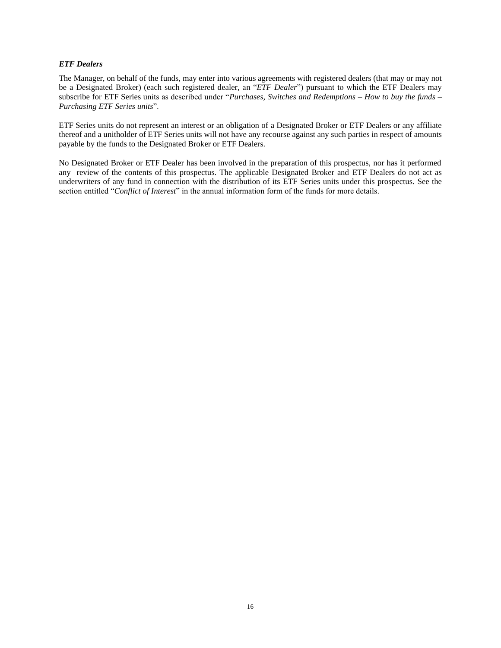### *ETF Dealers*

The Manager, on behalf of the funds, may enter into various agreements with registered dealers (that may or may not be a Designated Broker) (each such registered dealer, an "*ETF Dealer*") pursuant to which the ETF Dealers may subscribe for ETF Series units as described under "*Purchases, Switches and Redemptions – How to buy the funds – Purchasing ETF Series units*".

ETF Series units do not represent an interest or an obligation of a Designated Broker or ETF Dealers or any affiliate thereof and a unitholder of ETF Series units will not have any recourse against any such parties in respect of amounts payable by the funds to the Designated Broker or ETF Dealers.

No Designated Broker or ETF Dealer has been involved in the preparation of this prospectus, nor has it performed any review of the contents of this prospectus. The applicable Designated Broker and ETF Dealers do not act as underwriters of any fund in connection with the distribution of its ETF Series units under this prospectus. See the section entitled "*Conflict of Interest*" in the annual information form of the funds for more details.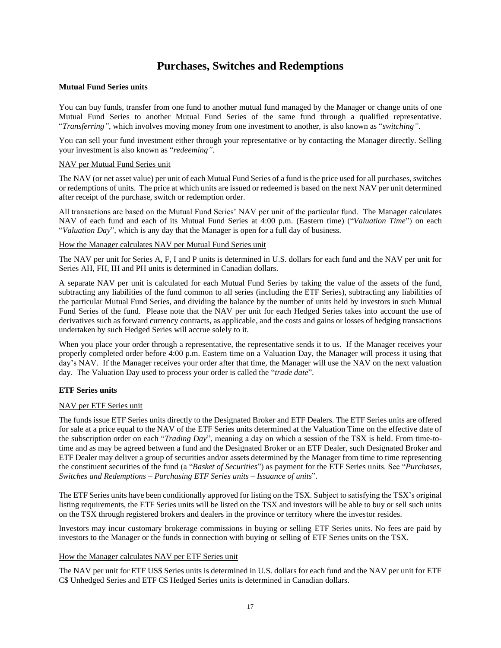## **Purchases, Switches and Redemptions**

#### <span id="page-18-0"></span>**Mutual Fund Series units**

You can buy funds, transfer from one fund to another mutual fund managed by the Manager or change units of one Mutual Fund Series to another Mutual Fund Series of the same fund through a qualified representative. "*Transferring"*, which involves moving money from one investment to another, is also known as "*switching"*.

You can sell your fund investment either through your representative or by contacting the Manager directly. Selling your investment is also known as "*redeeming"*.

### NAV per Mutual Fund Series unit

The NAV (or net asset value) per unit of each Mutual Fund Series of a fund is the price used for all purchases, switches or redemptions of units. The price at which units are issued or redeemed is based on the next NAV per unit determined after receipt of the purchase, switch or redemption order.

All transactions are based on the Mutual Fund Series' NAV per unit of the particular fund. The Manager calculates NAV of each fund and each of its Mutual Fund Series at 4:00 p.m. (Eastern time) ("*Valuation Time*") on each "*Valuation Day*", which is any day that the Manager is open for a full day of business.

### How the Manager calculates NAV per Mutual Fund Series unit

The NAV per unit for Series A, F, I and P units is determined in U.S. dollars for each fund and the NAV per unit for Series AH, FH, IH and PH units is determined in Canadian dollars.

A separate NAV per unit is calculated for each Mutual Fund Series by taking the value of the assets of the fund, subtracting any liabilities of the fund common to all series (including the ETF Series), subtracting any liabilities of the particular Mutual Fund Series, and dividing the balance by the number of units held by investors in such Mutual Fund Series of the fund. Please note that the NAV per unit for each Hedged Series takes into account the use of derivatives such as forward currency contracts, as applicable, and the costs and gains or losses of hedging transactions undertaken by such Hedged Series will accrue solely to it.

When you place your order through a representative, the representative sends it to us. If the Manager receives your properly completed order before 4:00 p.m. Eastern time on a Valuation Day, the Manager will process it using that day's NAV. If the Manager receives your order after that time, the Manager will use the NAV on the next valuation day. The Valuation Day used to process your order is called the "*trade date*".

## **ETF Series units**

#### NAV per ETF Series unit

The funds issue ETF Series units directly to the Designated Broker and ETF Dealers. The ETF Series units are offered for sale at a price equal to the NAV of the ETF Series units determined at the Valuation Time on the effective date of the subscription order on each "*Trading Day*", meaning a day on which a session of the TSX is held. From time-totime and as may be agreed between a fund and the Designated Broker or an ETF Dealer, such Designated Broker and ETF Dealer may deliver a group of securities and/or assets determined by the Manager from time to time representing the constituent securities of the fund (a "*Basket of Securities*") as payment for the ETF Series units. See "*Purchases, Switches and Redemptions – Purchasing ETF Series units – Issuance of units*".

The ETF Series units have been conditionally approved for listing on the TSX. Subject to satisfying the TSX's original listing requirements, the ETF Series units will be listed on the TSX and investors will be able to buy or sell such units on the TSX through registered brokers and dealers in the province or territory where the investor resides.

Investors may incur customary brokerage commissions in buying or selling ETF Series units. No fees are paid by investors to the Manager or the funds in connection with buying or selling of ETF Series units on the TSX.

## How the Manager calculates NAV per ETF Series unit

The NAV per unit for ETF US\$ Series units is determined in U.S. dollars for each fund and the NAV per unit for ETF C\$ Unhedged Series and ETF C\$ Hedged Series units is determined in Canadian dollars.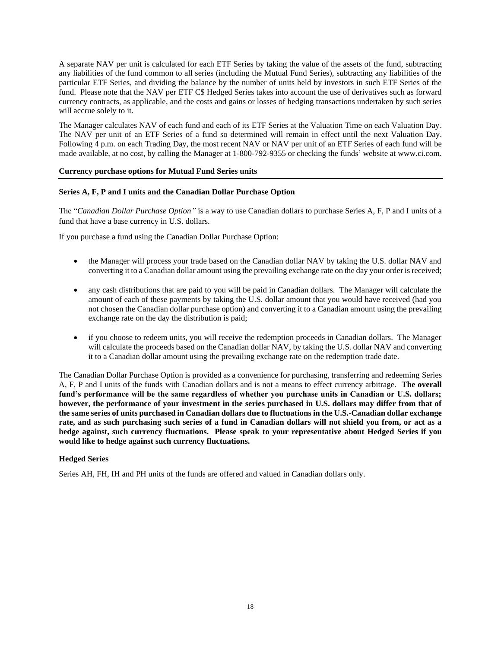A separate NAV per unit is calculated for each ETF Series by taking the value of the assets of the fund, subtracting any liabilities of the fund common to all series (including the Mutual Fund Series), subtracting any liabilities of the particular ETF Series, and dividing the balance by the number of units held by investors in such ETF Series of the fund. Please note that the NAV per ETF C\$ Hedged Series takes into account the use of derivatives such as forward currency contracts, as applicable, and the costs and gains or losses of hedging transactions undertaken by such series will accrue solely to it.

The Manager calculates NAV of each fund and each of its ETF Series at the Valuation Time on each Valuation Day. The NAV per unit of an ETF Series of a fund so determined will remain in effect until the next Valuation Day. Following 4 p.m. on each Trading Day, the most recent NAV or NAV per unit of an ETF Series of each fund will be made available, at no cost, by calling the Manager at 1-800-792-9355 or checking the funds' website at www.ci.com.

## **Currency purchase options for Mutual Fund Series units**

### **Series A, F, P and I units and the Canadian Dollar Purchase Option**

The "*Canadian Dollar Purchase Option"* is a way to use Canadian dollars to purchase Series A, F, P and I units of a fund that have a base currency in U.S. dollars.

If you purchase a fund using the Canadian Dollar Purchase Option:

- the Manager will process your trade based on the Canadian dollar NAV by taking the U.S. dollar NAV and converting it to a Canadian dollar amount using the prevailing exchange rate on the day your order is received;
- any cash distributions that are paid to you will be paid in Canadian dollars. The Manager will calculate the amount of each of these payments by taking the U.S. dollar amount that you would have received (had you not chosen the Canadian dollar purchase option) and converting it to a Canadian amount using the prevailing exchange rate on the day the distribution is paid;
- if you choose to redeem units, you will receive the redemption proceeds in Canadian dollars. The Manager will calculate the proceeds based on the Canadian dollar NAV, by taking the U.S. dollar NAV and converting it to a Canadian dollar amount using the prevailing exchange rate on the redemption trade date.

The Canadian Dollar Purchase Option is provided as a convenience for purchasing, transferring and redeeming Series A, F, P and I units of the funds with Canadian dollars and is not a means to effect currency arbitrage. **The overall fund's performance will be the same regardless of whether you purchase units in Canadian or U.S. dollars; however, the performance of your investment in the series purchased in U.S. dollars may differ from that of the same series of units purchased in Canadian dollars due to fluctuations in the U.S.-Canadian dollar exchange rate, and as such purchasing such series of a fund in Canadian dollars will not shield you from, or act as a hedge against, such currency fluctuations. Please speak to your representative about Hedged Series if you would like to hedge against such currency fluctuations.** 

## **Hedged Series**

Series AH, FH, IH and PH units of the funds are offered and valued in Canadian dollars only.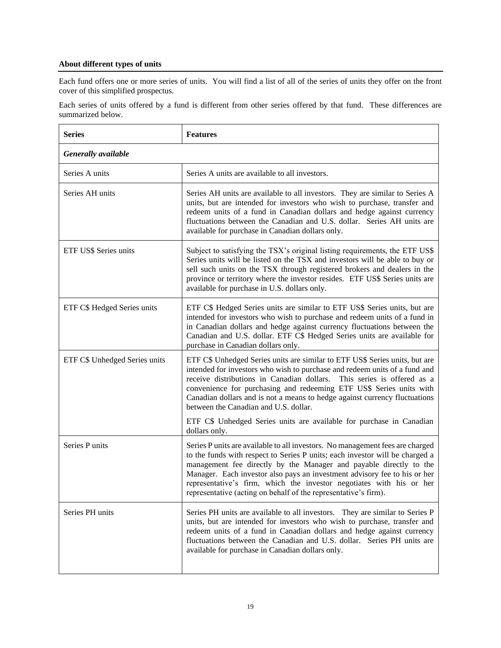## **About different types of units**

Each fund offers one or more series of units. You will find a list of all of the series of units they offer on the front cover of this simplified prospectus.

Each series of units offered by a fund is different from other series offered by that fund. These differences are summarized below.

| <b>Series</b>                 | <b>Features</b>                                                                                                                                                                                                                                                                                                                                                                                                                                             |  |
|-------------------------------|-------------------------------------------------------------------------------------------------------------------------------------------------------------------------------------------------------------------------------------------------------------------------------------------------------------------------------------------------------------------------------------------------------------------------------------------------------------|--|
| Generally available           |                                                                                                                                                                                                                                                                                                                                                                                                                                                             |  |
| Series A units                | Series A units are available to all investors.                                                                                                                                                                                                                                                                                                                                                                                                              |  |
| Series AH units               | Series AH units are available to all investors. They are similar to Series A<br>units, but are intended for investors who wish to purchase, transfer and<br>redeem units of a fund in Canadian dollars and hedge against currency<br>fluctuations between the Canadian and U.S. dollar. Series AH units are<br>available for purchase in Canadian dollars only.                                                                                             |  |
| ETF US\$ Series units         | Subject to satisfying the TSX's original listing requirements, the ETF US\$<br>Series units will be listed on the TSX and investors will be able to buy or<br>sell such units on the TSX through registered brokers and dealers in the<br>province or territory where the investor resides. ETF US\$ Series units are<br>available for purchase in U.S. dollars only.                                                                                       |  |
| ETF C\$ Hedged Series units   | ETF C\$ Hedged Series units are similar to ETF US\$ Series units, but are<br>intended for investors who wish to purchase and redeem units of a fund in<br>in Canadian dollars and hedge against currency fluctuations between the<br>Canadian and U.S. dollar. ETF C\$ Hedged Series units are available for<br>purchase in Canadian dollars only.                                                                                                          |  |
| ETF C\$ Unhedged Series units | ETF C\$ Unhedged Series units are similar to ETF US\$ Series units, but are<br>intended for investors who wish to purchase and redeem units of a fund and<br>receive distributions in Canadian dollars.<br>This series is offered as a<br>convenience for purchasing and redeeming ETF US\$ Series units with<br>Canadian dollars and is not a means to hedge against currency fluctuations<br>between the Canadian and U.S. dollar.                        |  |
|                               | ETF C\$ Unhedged Series units are available for purchase in Canadian<br>dollars only.                                                                                                                                                                                                                                                                                                                                                                       |  |
| Series P units                | Series P units are available to all investors. No management fees are charged<br>to the funds with respect to Series P units; each investor will be charged a<br>management fee directly by the Manager and payable directly to the<br>Manager. Each investor also pays an investment advisory fee to his or her<br>representative's firm, which the investor negotiates with his or her<br>representative (acting on behalf of the representative's firm). |  |
| Series PH units               | Series PH units are available to all investors. They are similar to Series P<br>units, but are intended for investors who wish to purchase, transfer and<br>redeem units of a fund in Canadian dollars and hedge against currency<br>fluctuations between the Canadian and U.S. dollar. Series PH units are<br>available for purchase in Canadian dollars only.                                                                                             |  |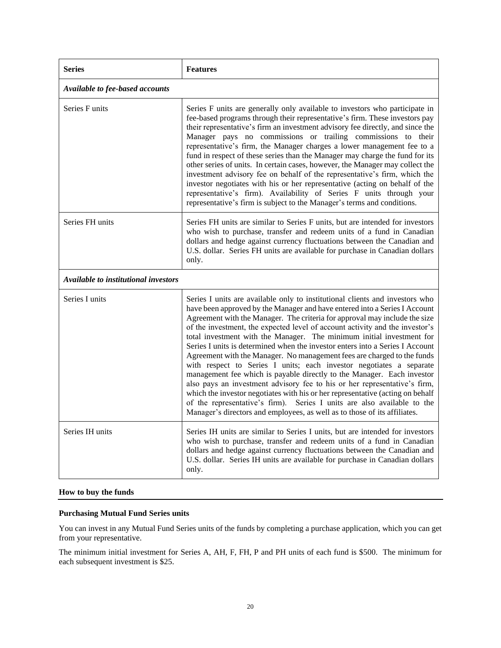| <b>Series</b>                        | <b>Features</b>                                                                                                                                                                                                                                                                                                                                                                                                                                                                                                                                                                                                                                                                                                                                                                                                                                                                                                                                                                                                                       |
|--------------------------------------|---------------------------------------------------------------------------------------------------------------------------------------------------------------------------------------------------------------------------------------------------------------------------------------------------------------------------------------------------------------------------------------------------------------------------------------------------------------------------------------------------------------------------------------------------------------------------------------------------------------------------------------------------------------------------------------------------------------------------------------------------------------------------------------------------------------------------------------------------------------------------------------------------------------------------------------------------------------------------------------------------------------------------------------|
| Available to fee-based accounts      |                                                                                                                                                                                                                                                                                                                                                                                                                                                                                                                                                                                                                                                                                                                                                                                                                                                                                                                                                                                                                                       |
| <b>Series Funits</b>                 | Series F units are generally only available to investors who participate in<br>fee-based programs through their representative's firm. These investors pay<br>their representative's firm an investment advisory fee directly, and since the<br>Manager pays no commissions or trailing commissions to their<br>representative's firm, the Manager charges a lower management fee to a<br>fund in respect of these series than the Manager may charge the fund for its<br>other series of units. In certain cases, however, the Manager may collect the<br>investment advisory fee on behalf of the representative's firm, which the<br>investor negotiates with his or her representative (acting on behalf of the<br>representative's firm). Availability of Series F units through your<br>representative's firm is subject to the Manager's terms and conditions.                                                                                                                                                                 |
| Series FH units                      | Series FH units are similar to Series F units, but are intended for investors<br>who wish to purchase, transfer and redeem units of a fund in Canadian<br>dollars and hedge against currency fluctuations between the Canadian and<br>U.S. dollar. Series FH units are available for purchase in Canadian dollars<br>only.                                                                                                                                                                                                                                                                                                                                                                                                                                                                                                                                                                                                                                                                                                            |
| Available to institutional investors |                                                                                                                                                                                                                                                                                                                                                                                                                                                                                                                                                                                                                                                                                                                                                                                                                                                                                                                                                                                                                                       |
| Series I units                       | Series I units are available only to institutional clients and investors who<br>have been approved by the Manager and have entered into a Series I Account<br>Agreement with the Manager. The criteria for approval may include the size<br>of the investment, the expected level of account activity and the investor's<br>total investment with the Manager. The minimum initial investment for<br>Series I units is determined when the investor enters into a Series I Account<br>Agreement with the Manager. No management fees are charged to the funds<br>with respect to Series I units; each investor negotiates a separate<br>management fee which is payable directly to the Manager. Each investor<br>also pays an investment advisory fee to his or her representative's firm,<br>which the investor negotiates with his or her representative (acting on behalf<br>of the representative's firm). Series I units are also available to the<br>Manager's directors and employees, as well as to those of its affiliates. |
| Series IH units                      | Series IH units are similar to Series I units, but are intended for investors<br>who wish to purchase, transfer and redeem units of a fund in Canadian<br>dollars and hedge against currency fluctuations between the Canadian and<br>U.S. dollar. Series IH units are available for purchase in Canadian dollars<br>only.                                                                                                                                                                                                                                                                                                                                                                                                                                                                                                                                                                                                                                                                                                            |

### **How to buy the funds**

## **Purchasing Mutual Fund Series units**

You can invest in any Mutual Fund Series units of the funds by completing a purchase application, which you can get from your representative.

The minimum initial investment for Series A, AH, F, FH, P and PH units of each fund is \$500. The minimum for each subsequent investment is \$25.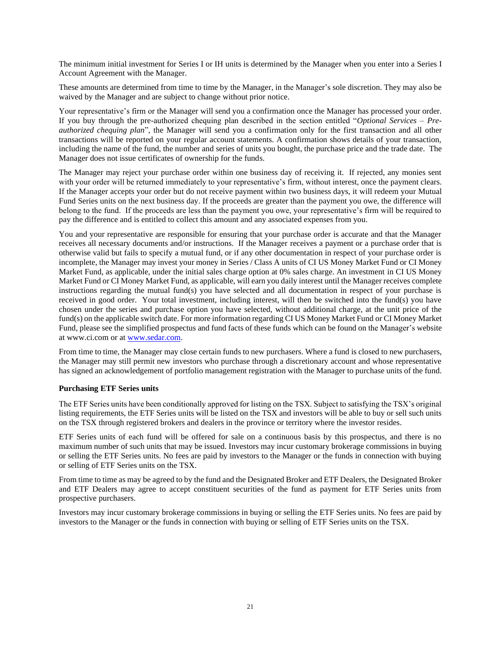The minimum initial investment for Series I or IH units is determined by the Manager when you enter into a Series I Account Agreement with the Manager.

These amounts are determined from time to time by the Manager, in the Manager's sole discretion. They may also be waived by the Manager and are subject to change without prior notice.

Your representative's firm or the Manager will send you a confirmation once the Manager has processed your order. If you buy through the pre-authorized chequing plan described in the section entitled "*Optional Services – Preauthorized chequing plan*", the Manager will send you a confirmation only for the first transaction and all other transactions will be reported on your regular account statements. A confirmation shows details of your transaction, including the name of the fund, the number and series of units you bought, the purchase price and the trade date. The Manager does not issue certificates of ownership for the funds.

The Manager may reject your purchase order within one business day of receiving it. If rejected, any monies sent with your order will be returned immediately to your representative's firm, without interest, once the payment clears. If the Manager accepts your order but do not receive payment within two business days, it will redeem your Mutual Fund Series units on the next business day. If the proceeds are greater than the payment you owe, the difference will belong to the fund. If the proceeds are less than the payment you owe, your representative's firm will be required to pay the difference and is entitled to collect this amount and any associated expenses from you.

You and your representative are responsible for ensuring that your purchase order is accurate and that the Manager receives all necessary documents and/or instructions. If the Manager receives a payment or a purchase order that is otherwise valid but fails to specify a mutual fund, or if any other documentation in respect of your purchase order is incomplete, the Manager may invest your money in Series / Class A units of CI US Money Market Fund or CI Money Market Fund, as applicable, under the initial sales charge option at 0% sales charge. An investment in CI US Money Market Fund or CI Money Market Fund, as applicable, will earn you daily interest until the Manager receives complete instructions regarding the mutual fund(s) you have selected and all documentation in respect of your purchase is received in good order. Your total investment, including interest, will then be switched into the fund(s) you have chosen under the series and purchase option you have selected, without additional charge, at the unit price of the fund(s) on the applicable switch date. For more information regarding CI US Money Market Fund or CI Money Market Fund, please see the simplified prospectus and fund facts of these funds which can be found on the Manager's website at www.ci.com or at [www.sedar.com.](http://www.sedar.com/)

From time to time, the Manager may close certain funds to new purchasers. Where a fund is closed to new purchasers, the Manager may still permit new investors who purchase through a discretionary account and whose representative has signed an acknowledgement of portfolio management registration with the Manager to purchase units of the fund.

#### **Purchasing ETF Series units**

The ETF Series units have been conditionally approved for listing on the TSX. Subject to satisfying the TSX's original listing requirements, the ETF Series units will be listed on the TSX and investors will be able to buy or sell such units on the TSX through registered brokers and dealers in the province or territory where the investor resides.

ETF Series units of each fund will be offered for sale on a continuous basis by this prospectus, and there is no maximum number of such units that may be issued. Investors may incur customary brokerage commissions in buying or selling the ETF Series units. No fees are paid by investors to the Manager or the funds in connection with buying or selling of ETF Series units on the TSX.

From time to time as may be agreed to by the fund and the Designated Broker and ETF Dealers, the Designated Broker and ETF Dealers may agree to accept constituent securities of the fund as payment for ETF Series units from prospective purchasers.

Investors may incur customary brokerage commissions in buying or selling the ETF Series units. No fees are paid by investors to the Manager or the funds in connection with buying or selling of ETF Series units on the TSX.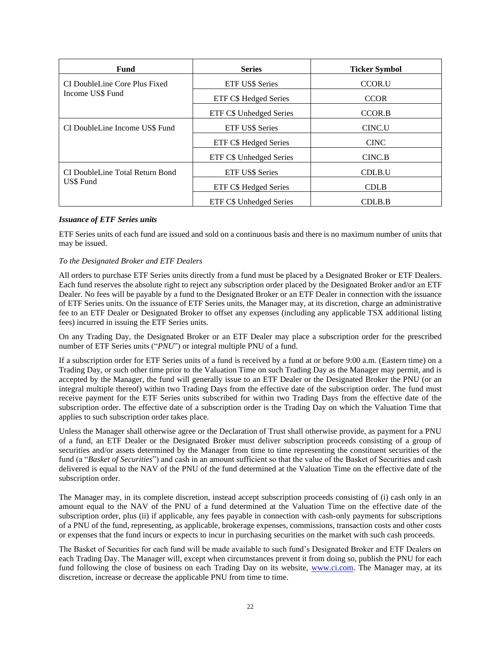| <b>Fund</b>                     | <b>Series</b>           | <b>Ticker Symbol</b> |
|---------------------------------|-------------------------|----------------------|
| CI DoubleLine Core Plus Fixed   | <b>ETF US\$ Series</b>  | <b>CCOR.U</b>        |
| Income US\$ Fund                | ETF C\$ Hedged Series   | <b>CCOR</b>          |
|                                 | ETF C\$ Unhedged Series | <b>CCOR.B</b>        |
| CI DoubleLine Income US\$ Fund  | <b>ETF US\$ Series</b>  | CINC.U               |
|                                 | ETF C\$ Hedged Series   | <b>CINC</b>          |
|                                 | ETF C\$ Unhedged Series | CINC.B               |
| CI DoubleLine Total Return Bond | ETF US\$ Series         | CDLB.U               |
| US\$ Fund                       | ETF C\$ Hedged Series   | <b>CDLB</b>          |
|                                 | ETF C\$ Unhedged Series | CDLB.B               |

### *Issuance of ETF Series units*

ETF Series units of each fund are issued and sold on a continuous basis and there is no maximum number of units that may be issued.

### *To the Designated Broker and ETF Dealers*

All orders to purchase ETF Series units directly from a fund must be placed by a Designated Broker or ETF Dealers. Each fund reserves the absolute right to reject any subscription order placed by the Designated Broker and/or an ETF Dealer. No fees will be payable by a fund to the Designated Broker or an ETF Dealer in connection with the issuance of ETF Series units. On the issuance of ETF Series units, the Manager may, at its discretion, charge an administrative fee to an ETF Dealer or Designated Broker to offset any expenses (including any applicable TSX additional listing fees) incurred in issuing the ETF Series units.

On any Trading Day, the Designated Broker or an ETF Dealer may place a subscription order for the prescribed number of ETF Series units ("*PNU*") or integral multiple PNU of a fund.

If a subscription order for ETF Series units of a fund is received by a fund at or before 9:00 a.m. (Eastern time) on a Trading Day, or such other time prior to the Valuation Time on such Trading Day as the Manager may permit, and is accepted by the Manager, the fund will generally issue to an ETF Dealer or the Designated Broker the PNU (or an integral multiple thereof) within two Trading Days from the effective date of the subscription order. The fund must receive payment for the ETF Series units subscribed for within two Trading Days from the effective date of the subscription order. The effective date of a subscription order is the Trading Day on which the Valuation Time that applies to such subscription order takes place.

Unless the Manager shall otherwise agree or the Declaration of Trust shall otherwise provide, as payment for a PNU of a fund, an ETF Dealer or the Designated Broker must deliver subscription proceeds consisting of a group of securities and/or assets determined by the Manager from time to time representing the constituent securities of the fund (a "*Basket of Securities*") and cash in an amount sufficient so that the value of the Basket of Securities and cash delivered is equal to the NAV of the PNU of the fund determined at the Valuation Time on the effective date of the subscription order.

The Manager may, in its complete discretion, instead accept subscription proceeds consisting of (i) cash only in an amount equal to the NAV of the PNU of a fund determined at the Valuation Time on the effective date of the subscription order, plus (ii) if applicable, any fees payable in connection with cash-only payments for subscriptions of a PNU of the fund, representing, as applicable, brokerage expenses, commissions, transaction costs and other costs or expenses that the fund incurs or expects to incur in purchasing securities on the market with such cash proceeds.

The Basket of Securities for each fund will be made available to such fund's Designated Broker and ETF Dealers on each Trading Day. The Manager will, except when circumstances prevent it from doing so, publish the PNU for each fund following the close of business on each Trading Day on its website, [www.ci.com.](http://www.ci.com/) The Manager may, at its discretion, increase or decrease the applicable PNU from time to time.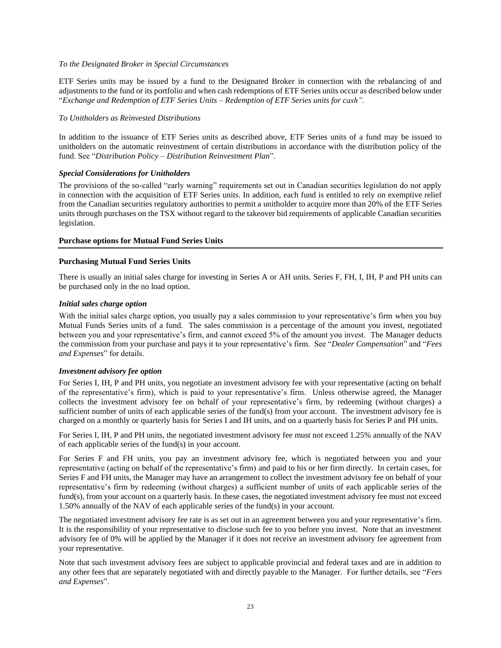#### *To the Designated Broker in Special Circumstances*

ETF Series units may be issued by a fund to the Designated Broker in connection with the rebalancing of and adjustments to the fund or its portfolio and when cash redemptions of ETF Series units occur as described below under "*Exchange and Redemption of ETF Series Units – Redemption of ETF Series units for cash".*

### *To Unitholders as Reinvested Distributions*

In addition to the issuance of ETF Series units as described above, ETF Series units of a fund may be issued to unitholders on the automatic reinvestment of certain distributions in accordance with the distribution policy of the fund. See "*Distribution Policy – Distribution Reinvestment Plan*".

## *Special Considerations for Unitholders*

The provisions of the so-called "early warning" requirements set out in Canadian securities legislation do not apply in connection with the acquisition of ETF Series units. In addition, each fund is entitled to rely on exemptive relief from the Canadian securities regulatory authorities to permit a unitholder to acquire more than 20% of the ETF Series units through purchases on the TSX without regard to the takeover bid requirements of applicable Canadian securities legislation.

## **Purchase options for Mutual Fund Series Units**

## **Purchasing Mutual Fund Series Units**

There is usually an initial sales charge for investing in Series A or AH units. Series F, FH, I, IH, P and PH units can be purchased only in the no load option.

### *Initial sales charge option*

With the initial sales charge option, you usually pay a sales commission to your representative's firm when you buy Mutual Funds Series units of a fund. The sales commission is a percentage of the amount you invest, negotiated between you and your representative's firm, and cannot exceed 5% of the amount you invest. The Manager deducts the commission from your purchase and pays it to your representative's firm. See "*Dealer Compensation*" and "*Fees and Expenses*" for details.

## *Investment advisory fee option*

For Series I, IH, P and PH units, you negotiate an investment advisory fee with your representative (acting on behalf of the representative's firm), which is paid to your representative's firm. Unless otherwise agreed, the Manager collects the investment advisory fee on behalf of your representative's firm, by redeeming (without charges) a sufficient number of units of each applicable series of the fund(s) from your account. The investment advisory fee is charged on a monthly or quarterly basis for Series I and IH units, and on a quarterly basis for Series P and PH units.

For Series I, IH, P and PH units, the negotiated investment advisory fee must not exceed 1.25% annually of the NAV of each applicable series of the fund(s) in your account.

For Series F and FH units, you pay an investment advisory fee, which is negotiated between you and your representative (acting on behalf of the representative's firm) and paid to his or her firm directly. In certain cases, for Series F and FH units, the Manager may have an arrangement to collect the investment advisory fee on behalf of your representative's firm by redeeming (without charges) a sufficient number of units of each applicable series of the fund(s), from your account on a quarterly basis. In these cases, the negotiated investment advisory fee must not exceed 1.50% annually of the NAV of each applicable series of the fund(s) in your account.

The negotiated investment advisory fee rate is as set out in an agreement between you and your representative's firm. It is the responsibility of your representative to disclose such fee to you before you invest. Note that an investment advisory fee of 0% will be applied by the Manager if it does not receive an investment advisory fee agreement from your representative.

Note that such investment advisory fees are subject to applicable provincial and federal taxes and are in addition to any other fees that are separately negotiated with and directly payable to the Manager. For further details, see "*Fees and Expenses*".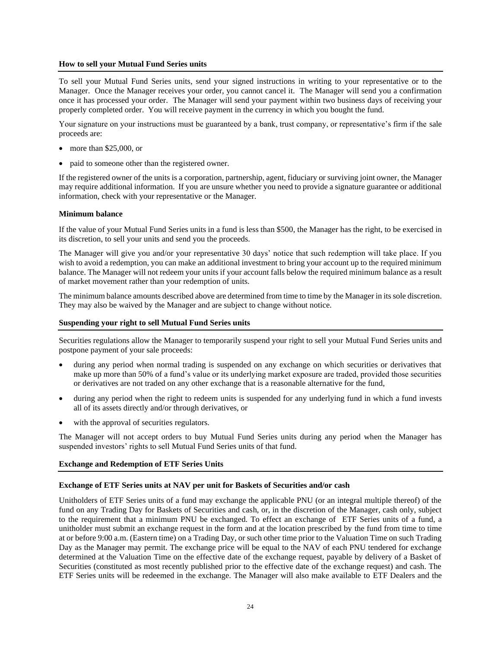#### **How to sell your Mutual Fund Series units**

To sell your Mutual Fund Series units, send your signed instructions in writing to your representative or to the Manager. Once the Manager receives your order, you cannot cancel it. The Manager will send you a confirmation once it has processed your order. The Manager will send your payment within two business days of receiving your properly completed order. You will receive payment in the currency in which you bought the fund.

Your signature on your instructions must be guaranteed by a bank, trust company, or representative's firm if the sale proceeds are:

- more than \$25,000, or
- paid to someone other than the registered owner.

If the registered owner of the units is a corporation, partnership, agent, fiduciary or surviving joint owner, the Manager may require additional information. If you are unsure whether you need to provide a signature guarantee or additional information, check with your representative or the Manager.

#### **Minimum balance**

If the value of your Mutual Fund Series units in a fund is less than \$500, the Manager has the right, to be exercised in its discretion, to sell your units and send you the proceeds.

The Manager will give you and/or your representative 30 days' notice that such redemption will take place. If you wish to avoid a redemption, you can make an additional investment to bring your account up to the required minimum balance. The Manager will not redeem your units if your account falls below the required minimum balance as a result of market movement rather than your redemption of units.

The minimum balance amounts described above are determined from time to time by the Manager in itssole discretion. They may also be waived by the Manager and are subject to change without notice.

#### **Suspending your right to sell Mutual Fund Series units**

Securities regulations allow the Manager to temporarily suspend your right to sell your Mutual Fund Series units and postpone payment of your sale proceeds:

- during any period when normal trading is suspended on any exchange on which securities or derivatives that make up more than 50% of a fund's value or its underlying market exposure are traded, provided those securities or derivatives are not traded on any other exchange that is a reasonable alternative for the fund,
- during any period when the right to redeem units is suspended for any underlying fund in which a fund invests all of its assets directly and/or through derivatives, or
- with the approval of securities regulators.

The Manager will not accept orders to buy Mutual Fund Series units during any period when the Manager has suspended investors' rights to sell Mutual Fund Series units of that fund.

#### **Exchange and Redemption of ETF Series Units**

#### **Exchange of ETF Series units at NAV per unit for Baskets of Securities and/or cash**

Unitholders of ETF Series units of a fund may exchange the applicable PNU (or an integral multiple thereof) of the fund on any Trading Day for Baskets of Securities and cash, or, in the discretion of the Manager, cash only, subject to the requirement that a minimum PNU be exchanged. To effect an exchange of ETF Series units of a fund, a unitholder must submit an exchange request in the form and at the location prescribed by the fund from time to time at or before 9:00 a.m. (Eastern time) on a Trading Day, or such other time prior to the Valuation Time on such Trading Day as the Manager may permit. The exchange price will be equal to the NAV of each PNU tendered for exchange determined at the Valuation Time on the effective date of the exchange request, payable by delivery of a Basket of Securities (constituted as most recently published prior to the effective date of the exchange request) and cash. The ETF Series units will be redeemed in the exchange. The Manager will also make available to ETF Dealers and the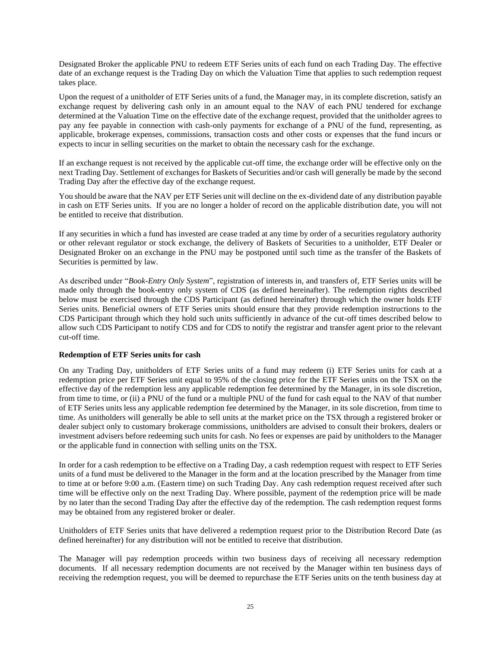Designated Broker the applicable PNU to redeem ETF Series units of each fund on each Trading Day. The effective date of an exchange request is the Trading Day on which the Valuation Time that applies to such redemption request takes place.

Upon the request of a unitholder of ETF Series units of a fund, the Manager may, in its complete discretion, satisfy an exchange request by delivering cash only in an amount equal to the NAV of each PNU tendered for exchange determined at the Valuation Time on the effective date of the exchange request, provided that the unitholder agrees to pay any fee payable in connection with cash-only payments for exchange of a PNU of the fund, representing, as applicable, brokerage expenses, commissions, transaction costs and other costs or expenses that the fund incurs or expects to incur in selling securities on the market to obtain the necessary cash for the exchange.

If an exchange request is not received by the applicable cut-off time, the exchange order will be effective only on the next Trading Day. Settlement of exchanges for Baskets of Securities and/or cash will generally be made by the second Trading Day after the effective day of the exchange request.

You should be aware that the NAV per ETF Series unit will decline on the ex-dividend date of any distribution payable in cash on ETF Series units. If you are no longer a holder of record on the applicable distribution date, you will not be entitled to receive that distribution.

If any securities in which a fund has invested are cease traded at any time by order of a securities regulatory authority or other relevant regulator or stock exchange, the delivery of Baskets of Securities to a unitholder, ETF Dealer or Designated Broker on an exchange in the PNU may be postponed until such time as the transfer of the Baskets of Securities is permitted by law.

As described under "*Book-Entry Only System*", registration of interests in, and transfers of, ETF Series units will be made only through the book-entry only system of CDS (as defined hereinafter). The redemption rights described below must be exercised through the CDS Participant (as defined hereinafter) through which the owner holds ETF Series units. Beneficial owners of ETF Series units should ensure that they provide redemption instructions to the CDS Participant through which they hold such units sufficiently in advance of the cut-off times described below to allow such CDS Participant to notify CDS and for CDS to notify the registrar and transfer agent prior to the relevant cut-off time.

#### **Redemption of ETF Series units for cash**

On any Trading Day, unitholders of ETF Series units of a fund may redeem (i) ETF Series units for cash at a redemption price per ETF Series unit equal to 95% of the closing price for the ETF Series units on the TSX on the effective day of the redemption less any applicable redemption fee determined by the Manager, in its sole discretion, from time to time, or (ii) a PNU of the fund or a multiple PNU of the fund for cash equal to the NAV of that number of ETF Series units less any applicable redemption fee determined by the Manager, in its sole discretion, from time to time. As unitholders will generally be able to sell units at the market price on the TSX through a registered broker or dealer subject only to customary brokerage commissions, unitholders are advised to consult their brokers, dealers or investment advisers before redeeming such units for cash. No fees or expenses are paid by unitholders to the Manager or the applicable fund in connection with selling units on the TSX.

In order for a cash redemption to be effective on a Trading Day, a cash redemption request with respect to ETF Series units of a fund must be delivered to the Manager in the form and at the location prescribed by the Manager from time to time at or before 9:00 a.m. (Eastern time) on such Trading Day. Any cash redemption request received after such time will be effective only on the next Trading Day. Where possible, payment of the redemption price will be made by no later than the second Trading Day after the effective day of the redemption. The cash redemption request forms may be obtained from any registered broker or dealer.

Unitholders of ETF Series units that have delivered a redemption request prior to the Distribution Record Date (as defined hereinafter) for any distribution will not be entitled to receive that distribution.

The Manager will pay redemption proceeds within two business days of receiving all necessary redemption documents. If all necessary redemption documents are not received by the Manager within ten business days of receiving the redemption request, you will be deemed to repurchase the ETF Series units on the tenth business day at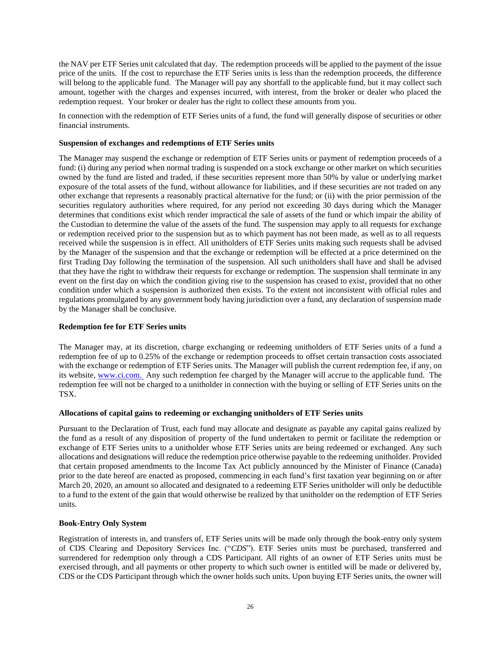the NAV per ETF Series unit calculated that day. The redemption proceeds will be applied to the payment of the issue price of the units. If the cost to repurchase the ETF Series units is less than the redemption proceeds, the difference will belong to the applicable fund. The Manager will pay any shortfall to the applicable fund, but it may collect such amount, together with the charges and expenses incurred, with interest, from the broker or dealer who placed the redemption request. Your broker or dealer has the right to collect these amounts from you.

In connection with the redemption of ETF Series units of a fund, the fund will generally dispose of securities or other financial instruments.

#### **Suspension of exchanges and redemptions of ETF Series units**

The Manager may suspend the exchange or redemption of ETF Series units or payment of redemption proceeds of a fund: (i) during any period when normal trading is suspended on a stock exchange or other market on which securities owned by the fund are listed and traded, if these securities represent more than 50% by value or underlying market exposure of the total assets of the fund, without allowance for liabilities, and if these securities are not traded on any other exchange that represents a reasonably practical alternative for the fund; or (ii) with the prior permission of the securities regulatory authorities where required, for any period not exceeding 30 days during which the Manager determines that conditions exist which render impractical the sale of assets of the fund or which impair the ability of the Custodian to determine the value of the assets of the fund. The suspension may apply to all requests for exchange or redemption received prior to the suspension but as to which payment has not been made, as well as to all requests received while the suspension is in effect. All unitholders of ETF Series units making such requests shall be advised by the Manager of the suspension and that the exchange or redemption will be effected at a price determined on the first Trading Day following the termination of the suspension. All such unitholders shall have and shall be advised that they have the right to withdraw their requests for exchange or redemption. The suspension shall terminate in any event on the first day on which the condition giving rise to the suspension has ceased to exist, provided that no other condition under which a suspension is authorized then exists. To the extent not inconsistent with official rules and regulations promulgated by any government body having jurisdiction over a fund, any declaration of suspension made by the Manager shall be conclusive.

## **Redemption fee for ETF Series units**

The Manager may, at its discretion, charge exchanging or redeeming unitholders of ETF Series units of a fund a redemption fee of up to 0.25% of the exchange or redemption proceeds to offset certain transaction costs associated with the exchange or redemption of ETF Series units. The Manager will publish the current redemption fee, if any, on its website, www.ci.com. Any such redemption fee charged by the Manager will accrue to the applicable fund. The redemption fee will not be charged to a unitholder in connection with the buying or selling of ETF Series units on the TSX.

#### **Allocations of capital gains to redeeming or exchanging unitholders of ETF Series units**

Pursuant to the Declaration of Trust, each fund may allocate and designate as payable any capital gains realized by the fund as a result of any disposition of property of the fund undertaken to permit or facilitate the redemption or exchange of ETF Series units to a unitholder whose ETF Series units are being redeemed or exchanged. Any such allocations and designations will reduce the redemption price otherwise payable to the redeeming unitholder. Provided that certain proposed amendments to the Income Tax Act publicly announced by the Minister of Finance (Canada) prior to the date hereof are enacted as proposed, commencing in each fund's first taxation year beginning on or after March 20, 2020, an amount so allocated and designated to a redeeming ETF Series unitholder will only be deductible to a fund to the extent of the gain that would otherwise be realized by that unitholder on the redemption of ETF Series units.

#### **Book-Entry Only System**

Registration of interests in, and transfers of, ETF Series units will be made only through the book-entry only system of CDS Clearing and Depository Services Inc. ("*CDS*"). ETF Series units must be purchased, transferred and surrendered for redemption only through a CDS Participant. All rights of an owner of ETF Series units must be exercised through, and all payments or other property to which such owner is entitled will be made or delivered by, CDS or the CDS Participant through which the owner holds such units. Upon buying ETF Series units, the owner will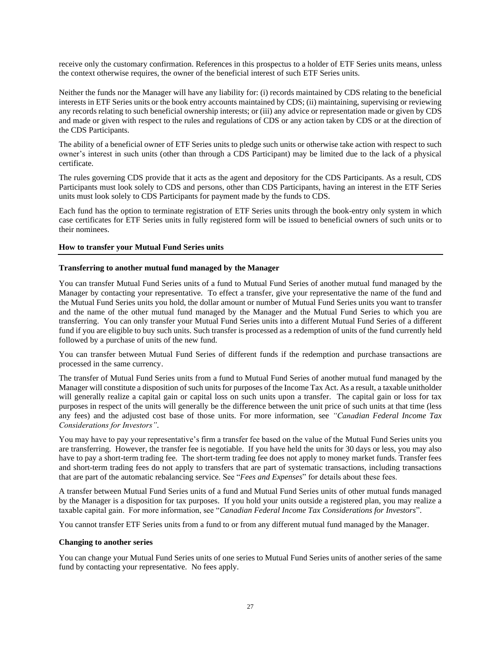receive only the customary confirmation. References in this prospectus to a holder of ETF Series units means, unless the context otherwise requires, the owner of the beneficial interest of such ETF Series units.

Neither the funds nor the Manager will have any liability for: (i) records maintained by CDS relating to the beneficial interests in ETF Series units or the book entry accounts maintained by CDS; (ii) maintaining, supervising or reviewing any records relating to such beneficial ownership interests; or (iii) any advice or representation made or given by CDS and made or given with respect to the rules and regulations of CDS or any action taken by CDS or at the direction of the CDS Participants.

The ability of a beneficial owner of ETF Series units to pledge such units or otherwise take action with respect to such owner's interest in such units (other than through a CDS Participant) may be limited due to the lack of a physical certificate.

The rules governing CDS provide that it acts as the agent and depository for the CDS Participants. As a result, CDS Participants must look solely to CDS and persons, other than CDS Participants, having an interest in the ETF Series units must look solely to CDS Participants for payment made by the funds to CDS.

Each fund has the option to terminate registration of ETF Series units through the book-entry only system in which case certificates for ETF Series units in fully registered form will be issued to beneficial owners of such units or to their nominees.

#### **How to transfer your Mutual Fund Series units**

### **Transferring to another mutual fund managed by the Manager**

You can transfer Mutual Fund Series units of a fund to Mutual Fund Series of another mutual fund managed by the Manager by contacting your representative. To effect a transfer, give your representative the name of the fund and the Mutual Fund Series units you hold, the dollar amount or number of Mutual Fund Series units you want to transfer and the name of the other mutual fund managed by the Manager and the Mutual Fund Series to which you are transferring. You can only transfer your Mutual Fund Series units into a different Mutual Fund Series of a different fund if you are eligible to buy such units. Such transfer is processed as a redemption of units of the fund currently held followed by a purchase of units of the new fund.

You can transfer between Mutual Fund Series of different funds if the redemption and purchase transactions are processed in the same currency.

The transfer of Mutual Fund Series units from a fund to Mutual Fund Series of another mutual fund managed by the Manager will constitute a disposition of such units for purposes of the Income Tax Act. As a result, a taxable unitholder will generally realize a capital gain or capital loss on such units upon a transfer. The capital gain or loss for tax purposes in respect of the units will generally be the difference between the unit price of such units at that time (less any fees) and the adjusted cost base of those units. For more information, see *"Canadian Federal Income Tax Considerations for Investors"*.

You may have to pay your representative's firm a transfer fee based on the value of the Mutual Fund Series units you are transferring. However, the transfer fee is negotiable. If you have held the units for 30 days or less, you may also have to pay a short-term trading fee. The short-term trading fee does not apply to money market funds. Transfer fees and short-term trading fees do not apply to transfers that are part of systematic transactions, including transactions that are part of the automatic rebalancing service. See "*Fees and Expenses*" for details about these fees.

A transfer between Mutual Fund Series units of a fund and Mutual Fund Series units of other mutual funds managed by the Manager is a disposition for tax purposes. If you hold your units outside a registered plan, you may realize a taxable capital gain. For more information, see "*Canadian Federal Income Tax Considerations for Investors*".

You cannot transfer ETF Series units from a fund to or from any different mutual fund managed by the Manager.

#### **Changing to another series**

You can change your Mutual Fund Series units of one series to Mutual Fund Series units of another series of the same fund by contacting your representative. No fees apply.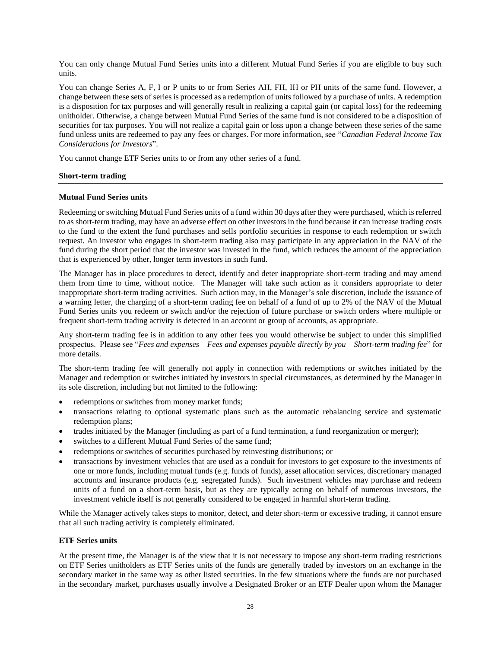You can only change Mutual Fund Series units into a different Mutual Fund Series if you are eligible to buy such units.

You can change Series A, F, I or P units to or from Series AH, FH, IH or PH units of the same fund. However, a change between these sets of series is processed as a redemption of unitsfollowed by a purchase of units. A redemption is a disposition for tax purposes and will generally result in realizing a capital gain (or capital loss) for the redeeming unitholder. Otherwise, a change between Mutual Fund Series of the same fund is not considered to be a disposition of securities for tax purposes. You will not realize a capital gain or loss upon a change between these series of the same fund unless units are redeemed to pay any fees or charges. For more information, see "*Canadian Federal Income Tax Considerations for Investors*".

You cannot change ETF Series units to or from any other series of a fund.

## **Short-term trading**

#### **Mutual Fund Series units**

Redeeming or switching Mutual Fund Series units of a fund within 30 days after they were purchased, which is referred to as short-term trading, may have an adverse effect on other investors in the fund because it can increase trading costs to the fund to the extent the fund purchases and sells portfolio securities in response to each redemption or switch request. An investor who engages in short-term trading also may participate in any appreciation in the NAV of the fund during the short period that the investor was invested in the fund, which reduces the amount of the appreciation that is experienced by other, longer term investors in such fund.

The Manager has in place procedures to detect, identify and deter inappropriate short-term trading and may amend them from time to time, without notice. The Manager will take such action as it considers appropriate to deter inappropriate short-term trading activities. Such action may, in the Manager's sole discretion, include the issuance of a warning letter, the charging of a short-term trading fee on behalf of a fund of up to 2% of the NAV of the Mutual Fund Series units you redeem or switch and/or the rejection of future purchase or switch orders where multiple or frequent short-term trading activity is detected in an account or group of accounts, as appropriate.

Any short-term trading fee is in addition to any other fees you would otherwise be subject to under this simplified prospectus. Please see "*Fees and expenses – Fees and expenses payable directly by you – Short-term trading fee*" for more details.

The short-term trading fee will generally not apply in connection with redemptions or switches initiated by the Manager and redemption or switches initiated by investors in special circumstances, as determined by the Manager in its sole discretion, including but not limited to the following:

- redemptions or switches from money market funds;
- transactions relating to optional systematic plans such as the automatic rebalancing service and systematic redemption plans;
- trades initiated by the Manager (including as part of a fund termination, a fund reorganization or merger);
- switches to a different Mutual Fund Series of the same fund;
- redemptions or switches of securities purchased by reinvesting distributions; or
- transactions by investment vehicles that are used as a conduit for investors to get exposure to the investments of one or more funds, including mutual funds (e.g. funds of funds), asset allocation services, discretionary managed accounts and insurance products (e.g. segregated funds). Such investment vehicles may purchase and redeem units of a fund on a short-term basis, but as they are typically acting on behalf of numerous investors, the investment vehicle itself is not generally considered to be engaged in harmful short-term trading.

While the Manager actively takes steps to monitor, detect, and deter short-term or excessive trading, it cannot ensure that all such trading activity is completely eliminated.

#### **ETF Series units**

At the present time, the Manager is of the view that it is not necessary to impose any short-term trading restrictions on ETF Series unitholders as ETF Series units of the funds are generally traded by investors on an exchange in the secondary market in the same way as other listed securities. In the few situations where the funds are not purchased in the secondary market, purchases usually involve a Designated Broker or an ETF Dealer upon whom the Manager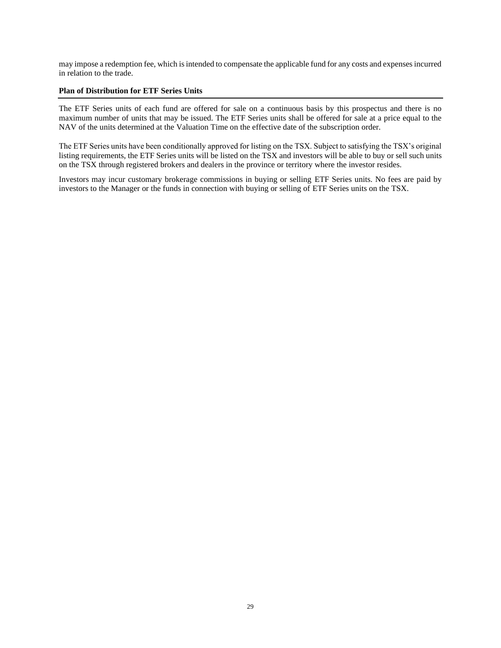may impose a redemption fee, which is intended to compensate the applicable fund for any costs and expenses incurred in relation to the trade.

#### **Plan of Distribution for ETF Series Units**

The ETF Series units of each fund are offered for sale on a continuous basis by this prospectus and there is no maximum number of units that may be issued. The ETF Series units shall be offered for sale at a price equal to the NAV of the units determined at the Valuation Time on the effective date of the subscription order.

The ETF Series units have been conditionally approved for listing on the TSX. Subject to satisfying the TSX's original listing requirements, the ETF Series units will be listed on the TSX and investors will be able to buy or sell such units on the TSX through registered brokers and dealers in the province or territory where the investor resides.

Investors may incur customary brokerage commissions in buying or selling ETF Series units. No fees are paid by investors to the Manager or the funds in connection with buying or selling of ETF Series units on the TSX.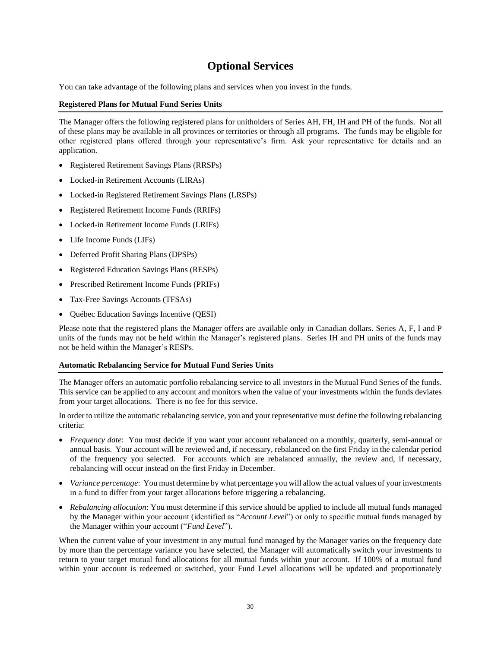## **Optional Services**

<span id="page-31-0"></span>You can take advantage of the following plans and services when you invest in the funds.

### **Registered Plans for Mutual Fund Series Units**

The Manager offers the following registered plans for unitholders of Series AH, FH, IH and PH of the funds. Not all of these plans may be available in all provinces or territories or through all programs. The funds may be eligible for other registered plans offered through your representative's firm. Ask your representative for details and an application.

- Registered Retirement Savings Plans (RRSPs)
- Locked-in Retirement Accounts (LIRAs)
- Locked-in Registered Retirement Savings Plans (LRSPs)
- Registered Retirement Income Funds (RRIFs)
- Locked-in Retirement Income Funds (LRIFs)
- Life Income Funds (LIFs)
- Deferred Profit Sharing Plans (DPSPs)
- Registered Education Savings Plans (RESPs)
- Prescribed Retirement Income Funds (PRIFs)
- Tax-Free Savings Accounts (TFSAs)
- Québec Education Savings Incentive (QESI)

Please note that the registered plans the Manager offers are available only in Canadian dollars. Series A, F, I and P units of the funds may not be held within the Manager's registered plans. Series IH and PH units of the funds may not be held within the Manager's RESPs.

#### **Automatic Rebalancing Service for Mutual Fund Series Units**

The Manager offers an automatic portfolio rebalancing service to all investors in the Mutual Fund Series of the funds. This service can be applied to any account and monitors when the value of your investments within the funds deviates from your target allocations. There is no fee for this service.

In order to utilize the automatic rebalancing service, you and your representative must define the following rebalancing criteria:

- *Frequency date*: You must decide if you want your account rebalanced on a monthly, quarterly, semi-annual or annual basis. Your account will be reviewed and, if necessary, rebalanced on the first Friday in the calendar period of the frequency you selected. For accounts which are rebalanced annually, the review and, if necessary, rebalancing will occur instead on the first Friday in December.
- *Variance percentage*: You must determine by what percentage you will allow the actual values of your investments in a fund to differ from your target allocations before triggering a rebalancing.
- *Rebalancing allocation*: You must determine if this service should be applied to include all mutual funds managed by the Manager within your account (identified as "*Account Level*") or only to specific mutual funds managed by the Manager within your account ("*Fund Level*").

When the current value of your investment in any mutual fund managed by the Manager varies on the frequency date by more than the percentage variance you have selected, the Manager will automatically switch your investments to return to your target mutual fund allocations for all mutual funds within your account. If 100% of a mutual fund within your account is redeemed or switched, your Fund Level allocations will be updated and proportionately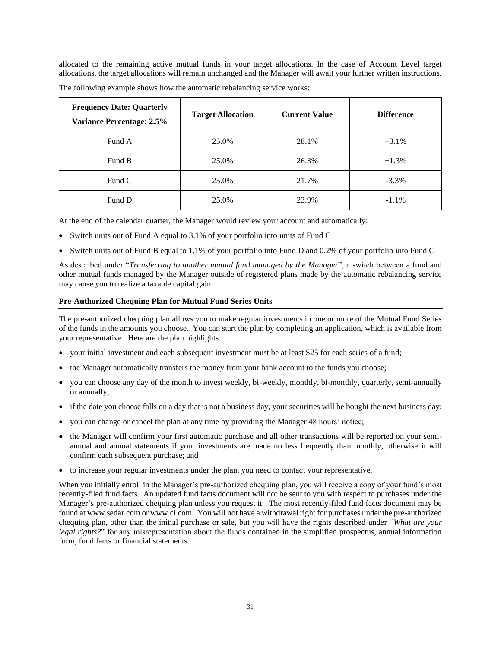allocated to the remaining active mutual funds in your target allocations. In the case of Account Level target allocations, the target allocations will remain unchanged and the Manager will await your further written instructions.

| <b>Frequency Date: Quarterly</b><br><b>Variance Percentage: 2.5%</b> | <b>Target Allocation</b> | <b>Current Value</b> | <b>Difference</b> |
|----------------------------------------------------------------------|--------------------------|----------------------|-------------------|
| Fund A                                                               | 25.0%                    | 28.1%                | $+3.1\%$          |
| Fund B                                                               | 25.0%                    | 26.3%                | $+1.3%$           |
| Fund C                                                               | 25.0%                    | 21.7%                | $-3.3\%$          |
| Fund D                                                               | 25.0%                    | 23.9%                | $-1.1\%$          |

The following example shows how the automatic rebalancing service works:

At the end of the calendar quarter, the Manager would review your account and automatically:

- Switch units out of Fund A equal to 3.1% of your portfolio into units of Fund C
- Switch units out of Fund B equal to 1.1% of your portfolio into Fund D and 0.2% of your portfolio into Fund C

As described under "*Transferring to another mutual fund managed by the Manager*", a switch between a fund and other mutual funds managed by the Manager outside of registered plans made by the automatic rebalancing service may cause you to realize a taxable capital gain.

### **Pre-Authorized Chequing Plan for Mutual Fund Series Units**

The pre-authorized chequing plan allows you to make regular investments in one or more of the Mutual Fund Series of the funds in the amounts you choose. You can start the plan by completing an application, which is available from your representative. Here are the plan highlights:

- your initial investment and each subsequent investment must be at least \$25 for each series of a fund;
- the Manager automatically transfers the money from your bank account to the funds you choose;
- you can choose any day of the month to invest weekly, bi-weekly, monthly, bi-monthly, quarterly, semi-annually or annually;
- if the date you choose falls on a day that is not a business day, your securities will be bought the next business day;
- you can change or cancel the plan at any time by providing the Manager 48 hours' notice;
- the Manager will confirm your first automatic purchase and all other transactions will be reported on your semiannual and annual statements if your investments are made no less frequently than monthly, otherwise it will confirm each subsequent purchase; and
- to increase your regular investments under the plan, you need to contact your representative.

When you initially enroll in the Manager's pre-authorized chequing plan, you will receive a copy of your fund's most recently-filed fund facts. An updated fund facts document will not be sent to you with respect to purchases under the Manager's pre-authorized chequing plan unless you request it. The most recently-filed fund facts document may be found at www.sedar.com or www.ci.com. You will not have a withdrawal right for purchases under the pre-authorized chequing plan, other than the initial purchase or sale, but you will have the rights described under "*What are your legal rights?*" for any misrepresentation about the funds contained in the simplified prospectus, annual information form, fund facts or financial statements.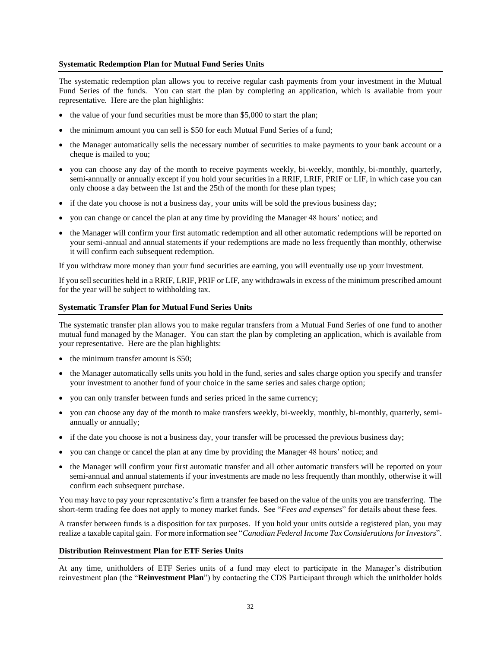#### **Systematic Redemption Plan for Mutual Fund Series Units**

The systematic redemption plan allows you to receive regular cash payments from your investment in the Mutual Fund Series of the funds. You can start the plan by completing an application, which is available from your representative. Here are the plan highlights:

- the value of your fund securities must be more than \$5,000 to start the plan;
- the minimum amount you can sell is \$50 for each Mutual Fund Series of a fund;
- the Manager automatically sells the necessary number of securities to make payments to your bank account or a cheque is mailed to you;
- you can choose any day of the month to receive payments weekly, bi-weekly, monthly, bi-monthly, quarterly, semi-annually or annually except if you hold your securities in a RRIF, LRIF, PRIF or LIF, in which case you can only choose a day between the 1st and the 25th of the month for these plan types;
- if the date you choose is not a business day, your units will be sold the previous business day;
- you can change or cancel the plan at any time by providing the Manager 48 hours' notice; and
- the Manager will confirm your first automatic redemption and all other automatic redemptions will be reported on your semi-annual and annual statements if your redemptions are made no less frequently than monthly, otherwise it will confirm each subsequent redemption.

If you withdraw more money than your fund securities are earning, you will eventually use up your investment.

If you sell securities held in a RRIF, LRIF, PRIF or LIF, any withdrawals in excess of the minimum prescribed amount for the year will be subject to withholding tax.

#### **Systematic Transfer Plan for Mutual Fund Series Units**

The systematic transfer plan allows you to make regular transfers from a Mutual Fund Series of one fund to another mutual fund managed by the Manager. You can start the plan by completing an application, which is available from your representative. Here are the plan highlights:

- the minimum transfer amount is \$50;
- the Manager automatically sells units you hold in the fund, series and sales charge option you specify and transfer your investment to another fund of your choice in the same series and sales charge option;
- you can only transfer between funds and series priced in the same currency;
- you can choose any day of the month to make transfers weekly, bi-weekly, monthly, bi-monthly, quarterly, semiannually or annually;
- if the date you choose is not a business day, your transfer will be processed the previous business day;
- you can change or cancel the plan at any time by providing the Manager 48 hours' notice; and
- the Manager will confirm your first automatic transfer and all other automatic transfers will be reported on your semi-annual and annual statements if your investments are made no less frequently than monthly, otherwise it will confirm each subsequent purchase.

You may have to pay your representative's firm a transfer fee based on the value of the units you are transferring. The short-term trading fee does not apply to money market funds. See "*Fees and expenses*" for details about these fees.

A transfer between funds is a disposition for tax purposes. If you hold your units outside a registered plan, you may realize a taxable capital gain. For more information see "*Canadian Federal Income Tax Considerations for Investors*".

#### **Distribution Reinvestment Plan for ETF Series Units**

At any time, unitholders of ETF Series units of a fund may elect to participate in the Manager's distribution reinvestment plan (the "**Reinvestment Plan**") by contacting the CDS Participant through which the unitholder holds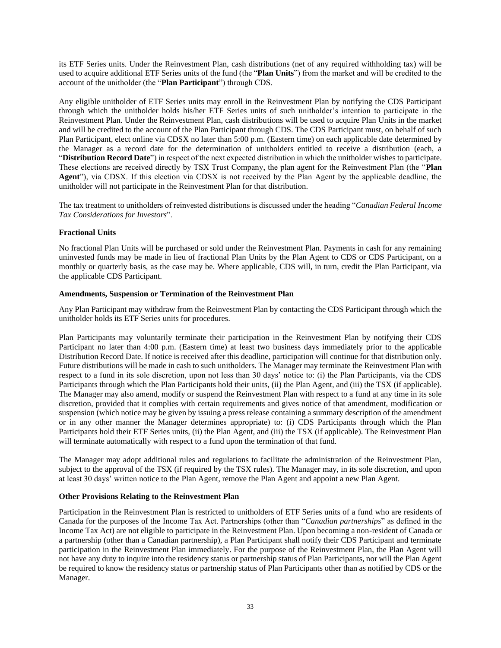its ETF Series units. Under the Reinvestment Plan, cash distributions (net of any required withholding tax) will be used to acquire additional ETF Series units of the fund (the "**Plan Units**") from the market and will be credited to the account of the unitholder (the "**Plan Participant**") through CDS.

Any eligible unitholder of ETF Series units may enroll in the Reinvestment Plan by notifying the CDS Participant through which the unitholder holds his/her ETF Series units of such unitholder's intention to participate in the Reinvestment Plan. Under the Reinvestment Plan, cash distributions will be used to acquire Plan Units in the market and will be credited to the account of the Plan Participant through CDS. The CDS Participant must, on behalf of such Plan Participant, elect online via CDSX no later than 5:00 p.m. (Eastern time) on each applicable date determined by the Manager as a record date for the determination of unitholders entitled to receive a distribution (each, a "**Distribution Record Date**") in respect of the next expected distribution in which the unitholder wishes to participate. These elections are received directly by TSX Trust Company, the plan agent for the Reinvestment Plan (the "**Plan Agent**"), via CDSX. If this election via CDSX is not received by the Plan Agent by the applicable deadline, the unitholder will not participate in the Reinvestment Plan for that distribution.

The tax treatment to unitholders of reinvested distributions is discussed under the heading "*Canadian Federal Income Tax Considerations for Investors*".

## **Fractional Units**

No fractional Plan Units will be purchased or sold under the Reinvestment Plan. Payments in cash for any remaining uninvested funds may be made in lieu of fractional Plan Units by the Plan Agent to CDS or CDS Participant, on a monthly or quarterly basis, as the case may be. Where applicable, CDS will, in turn, credit the Plan Participant, via the applicable CDS Participant.

### **Amendments, Suspension or Termination of the Reinvestment Plan**

Any Plan Participant may withdraw from the Reinvestment Plan by contacting the CDS Participant through which the unitholder holds its ETF Series units for procedures.

Plan Participants may voluntarily terminate their participation in the Reinvestment Plan by notifying their CDS Participant no later than 4:00 p.m. (Eastern time) at least two business days immediately prior to the applicable Distribution Record Date. If notice is received after this deadline, participation will continue for that distribution only. Future distributions will be made in cash to such unitholders. The Manager may terminate the Reinvestment Plan with respect to a fund in its sole discretion, upon not less than 30 days' notice to: (i) the Plan Participants, via the CDS Participants through which the Plan Participants hold their units, (ii) the Plan Agent, and (iii) the TSX (if applicable). The Manager may also amend, modify or suspend the Reinvestment Plan with respect to a fund at any time in its sole discretion, provided that it complies with certain requirements and gives notice of that amendment, modification or suspension (which notice may be given by issuing a press release containing a summary description of the amendment or in any other manner the Manager determines appropriate) to: (i) CDS Participants through which the Plan Participants hold their ETF Series units, (ii) the Plan Agent, and (iii) the TSX (if applicable). The Reinvestment Plan will terminate automatically with respect to a fund upon the termination of that fund.

The Manager may adopt additional rules and regulations to facilitate the administration of the Reinvestment Plan, subject to the approval of the TSX (if required by the TSX rules). The Manager may, in its sole discretion, and upon at least 30 days' written notice to the Plan Agent, remove the Plan Agent and appoint a new Plan Agent.

## **Other Provisions Relating to the Reinvestment Plan**

Participation in the Reinvestment Plan is restricted to unitholders of ETF Series units of a fund who are residents of Canada for the purposes of the Income Tax Act. Partnerships (other than "*Canadian partnerships*" as defined in the Income Tax Act) are not eligible to participate in the Reinvestment Plan. Upon becoming a non-resident of Canada or a partnership (other than a Canadian partnership), a Plan Participant shall notify their CDS Participant and terminate participation in the Reinvestment Plan immediately. For the purpose of the Reinvestment Plan, the Plan Agent will not have any duty to inquire into the residency status or partnership status of Plan Participants, nor will the Plan Agent be required to know the residency status or partnership status of Plan Participants other than as notified by CDS or the Manager.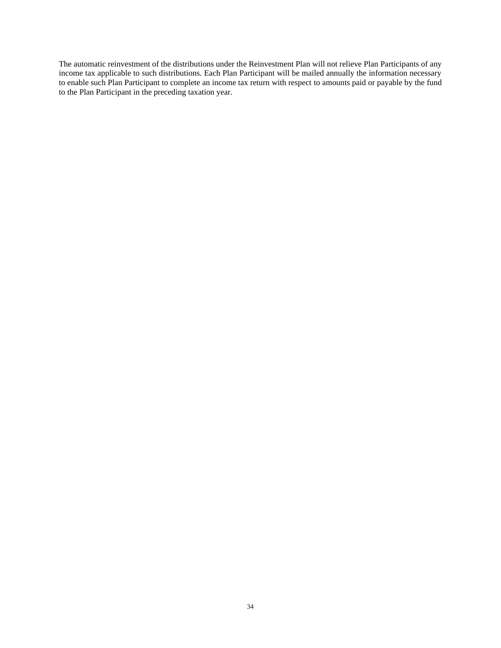The automatic reinvestment of the distributions under the Reinvestment Plan will not relieve Plan Participants of any income tax applicable to such distributions. Each Plan Participant will be mailed annually the information necessary to enable such Plan Participant to complete an income tax return with respect to amounts paid or payable by the fund to the Plan Participant in the preceding taxation year.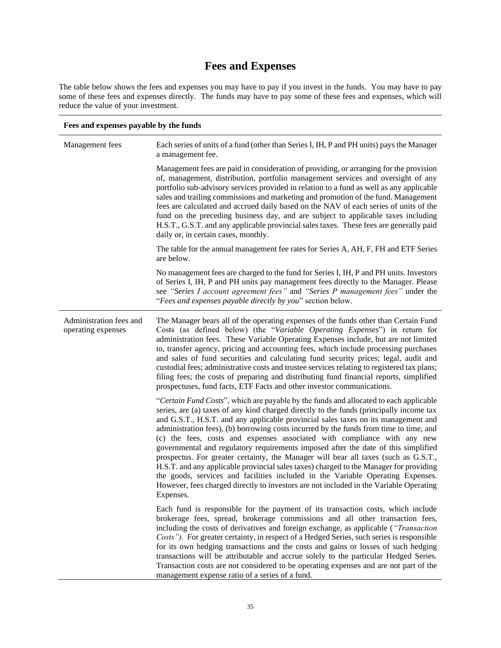# **Fees and Expenses**

<span id="page-36-0"></span>The table below shows the fees and expenses you may have to pay if you invest in the funds. You may have to pay some of these fees and expenses directly. The funds may have to pay some of these fees and expenses, which will reduce the value of your investment.

| Fees and expenses payable by the funds        |                                                                                                                                                                                                                                                                                                                                                                                                                                                                                                                                                                                                                                                                                                                                                                                                                                                                                                               |  |  |
|-----------------------------------------------|---------------------------------------------------------------------------------------------------------------------------------------------------------------------------------------------------------------------------------------------------------------------------------------------------------------------------------------------------------------------------------------------------------------------------------------------------------------------------------------------------------------------------------------------------------------------------------------------------------------------------------------------------------------------------------------------------------------------------------------------------------------------------------------------------------------------------------------------------------------------------------------------------------------|--|--|
| Management fees                               | Each series of units of a fund (other than Series I, IH, P and PH units) pays the Manager<br>a management fee.                                                                                                                                                                                                                                                                                                                                                                                                                                                                                                                                                                                                                                                                                                                                                                                                |  |  |
|                                               | Management fees are paid in consideration of providing, or arranging for the provision<br>of, management, distribution, portfolio management services and oversight of any<br>portfolio sub-advisory services provided in relation to a fund as well as any applicable<br>sales and trailing commissions and marketing and promotion of the fund. Management<br>fees are calculated and accrued daily based on the NAV of each series of units of the<br>fund on the preceding business day, and are subject to applicable taxes including<br>H.S.T., G.S.T. and any applicable provincial sales taxes. These fees are generally paid<br>daily or, in certain cases, monthly.                                                                                                                                                                                                                                 |  |  |
|                                               | The table for the annual management fee rates for Series A, AH, F, FH and ETF Series<br>are below.                                                                                                                                                                                                                                                                                                                                                                                                                                                                                                                                                                                                                                                                                                                                                                                                            |  |  |
|                                               | No management fees are charged to the fund for Series I, IH, P and PH units. Investors<br>of Series I, IH, P and PH units pay management fees directly to the Manager. Please<br>see "Series I account agreement fees" and "Series P management fees" under the<br>"Fees and expenses payable directly by you" section below.                                                                                                                                                                                                                                                                                                                                                                                                                                                                                                                                                                                 |  |  |
| Administration fees and<br>operating expenses | The Manager bears all of the operating expenses of the funds other than Certain Fund<br>Costs (as defined below) (the "Variable Operating Expenses") in return for<br>administration fees. These Variable Operating Expenses include, but are not limited<br>to, transfer agency, pricing and accounting fees, which include processing purchases<br>and sales of fund securities and calculating fund security prices; legal, audit and<br>custodial fees; administrative costs and trustee services relating to registered tax plans;<br>filing fees; the costs of preparing and distributing fund financial reports, simplified<br>prospectuses, fund facts, ETF Facts and other investor communications.                                                                                                                                                                                                  |  |  |
|                                               | "Certain Fund Costs", which are payable by the funds and allocated to each applicable<br>series, are (a) taxes of any kind charged directly to the funds (principally income tax<br>and G.S.T., H.S.T. and any applicable provincial sales taxes on its management and<br>administration fees), (b) borrowing costs incurred by the funds from time to time, and<br>(c) the fees, costs and expenses associated with compliance with any new<br>governmental and regulatory requirements imposed after the date of this simplified<br>prospectus. For greater certainty, the Manager will bear all taxes (such as G.S.T.,<br>H.S.T. and any applicable provincial sales taxes) charged to the Manager for providing<br>the goods, services and facilities included in the Variable Operating Expenses.<br>However, fees charged directly to investors are not included in the Variable Operating<br>Expenses. |  |  |
|                                               | Each fund is responsible for the payment of its transaction costs, which include<br>brokerage fees, spread, brokerage commissions and all other transaction fees,<br>including the costs of derivatives and foreign exchange, as applicable ("Transaction<br>Costs"). For greater certainty, in respect of a Hedged Series, such series is responsible<br>for its own hedging transactions and the costs and gains or losses of such hedging<br>transactions will be attributable and accrue solely to the particular Hedged Series.<br>Transaction costs are not considered to be operating expenses and are not part of the<br>management expense ratio of a series of a fund.                                                                                                                                                                                                                              |  |  |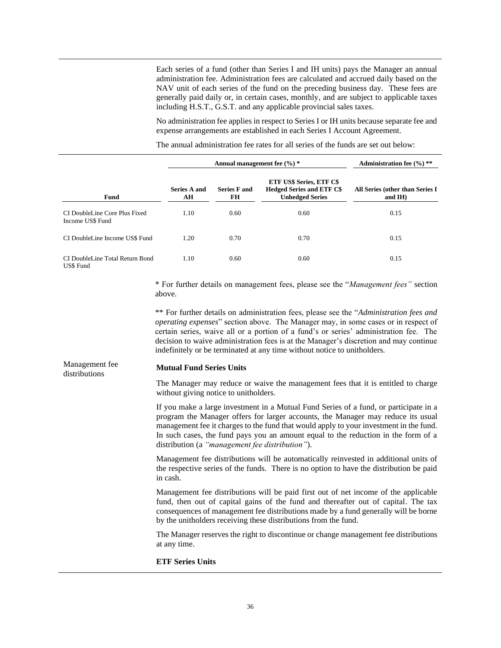Each series of a fund (other than Series I and IH units) pays the Manager an annual administration fee. Administration fees are calculated and accrued daily based on the NAV unit of each series of the fund on the preceding business day. These fees are generally paid daily or, in certain cases, monthly, and are subject to applicable taxes including H.S.T., G.S.T. and any applicable provincial sales taxes.

No administration fee applies in respect to Series I or IH units because separate fee and expense arrangements are established in each Series I Account Agreement.

The annual administration fee rates for all series of the funds are set out below:

|                                                   | Annual management fee $(\frac{9}{6})$ * |                           |                                                                                               | Administration fee $(\frac{9}{6})$ **            |  |
|---------------------------------------------------|-----------------------------------------|---------------------------|-----------------------------------------------------------------------------------------------|--------------------------------------------------|--|
| <b>Fund</b>                                       | Series A and<br>AH                      | <b>Series F and</b><br>FH | <b>ETF US\$ Series, ETF C\$</b><br><b>Hedged Series and ETF C\$</b><br><b>Unhedged Series</b> | All Series (other than Series I<br>and $I$ H $)$ |  |
| CI DoubleLine Core Plus Fixed<br>Income US\$ Fund | 1.10                                    | 0.60                      | 0.60                                                                                          | 0.15                                             |  |
| CI DoubleLine Income US\$ Fund                    | 1.20                                    | 0.70                      | 0.70                                                                                          | 0.15                                             |  |
| CI DoubleLine Total Return Bond<br>US\$ Fund      | 1.10                                    | 0.60                      | 0.60                                                                                          | 0.15                                             |  |

\* For further details on management fees, please see the "*Management fees"* section above.

\*\* For further details on administration fees, please see the "*Administration fees and operating expenses*" section above. The Manager may, in some cases or in respect of certain series, waive all or a portion of a fund's or series' administration fee. The decision to waive administration fees is at the Manager's discretion and may continue indefinitely or be terminated at any time without notice to unitholders.

#### Management fee distributions

#### **Mutual Fund Series Units**

The Manager may reduce or waive the management fees that it is entitled to charge without giving notice to unitholders.

If you make a large investment in a Mutual Fund Series of a fund, or participate in a program the Manager offers for larger accounts, the Manager may reduce its usual management fee it charges to the fund that would apply to your investment in the fund. In such cases, the fund pays you an amount equal to the reduction in the form of a distribution (a *"management fee distribution"*).

Management fee distributions will be automatically reinvested in additional units of the respective series of the funds. There is no option to have the distribution be paid in cash.

Management fee distributions will be paid first out of net income of the applicable fund, then out of capital gains of the fund and thereafter out of capital. The tax consequences of management fee distributions made by a fund generally will be borne by the unitholders receiving these distributions from the fund.

The Manager reserves the right to discontinue or change management fee distributions at any time.

#### **ETF Series Units**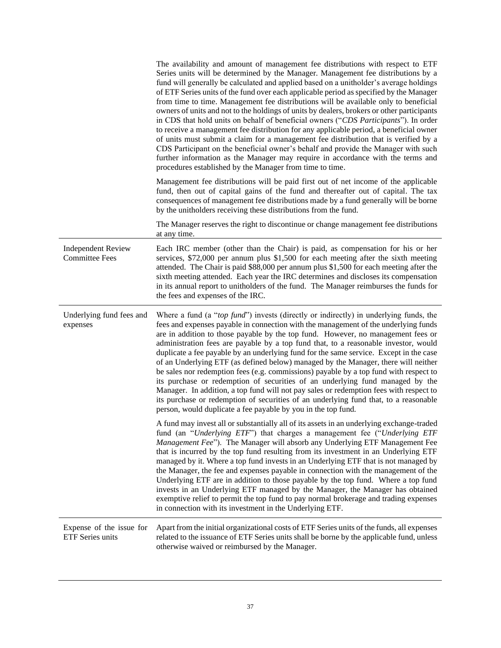|                                                    | The availability and amount of management fee distributions with respect to ETF<br>Series units will be determined by the Manager. Management fee distributions by a<br>fund will generally be calculated and applied based on a unitholder's average holdings<br>of ETF Series units of the fund over each applicable period as specified by the Manager<br>from time to time. Management fee distributions will be available only to beneficial<br>owners of units and not to the holdings of units by dealers, brokers or other participants<br>in CDS that hold units on behalf of beneficial owners ("CDS Participants"). In order<br>to receive a management fee distribution for any applicable period, a beneficial owner<br>of units must submit a claim for a management fee distribution that is verified by a<br>CDS Participant on the beneficial owner's behalf and provide the Manager with such<br>further information as the Manager may require in accordance with the terms and<br>procedures established by the Manager from time to time. |
|----------------------------------------------------|----------------------------------------------------------------------------------------------------------------------------------------------------------------------------------------------------------------------------------------------------------------------------------------------------------------------------------------------------------------------------------------------------------------------------------------------------------------------------------------------------------------------------------------------------------------------------------------------------------------------------------------------------------------------------------------------------------------------------------------------------------------------------------------------------------------------------------------------------------------------------------------------------------------------------------------------------------------------------------------------------------------------------------------------------------------|
|                                                    | Management fee distributions will be paid first out of net income of the applicable<br>fund, then out of capital gains of the fund and thereafter out of capital. The tax<br>consequences of management fee distributions made by a fund generally will be borne<br>by the unitholders receiving these distributions from the fund.                                                                                                                                                                                                                                                                                                                                                                                                                                                                                                                                                                                                                                                                                                                            |
|                                                    | The Manager reserves the right to discontinue or change management fee distributions<br>at any time.                                                                                                                                                                                                                                                                                                                                                                                                                                                                                                                                                                                                                                                                                                                                                                                                                                                                                                                                                           |
| <b>Independent Review</b><br><b>Committee Fees</b> | Each IRC member (other than the Chair) is paid, as compensation for his or her<br>services, \$72,000 per annum plus \$1,500 for each meeting after the sixth meeting<br>attended. The Chair is paid \$88,000 per annum plus \$1,500 for each meeting after the<br>sixth meeting attended. Each year the IRC determines and discloses its compensation<br>in its annual report to unitholders of the fund. The Manager reimburses the funds for<br>the fees and expenses of the IRC.                                                                                                                                                                                                                                                                                                                                                                                                                                                                                                                                                                            |
| Underlying fund fees and<br>expenses               | Where a fund (a "top fund") invests (directly or indirectly) in underlying funds, the<br>fees and expenses payable in connection with the management of the underlying funds<br>are in addition to those payable by the top fund. However, no management fees or<br>administration fees are payable by a top fund that, to a reasonable investor, would<br>duplicate a fee payable by an underlying fund for the same service. Except in the case<br>of an Underlying ETF (as defined below) managed by the Manager, there will neither<br>be sales nor redemption fees (e.g. commissions) payable by a top fund with respect to<br>its purchase or redemption of securities of an underlying fund managed by the<br>Manager. In addition, a top fund will not pay sales or redemption fees with respect to                                                                                                                                                                                                                                                    |
|                                                    | its purchase or redemption of securities of an underlying fund that, to a reasonable<br>person, would duplicate a fee payable by you in the top fund.                                                                                                                                                                                                                                                                                                                                                                                                                                                                                                                                                                                                                                                                                                                                                                                                                                                                                                          |
|                                                    | A fund may invest all or substantially all of its assets in an underlying exchange-traded<br>fund (an "Underlying ETF") that charges a management fee ("Underlying ETF<br>Management Fee"). The Manager will absorb any Underlying ETF Management Fee<br>that is incurred by the top fund resulting from its investment in an Underlying ETF<br>managed by it. Where a top fund invests in an Underlying ETF that is not managed by<br>the Manager, the fee and expenses payable in connection with the management of the<br>Underlying ETF are in addition to those payable by the top fund. Where a top fund<br>invests in an Underlying ETF managed by the Manager, the Manager has obtained<br>exemptive relief to permit the top fund to pay normal brokerage and trading expenses<br>in connection with its investment in the Underlying ETF.                                                                                                                                                                                                            |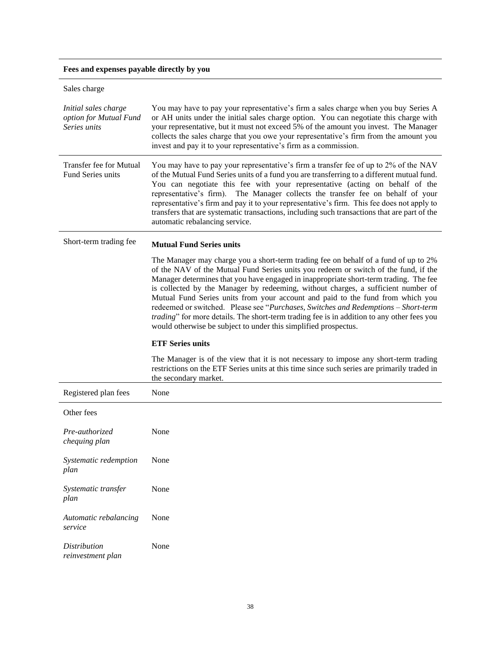**Fees and expenses payable directly by you**

| Sales charge                                                   |                                                                                                                                                                                                                                                                                                                                                                                                                                                                                                                                                                                                                                                                                                   |
|----------------------------------------------------------------|---------------------------------------------------------------------------------------------------------------------------------------------------------------------------------------------------------------------------------------------------------------------------------------------------------------------------------------------------------------------------------------------------------------------------------------------------------------------------------------------------------------------------------------------------------------------------------------------------------------------------------------------------------------------------------------------------|
| Initial sales charge<br>option for Mutual Fund<br>Series units | You may have to pay your representative's firm a sales charge when you buy Series A<br>or AH units under the initial sales charge option. You can negotiate this charge with<br>your representative, but it must not exceed 5% of the amount you invest. The Manager<br>collects the sales charge that you owe your representative's firm from the amount you<br>invest and pay it to your representative's firm as a commission.                                                                                                                                                                                                                                                                 |
| Transfer fee for Mutual<br>Fund Series units                   | You may have to pay your representative's firm a transfer fee of up to 2% of the NAV<br>of the Mutual Fund Series units of a fund you are transferring to a different mutual fund.<br>You can negotiate this fee with your representative (acting on behalf of the<br>representative's firm). The Manager collects the transfer fee on behalf of your<br>representative's firm and pay it to your representative's firm. This fee does not apply to<br>transfers that are systematic transactions, including such transactions that are part of the<br>automatic rebalancing service.                                                                                                             |
| Short-term trading fee                                         | <b>Mutual Fund Series units</b>                                                                                                                                                                                                                                                                                                                                                                                                                                                                                                                                                                                                                                                                   |
|                                                                | The Manager may charge you a short-term trading fee on behalf of a fund of up to 2%<br>of the NAV of the Mutual Fund Series units you redeem or switch of the fund, if the<br>Manager determines that you have engaged in inappropriate short-term trading. The fee<br>is collected by the Manager by redeeming, without charges, a sufficient number of<br>Mutual Fund Series units from your account and paid to the fund from which you<br>redeemed or switched. Please see "Purchases, Switches and Redemptions - Short-term<br>trading" for more details. The short-term trading fee is in addition to any other fees you<br>would otherwise be subject to under this simplified prospectus. |
|                                                                | <b>ETF Series units</b>                                                                                                                                                                                                                                                                                                                                                                                                                                                                                                                                                                                                                                                                           |
|                                                                | The Manager is of the view that it is not necessary to impose any short-term trading<br>restrictions on the ETF Series units at this time since such series are primarily traded in<br>the secondary market.                                                                                                                                                                                                                                                                                                                                                                                                                                                                                      |
| Registered plan fees                                           | None                                                                                                                                                                                                                                                                                                                                                                                                                                                                                                                                                                                                                                                                                              |
| Other fees                                                     |                                                                                                                                                                                                                                                                                                                                                                                                                                                                                                                                                                                                                                                                                                   |
| Pre-authorized<br>chequing plan                                | None                                                                                                                                                                                                                                                                                                                                                                                                                                                                                                                                                                                                                                                                                              |
| Systematic redemption<br>plan                                  | None                                                                                                                                                                                                                                                                                                                                                                                                                                                                                                                                                                                                                                                                                              |
| Systematic transfer<br>plan                                    | None                                                                                                                                                                                                                                                                                                                                                                                                                                                                                                                                                                                                                                                                                              |
| Automatic rebalancing<br>service                               | None                                                                                                                                                                                                                                                                                                                                                                                                                                                                                                                                                                                                                                                                                              |
| <b>Distribution</b><br>reinvestment plan                       | None                                                                                                                                                                                                                                                                                                                                                                                                                                                                                                                                                                                                                                                                                              |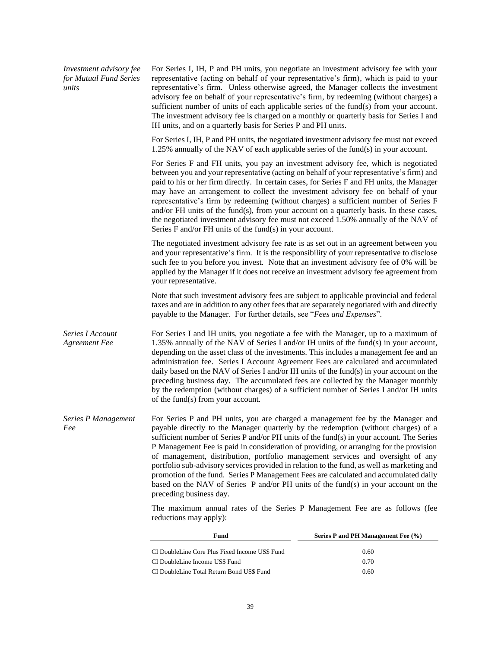| Investment advisory fee<br>for Mutual Fund Series<br>units | For Series I, IH, P and PH units, you negotiate an investment advisory fee with your<br>representative (acting on behalf of your representative's firm), which is paid to your<br>representative's firm. Unless otherwise agreed, the Manager collects the investment<br>advisory fee on behalf of your representative's firm, by redeeming (without charges) a<br>sufficient number of units of each applicable series of the fund $(s)$ from your account.<br>The investment advisory fee is charged on a monthly or quarterly basis for Series I and<br>IH units, and on a quarterly basis for Series P and PH units.                                                                                                                             |                                    |
|------------------------------------------------------------|------------------------------------------------------------------------------------------------------------------------------------------------------------------------------------------------------------------------------------------------------------------------------------------------------------------------------------------------------------------------------------------------------------------------------------------------------------------------------------------------------------------------------------------------------------------------------------------------------------------------------------------------------------------------------------------------------------------------------------------------------|------------------------------------|
|                                                            | For Series I, IH, P and PH units, the negotiated investment advisory fee must not exceed<br>1.25% annually of the NAV of each applicable series of the fund(s) in your account.                                                                                                                                                                                                                                                                                                                                                                                                                                                                                                                                                                      |                                    |
|                                                            | For Series F and FH units, you pay an investment advisory fee, which is negotiated<br>between you and your representative (acting on behalf of your representative's firm) and<br>paid to his or her firm directly. In certain cases, for Series F and FH units, the Manager<br>may have an arrangement to collect the investment advisory fee on behalf of your<br>representative's firm by redeeming (without charges) a sufficient number of Series F<br>and/or FH units of the fund(s), from your account on a quarterly basis. In these cases,<br>the negotiated investment advisory fee must not exceed 1.50% annually of the NAV of<br>Series $F$ and/or $FH$ units of the fund(s) in your account.                                           |                                    |
|                                                            | The negotiated investment advisory fee rate is as set out in an agreement between you<br>and your representative's firm. It is the responsibility of your representative to disclose<br>such fee to you before you invest. Note that an investment advisory fee of 0% will be<br>applied by the Manager if it does not receive an investment advisory fee agreement from<br>your representative.                                                                                                                                                                                                                                                                                                                                                     |                                    |
|                                                            | Note that such investment advisory fees are subject to applicable provincial and federal<br>taxes and are in addition to any other fees that are separately negotiated with and directly<br>payable to the Manager. For further details, see "Fees and Expenses".                                                                                                                                                                                                                                                                                                                                                                                                                                                                                    |                                    |
| Series I Account<br><b>Agreement Fee</b>                   | For Series I and IH units, you negotiate a fee with the Manager, up to a maximum of<br>1.35% annually of the NAV of Series I and/or IH units of the fund(s) in your account,<br>depending on the asset class of the investments. This includes a management fee and an<br>administration fee. Series I Account Agreement Fees are calculated and accumulated<br>daily based on the NAV of Series I and/or IH units of the fund(s) in your account on the<br>preceding business day. The accumulated fees are collected by the Manager monthly<br>by the redemption (without charges) of a sufficient number of Series I and/or IH units<br>of the fund(s) from your account.                                                                         |                                    |
| Series P Management<br>Fee                                 | For Series P and PH units, you are charged a management fee by the Manager and<br>payable directly to the Manager quarterly by the redemption (without charges) of a<br>sufficient number of Series P and/or PH units of the fund(s) in your account. The Series<br>P Management Fee is paid in consideration of providing, or arranging for the provision<br>of management, distribution, portfolio management services and oversight of any<br>portfolio sub-advisory services provided in relation to the fund, as well as marketing and<br>promotion of the fund. Series P Management Fees are calculated and accumulated daily<br>based on the NAV of Series P and/or PH units of the fund(s) in your account on the<br>preceding business day. |                                    |
|                                                            | The maximum annual rates of the Series P Management Fee are as follows (fee<br>reductions may apply):                                                                                                                                                                                                                                                                                                                                                                                                                                                                                                                                                                                                                                                |                                    |
|                                                            | Fund                                                                                                                                                                                                                                                                                                                                                                                                                                                                                                                                                                                                                                                                                                                                                 | Series P and PH Management Fee (%) |
|                                                            | CI DoubleLine Core Plus Fixed Income US\$ Fund                                                                                                                                                                                                                                                                                                                                                                                                                                                                                                                                                                                                                                                                                                       | 0.60                               |

CI DoubleLine Income US\$ Fund 0.70 CI DoubleLine Total Return Bond US\$ Fund 0.60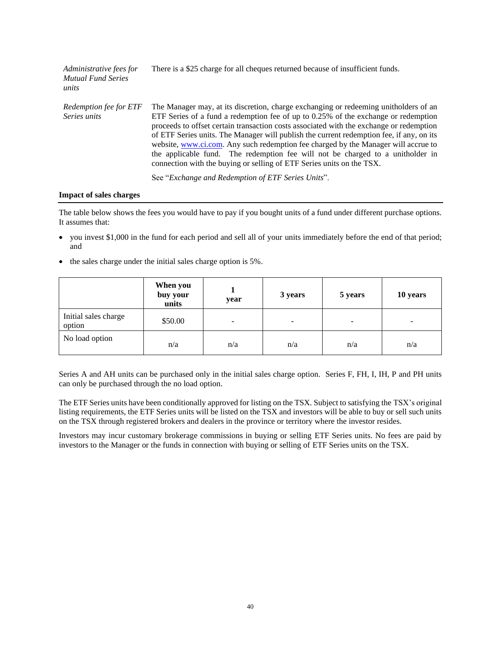| Administrative fees for<br><b>Mutual Fund Series</b><br>units | There is a \$25 charge for all cheques returned because of insufficient funds.                                                                                                                                                                                                                                                                                                                                                                                                                                                                                                                                                                                              |
|---------------------------------------------------------------|-----------------------------------------------------------------------------------------------------------------------------------------------------------------------------------------------------------------------------------------------------------------------------------------------------------------------------------------------------------------------------------------------------------------------------------------------------------------------------------------------------------------------------------------------------------------------------------------------------------------------------------------------------------------------------|
| Redemption fee for ETF<br>Series units                        | The Manager may, at its discretion, charge exchanging or redeeming unitholders of an<br>ETF Series of a fund a redemption fee of up to $0.25\%$ of the exchange or redemption<br>proceeds to offset certain transaction costs associated with the exchange or redemption<br>of ETF Series units. The Manager will publish the current redemption fee, if any, on its<br>website, www.ci.com. Any such redemption fee charged by the Manager will accrue to<br>the applicable fund. The redemption fee will not be charged to a unitholder in<br>connection with the buying or selling of ETF Series units on the TSX.<br>See "Exchange and Redemption of ETF Series Units". |

#### **Impact of sales charges**

The table below shows the fees you would have to pay if you bought units of a fund under different purchase options. It assumes that:

- you invest \$1,000 in the fund for each period and sell all of your units immediately before the end of that period; and
- the sales charge under the initial sales charge option is 5%.

|                                | When you<br>buy your<br>units | year | 3 years                  | 5 years | 10 years                 |
|--------------------------------|-------------------------------|------|--------------------------|---------|--------------------------|
| Initial sales charge<br>option | \$50.00                       | -    | $\overline{\phantom{a}}$ | -       | $\overline{\phantom{0}}$ |
| No load option                 | n/a                           | n/a  | n/a                      | n/a     | n/a                      |

Series A and AH units can be purchased only in the initial sales charge option. Series F, FH, I, IH, P and PH units can only be purchased through the no load option.

The ETF Series units have been conditionally approved for listing on the TSX. Subject to satisfying the TSX's original listing requirements, the ETF Series units will be listed on the TSX and investors will be able to buy or sell such units on the TSX through registered brokers and dealers in the province or territory where the investor resides.

Investors may incur customary brokerage commissions in buying or selling ETF Series units. No fees are paid by investors to the Manager or the funds in connection with buying or selling of ETF Series units on the TSX.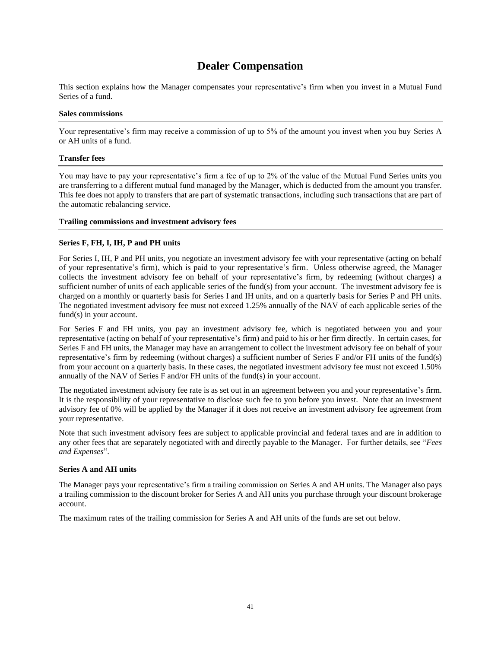## **Dealer Compensation**

<span id="page-42-0"></span>This section explains how the Manager compensates your representative's firm when you invest in a Mutual Fund Series of a fund.

#### **Sales commissions**

Your representative's firm may receive a commission of up to 5% of the amount you invest when you buy Series A or AH units of a fund.

#### **Transfer fees**

You may have to pay your representative's firm a fee of up to 2% of the value of the Mutual Fund Series units you are transferring to a different mutual fund managed by the Manager, which is deducted from the amount you transfer. This fee does not apply to transfers that are part of systematic transactions, including such transactions that are part of the automatic rebalancing service.

### **Trailing commissions and investment advisory fees**

## **Series F, FH, I, IH, P and PH units**

For Series I, IH, P and PH units, you negotiate an investment advisory fee with your representative (acting on behalf of your representative's firm), which is paid to your representative's firm. Unless otherwise agreed, the Manager collects the investment advisory fee on behalf of your representative's firm, by redeeming (without charges) a sufficient number of units of each applicable series of the fund(s) from your account. The investment advisory fee is charged on a monthly or quarterly basis for Series I and IH units, and on a quarterly basis for Series P and PH units. The negotiated investment advisory fee must not exceed 1.25% annually of the NAV of each applicable series of the fund(s) in your account.

For Series F and FH units, you pay an investment advisory fee, which is negotiated between you and your representative (acting on behalf of your representative's firm) and paid to his or her firm directly. In certain cases, for Series F and FH units, the Manager may have an arrangement to collect the investment advisory fee on behalf of your representative's firm by redeeming (without charges) a sufficient number of Series F and/or FH units of the fund(s) from your account on a quarterly basis. In these cases, the negotiated investment advisory fee must not exceed 1.50% annually of the NAV of Series F and/or FH units of the fund(s) in your account.

The negotiated investment advisory fee rate is as set out in an agreement between you and your representative's firm. It is the responsibility of your representative to disclose such fee to you before you invest. Note that an investment advisory fee of 0% will be applied by the Manager if it does not receive an investment advisory fee agreement from your representative.

Note that such investment advisory fees are subject to applicable provincial and federal taxes and are in addition to any other fees that are separately negotiated with and directly payable to the Manager. For further details, see "*Fees and Expenses*".

#### **Series A and AH units**

The Manager pays your representative's firm a trailing commission on Series A and AH units. The Manager also pays a trailing commission to the discount broker for Series A and AH units you purchase through your discount brokerage account.

The maximum rates of the trailing commission for Series A and AH units of the funds are set out below.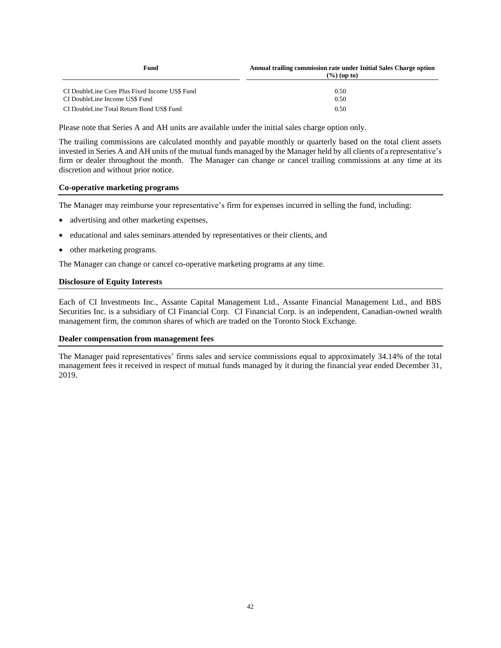| Fund                                                                             | Annual trailing commission rate under Initial Sales Charge option<br>$(\frac{9}{6})$ (up to) |  |  |
|----------------------------------------------------------------------------------|----------------------------------------------------------------------------------------------|--|--|
| CI DoubleLine Core Plus Fixed Income US\$ Fund<br>CI DoubleLine Income US\$ Fund | 0.50<br>0.50                                                                                 |  |  |
| CI DoubleLine Total Return Bond US\$ Fund                                        | 0.50                                                                                         |  |  |

Please note that Series A and AH units are available under the initial sales charge option only.

The trailing commissions are calculated monthly and payable monthly or quarterly based on the total client assets invested in Series A and AH units of the mutual funds managed by the Manager held by all clients of a representative's firm or dealer throughout the month. The Manager can change or cancel trailing commissions at any time at its discretion and without prior notice.

#### **Co-operative marketing programs**

The Manager may reimburse your representative's firm for expenses incurred in selling the fund, including:

- advertising and other marketing expenses,
- educational and sales seminars attended by representatives or their clients, and
- other marketing programs.

The Manager can change or cancel co-operative marketing programs at any time.

### **Disclosure of Equity Interests**

Each of CI Investments Inc., Assante Capital Management Ltd., Assante Financial Management Ltd., and BBS Securities Inc. is a subsidiary of CI Financial Corp. CI Financial Corp. is an independent, Canadian-owned wealth management firm, the common shares of which are traded on the Toronto Stock Exchange.

#### **Dealer compensation from management fees**

The Manager paid representatives' firms sales and service commissions equal to approximately 34.14% of the total management fees it received in respect of mutual funds managed by it during the financial year ended December 31, 2019.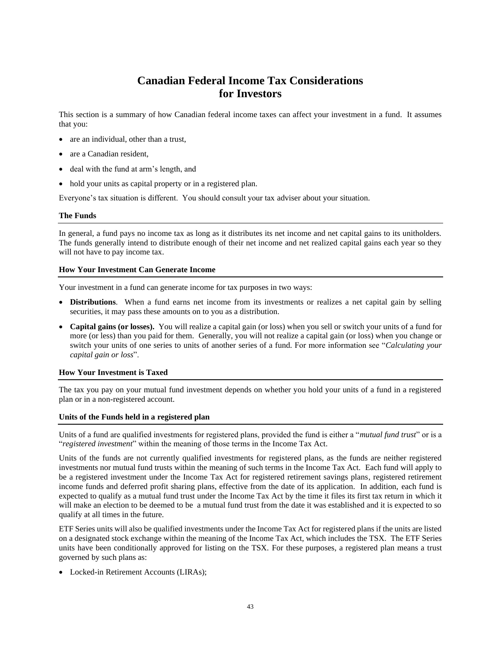# **Canadian Federal Income Tax Considerations for Investors**

<span id="page-44-0"></span>This section is a summary of how Canadian federal income taxes can affect your investment in a fund. It assumes that you:

- are an individual, other than a trust,
- are a Canadian resident.
- deal with the fund at arm's length, and
- hold your units as capital property or in a registered plan.

Everyone's tax situation is different. You should consult your tax adviser about your situation.

### **The Funds**

In general, a fund pays no income tax as long as it distributes its net income and net capital gains to its unitholders. The funds generally intend to distribute enough of their net income and net realized capital gains each year so they will not have to pay income tax.

### **How Your Investment Can Generate Income**

Your investment in a fund can generate income for tax purposes in two ways:

- **Distributions**. When a fund earns net income from its investments or realizes a net capital gain by selling securities, it may pass these amounts on to you as a distribution.
- **Capital gains (or losses).** You will realize a capital gain (or loss) when you sell or switch your units of a fund for more (or less) than you paid for them. Generally, you will not realize a capital gain (or loss) when you change or switch your units of one series to units of another series of a fund. For more information see "*Calculating your capital gain or loss*".

#### **How Your Investment is Taxed**

The tax you pay on your mutual fund investment depends on whether you hold your units of a fund in a registered plan or in a non-registered account.

#### **Units of the Funds held in a registered plan**

Units of a fund are qualified investments for registered plans, provided the fund is either a "*mutual fund trust*" or is a "*registered investment*" within the meaning of those terms in the Income Tax Act.

Units of the funds are not currently qualified investments for registered plans, as the funds are neither registered investments nor mutual fund trusts within the meaning of such terms in the Income Tax Act. Each fund will apply to be a registered investment under the Income Tax Act for registered retirement savings plans, registered retirement income funds and deferred profit sharing plans, effective from the date of its application. In addition, each fund is expected to qualify as a mutual fund trust under the Income Tax Act by the time it files its first tax return in which it will make an election to be deemed to be a mutual fund trust from the date it was established and it is expected to so qualify at all times in the future.

ETF Series units will also be qualified investments under the Income Tax Act for registered plans if the units are listed on a designated stock exchange within the meaning of the Income Tax Act, which includes the TSX. The ETF Series units have been conditionally approved for listing on the TSX. For these purposes, a registered plan means a trust governed by such plans as:

• Locked-in Retirement Accounts (LIRAs);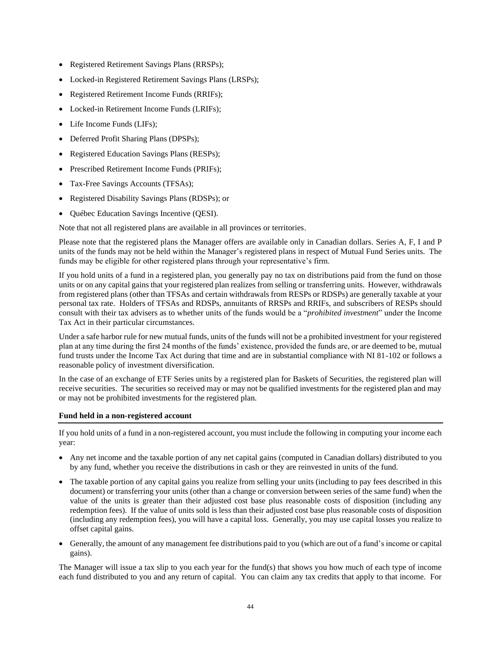- Registered Retirement Savings Plans (RRSPs);
- Locked-in Registered Retirement Savings Plans (LRSPs);
- Registered Retirement Income Funds (RRIFs);
- Locked-in Retirement Income Funds (LRIFs);
- Life Income Funds (LIFs);
- Deferred Profit Sharing Plans (DPSPs);
- Registered Education Savings Plans (RESPs);
- Prescribed Retirement Income Funds (PRIFs);
- Tax-Free Savings Accounts (TFSAs);
- Registered Disability Savings Plans (RDSPs); or
- Québec Education Savings Incentive (QESI).

Note that not all registered plans are available in all provinces or territories.

Please note that the registered plans the Manager offers are available only in Canadian dollars. Series A, F, I and P units of the funds may not be held within the Manager's registered plans in respect of Mutual Fund Series units. The funds may be eligible for other registered plans through your representative's firm.

If you hold units of a fund in a registered plan, you generally pay no tax on distributions paid from the fund on those units or on any capital gains that your registered plan realizes from selling or transferring units. However, withdrawals from registered plans (other than TFSAs and certain withdrawals from RESPs or RDSPs) are generally taxable at your personal tax rate. Holders of TFSAs and RDSPs, annuitants of RRSPs and RRIFs, and subscribers of RESPs should consult with their tax advisers as to whether units of the funds would be a "*prohibited investment*" under the Income Tax Act in their particular circumstances.

Under a safe harbor rule for new mutual funds, units of the funds will not be a prohibited investment for your registered plan at any time during the first 24 months of the funds' existence, provided the funds are, or are deemed to be, mutual fund trusts under the Income Tax Act during that time and are in substantial compliance with NI 81-102 or follows a reasonable policy of investment diversification.

In the case of an exchange of ETF Series units by a registered plan for Baskets of Securities, the registered plan will receive securities. The securities so received may or may not be qualified investments for the registered plan and may or may not be prohibited investments for the registered plan.

#### **Fund held in a non-registered account**

If you hold units of a fund in a non-registered account, you must include the following in computing your income each year:

- Any net income and the taxable portion of any net capital gains (computed in Canadian dollars) distributed to you by any fund, whether you receive the distributions in cash or they are reinvested in units of the fund.
- The taxable portion of any capital gains you realize from selling your units (including to pay fees described in this document) or transferring your units (other than a change or conversion between series of the same fund) when the value of the units is greater than their adjusted cost base plus reasonable costs of disposition (including any redemption fees). If the value of units sold is less than their adjusted cost base plus reasonable costs of disposition (including any redemption fees), you will have a capital loss. Generally, you may use capital losses you realize to offset capital gains.
- Generally, the amount of any management fee distributions paid to you (which are out of a fund's income or capital gains).

The Manager will issue a tax slip to you each year for the fund(s) that shows you how much of each type of income each fund distributed to you and any return of capital. You can claim any tax credits that apply to that income. For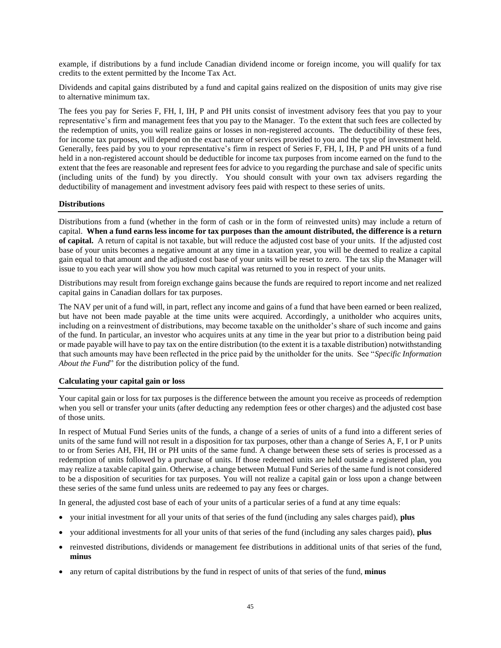example, if distributions by a fund include Canadian dividend income or foreign income, you will qualify for tax credits to the extent permitted by the Income Tax Act.

Dividends and capital gains distributed by a fund and capital gains realized on the disposition of units may give rise to alternative minimum tax.

The fees you pay for Series F, FH, I, IH, P and PH units consist of investment advisory fees that you pay to your representative's firm and management fees that you pay to the Manager. To the extent that such fees are collected by the redemption of units, you will realize gains or losses in non-registered accounts. The deductibility of these fees, for income tax purposes, will depend on the exact nature of services provided to you and the type of investment held. Generally, fees paid by you to your representative's firm in respect of Series F, FH, I, IH, P and PH units of a fund held in a non-registered account should be deductible for income tax purposes from income earned on the fund to the extent that the fees are reasonable and represent fees for advice to you regarding the purchase and sale of specific units (including units of the fund) by you directly. You should consult with your own tax advisers regarding the deductibility of management and investment advisory fees paid with respect to these series of units.

#### **Distributions**

Distributions from a fund (whether in the form of cash or in the form of reinvested units) may include a return of capital. **When a fund earns less income for tax purposes than the amount distributed, the difference is a return of capital.** A return of capital is not taxable, but will reduce the adjusted cost base of your units. If the adjusted cost base of your units becomes a negative amount at any time in a taxation year, you will be deemed to realize a capital gain equal to that amount and the adjusted cost base of your units will be reset to zero. The tax slip the Manager will issue to you each year will show you how much capital was returned to you in respect of your units.

Distributions may result from foreign exchange gains because the funds are required to report income and net realized capital gains in Canadian dollars for tax purposes.

The NAV per unit of a fund will, in part, reflect any income and gains of a fund that have been earned or been realized, but have not been made payable at the time units were acquired. Accordingly, a unitholder who acquires units, including on a reinvestment of distributions, may become taxable on the unitholder's share of such income and gains of the fund. In particular, an investor who acquires units at any time in the year but prior to a distribution being paid or made payable will have to pay tax on the entire distribution (to the extent it is a taxable distribution) notwithstanding that such amounts may have been reflected in the price paid by the unitholder for the units. See "*Specific Information About the Fund*" for the distribution policy of the fund.

#### **Calculating your capital gain or loss**

Your capital gain or loss for tax purposes is the difference between the amount you receive as proceeds of redemption when you sell or transfer your units (after deducting any redemption fees or other charges) and the adjusted cost base of those units.

In respect of Mutual Fund Series units of the funds, a change of a series of units of a fund into a different series of units of the same fund will not result in a disposition for tax purposes, other than a change of Series A, F, I or P units to or from Series AH, FH, IH or PH units of the same fund. A change between these sets of series is processed as a redemption of units followed by a purchase of units. If those redeemed units are held outside a registered plan, you may realize a taxable capital gain. Otherwise, a change between Mutual Fund Series of the same fund is not considered to be a disposition of securities for tax purposes. You will not realize a capital gain or loss upon a change between these series of the same fund unless units are redeemed to pay any fees or charges.

In general, the adjusted cost base of each of your units of a particular series of a fund at any time equals:

- your initial investment for all your units of that series of the fund (including any sales charges paid), **plus**
- your additional investments for all your units of that series of the fund (including any sales charges paid), **plus**
- reinvested distributions, dividends or management fee distributions in additional units of that series of the fund, **minus**
- any return of capital distributions by the fund in respect of units of that series of the fund, **minus**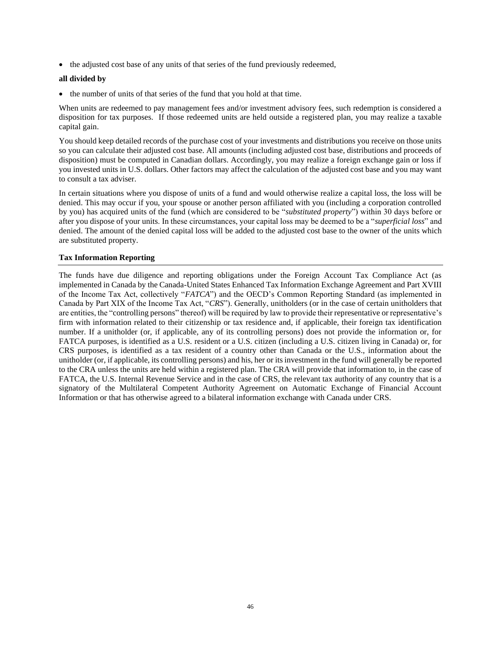• the adjusted cost base of any units of that series of the fund previously redeemed,

#### **all divided by**

• the number of units of that series of the fund that you hold at that time.

When units are redeemed to pay management fees and/or investment advisory fees, such redemption is considered a disposition for tax purposes. If those redeemed units are held outside a registered plan, you may realize a taxable capital gain.

You should keep detailed records of the purchase cost of your investments and distributions you receive on those units so you can calculate their adjusted cost base. All amounts (including adjusted cost base, distributions and proceeds of disposition) must be computed in Canadian dollars. Accordingly, you may realize a foreign exchange gain or loss if you invested units in U.S. dollars. Other factors may affect the calculation of the adjusted cost base and you may want to consult a tax adviser.

In certain situations where you dispose of units of a fund and would otherwise realize a capital loss, the loss will be denied. This may occur if you, your spouse or another person affiliated with you (including a corporation controlled by you) has acquired units of the fund (which are considered to be "*substituted property*") within 30 days before or after you dispose of your units. In these circumstances, your capital loss may be deemed to be a "*superficial loss*" and denied. The amount of the denied capital loss will be added to the adjusted cost base to the owner of the units which are substituted property.

## **Tax Information Reporting**

The funds have due diligence and reporting obligations under the Foreign Account Tax Compliance Act (as implemented in Canada by the Canada-United States Enhanced Tax Information Exchange Agreement and Part XVIII of the Income Tax Act, collectively "*FATCA*") and the OECD's Common Reporting Standard (as implemented in Canada by Part XIX of the Income Tax Act, "*CRS*"). Generally, unitholders (or in the case of certain unitholders that are entities, the "controlling persons" thereof) will be required by law to provide their representative or representative's firm with information related to their citizenship or tax residence and, if applicable, their foreign tax identification number. If a unitholder (or, if applicable, any of its controlling persons) does not provide the information or, for FATCA purposes, is identified as a U.S. resident or a U.S. citizen (including a U.S. citizen living in Canada) or, for CRS purposes, is identified as a tax resident of a country other than Canada or the U.S., information about the unitholder (or, if applicable, its controlling persons) and his, her or its investment in the fund will generally be reported to the CRA unless the units are held within a registered plan. The CRA will provide that information to, in the case of FATCA, the U.S. Internal Revenue Service and in the case of CRS, the relevant tax authority of any country that is a signatory of the Multilateral Competent Authority Agreement on Automatic Exchange of Financial Account Information or that has otherwise agreed to a bilateral information exchange with Canada under CRS.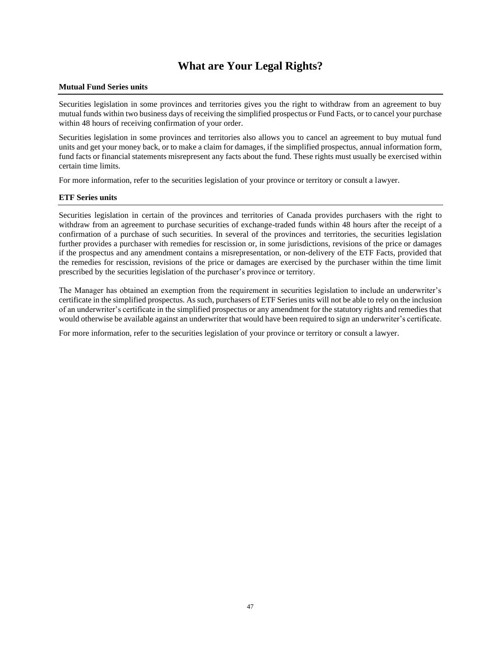# **What are Your Legal Rights?**

#### <span id="page-48-0"></span>**Mutual Fund Series units**

Securities legislation in some provinces and territories gives you the right to withdraw from an agreement to buy mutual funds within two business days of receiving the simplified prospectus or Fund Facts, or to cancel your purchase within 48 hours of receiving confirmation of your order.

Securities legislation in some provinces and territories also allows you to cancel an agreement to buy mutual fund units and get your money back, or to make a claim for damages, if the simplified prospectus, annual information form, fund facts or financial statements misrepresent any facts about the fund. These rights must usually be exercised within certain time limits.

For more information, refer to the securities legislation of your province or territory or consult a lawyer.

#### **ETF Series units**

Securities legislation in certain of the provinces and territories of Canada provides purchasers with the right to withdraw from an agreement to purchase securities of exchange-traded funds within 48 hours after the receipt of a confirmation of a purchase of such securities. In several of the provinces and territories, the securities legislation further provides a purchaser with remedies for rescission or, in some jurisdictions, revisions of the price or damages if the prospectus and any amendment contains a misrepresentation, or non-delivery of the ETF Facts, provided that the remedies for rescission, revisions of the price or damages are exercised by the purchaser within the time limit prescribed by the securities legislation of the purchaser's province or territory.

The Manager has obtained an exemption from the requirement in securities legislation to include an underwriter's certificate in the simplified prospectus. As such, purchasers of ETF Series units will not be able to rely on the inclusion of an underwriter's certificate in the simplified prospectus or any amendment for the statutory rights and remedies that would otherwise be available against an underwriter that would have been required to sign an underwriter's certificate.

For more information, refer to the securities legislation of your province or territory or consult a lawyer.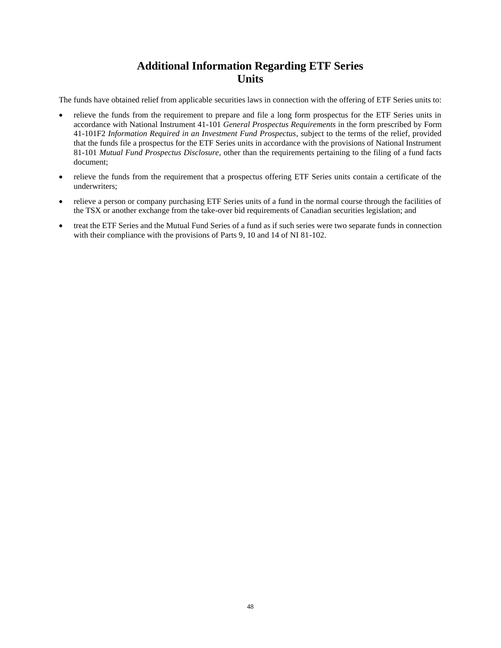# **Additional Information Regarding ETF Series Units**

<span id="page-49-0"></span>The funds have obtained relief from applicable securities laws in connection with the offering of ETF Series units to:

- relieve the funds from the requirement to prepare and file a long form prospectus for the ETF Series units in accordance with National Instrument 41-101 *General Prospectus Requirements* in the form prescribed by Form 41-101F2 *Information Required in an Investment Fund Prospectus*, subject to the terms of the relief, provided that the funds file a prospectus for the ETF Series units in accordance with the provisions of National Instrument 81-101 *Mutual Fund Prospectus Disclosure*, other than the requirements pertaining to the filing of a fund facts document;
- relieve the funds from the requirement that a prospectus offering ETF Series units contain a certificate of the underwriters;
- relieve a person or company purchasing ETF Series units of a fund in the normal course through the facilities of the TSX or another exchange from the take-over bid requirements of Canadian securities legislation; and
- treat the ETF Series and the Mutual Fund Series of a fund as if such series were two separate funds in connection with their compliance with the provisions of Parts 9, 10 and 14 of NI 81-102.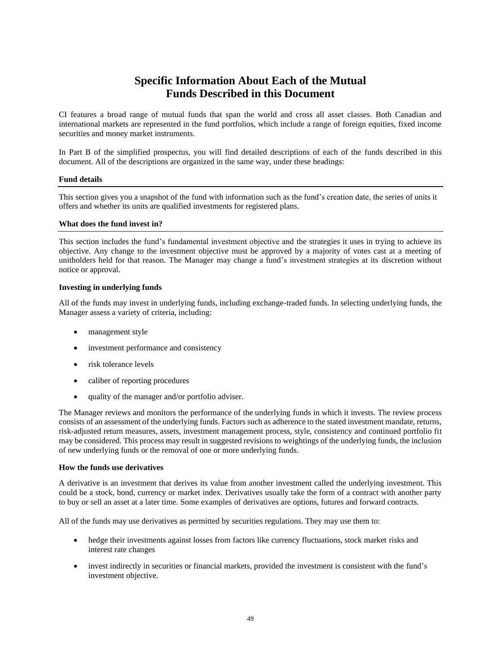# **Specific Information About Each of the Mutual Funds Described in this Document**

<span id="page-50-0"></span>CI features a broad range of mutual funds that span the world and cross all asset classes. Both Canadian and international markets are represented in the fund portfolios, which include a range of foreign equities, fixed income securities and money market instruments.

In Part B of the simplified prospectus, you will find detailed descriptions of each of the funds described in this document. All of the descriptions are organized in the same way, under these headings:

#### **Fund details**

This section gives you a snapshot of the fund with information such as the fund's creation date, the series of units it offers and whether its units are qualified investments for registered plans.

### **What does the fund invest in?**

This section includes the fund's fundamental investment objective and the strategies it uses in trying to achieve its objective. Any change to the investment objective must be approved by a majority of votes cast at a meeting of unitholders held for that reason. The Manager may change a fund's investment strategies at its discretion without notice or approval.

### **Investing in underlying funds**

All of the funds may invest in underlying funds, including exchange-traded funds. In selecting underlying funds, the Manager assess a variety of criteria, including:

- management style
- investment performance and consistency
- risk tolerance levels
- caliber of reporting procedures
- quality of the manager and/or portfolio adviser.

The Manager reviews and monitors the performance of the underlying funds in which it invests. The review process consists of an assessment of the underlying funds. Factors such as adherence to the stated investment mandate, returns, risk-adjusted return measures, assets, investment management process, style, consistency and continued portfolio fit may be considered. This process may result in suggested revisions to weightings of the underlying funds, the inclusion of new underlying funds or the removal of one or more underlying funds.

#### **How the funds use derivatives**

A derivative is an investment that derives its value from another investment called the underlying investment. This could be a stock, bond, currency or market index. Derivatives usually take the form of a contract with another party to buy or sell an asset at a later time. Some examples of derivatives are options, futures and forward contracts.

All of the funds may use derivatives as permitted by securities regulations. They may use them to:

- hedge their investments against losses from factors like currency fluctuations, stock market risks and interest rate changes
- invest indirectly in securities or financial markets, provided the investment is consistent with the fund's investment objective.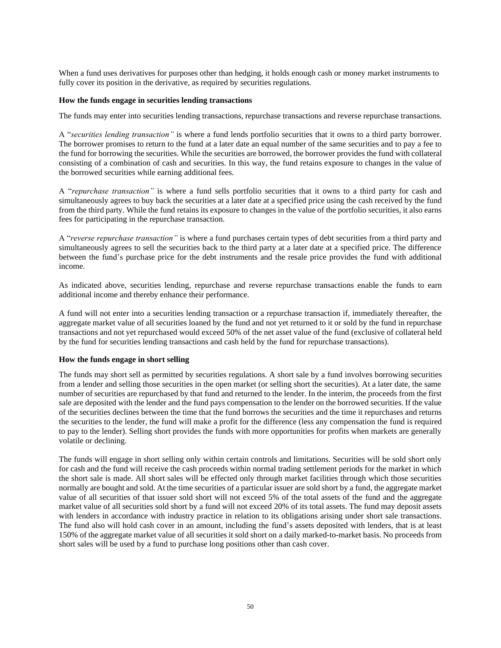When a fund uses derivatives for purposes other than hedging, it holds enough cash or money market instruments to fully cover its position in the derivative, as required by securities regulations.

#### **How the funds engage in securities lending transactions**

The funds may enter into securities lending transactions, repurchase transactions and reverse repurchase transactions.

A "*securities lending transaction"* is where a fund lends portfolio securities that it owns to a third party borrower. The borrower promises to return to the fund at a later date an equal number of the same securities and to pay a fee to the fund for borrowing the securities. While the securities are borrowed, the borrower provides the fund with collateral consisting of a combination of cash and securities. In this way, the fund retains exposure to changes in the value of the borrowed securities while earning additional fees.

A "*repurchase transaction"* is where a fund sells portfolio securities that it owns to a third party for cash and simultaneously agrees to buy back the securities at a later date at a specified price using the cash received by the fund from the third party. While the fund retains its exposure to changes in the value of the portfolio securities, it also earns fees for participating in the repurchase transaction.

A "*reverse repurchase transaction"* is where a fund purchases certain types of debt securities from a third party and simultaneously agrees to sell the securities back to the third party at a later date at a specified price. The difference between the fund's purchase price for the debt instruments and the resale price provides the fund with additional income.

As indicated above, securities lending, repurchase and reverse repurchase transactions enable the funds to earn additional income and thereby enhance their performance.

A fund will not enter into a securities lending transaction or a repurchase transaction if, immediately thereafter, the aggregate market value of all securities loaned by the fund and not yet returned to it or sold by the fund in repurchase transactions and not yet repurchased would exceed 50% of the net asset value of the fund (exclusive of collateral held by the fund for securities lending transactions and cash held by the fund for repurchase transactions).

#### **How the funds engage in short selling**

The funds may short sell as permitted by securities regulations. A short sale by a fund involves borrowing securities from a lender and selling those securities in the open market (or selling short the securities). At a later date, the same number of securities are repurchased by that fund and returned to the lender. In the interim, the proceeds from the first sale are deposited with the lender and the fund pays compensation to the lender on the borrowed securities. If the value of the securities declines between the time that the fund borrows the securities and the time it repurchases and returns the securities to the lender, the fund will make a profit for the difference (less any compensation the fund is required to pay to the lender). Selling short provides the funds with more opportunities for profits when markets are generally volatile or declining.

The funds will engage in short selling only within certain controls and limitations. Securities will be sold short only for cash and the fund will receive the cash proceeds within normal trading settlement periods for the market in which the short sale is made. All short sales will be effected only through market facilities through which those securities normally are bought and sold. At the time securities of a particular issuer are sold short by a fund, the aggregate market value of all securities of that issuer sold short will not exceed 5% of the total assets of the fund and the aggregate market value of all securities sold short by a fund will not exceed 20% of its total assets. The fund may deposit assets with lenders in accordance with industry practice in relation to its obligations arising under short sale transactions. The fund also will hold cash cover in an amount, including the fund's assets deposited with lenders, that is at least 150% of the aggregate market value of all securities it sold short on a daily marked-to-market basis. No proceeds from short sales will be used by a fund to purchase long positions other than cash cover.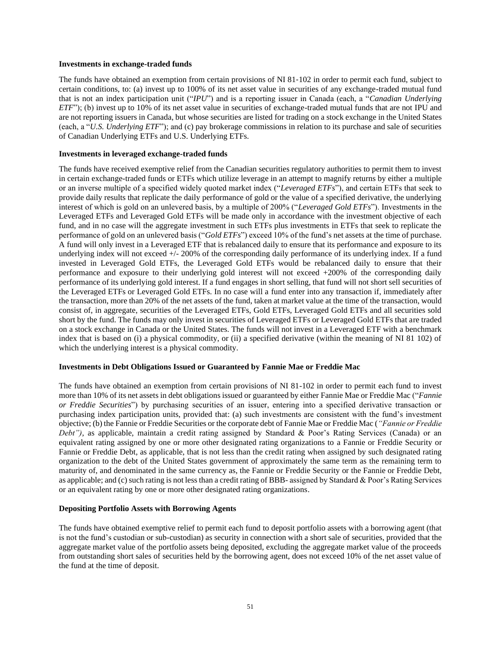#### **Investments in exchange-traded funds**

The funds have obtained an exemption from certain provisions of NI 81-102 in order to permit each fund, subject to certain conditions, to: (a) invest up to 100% of its net asset value in securities of any exchange-traded mutual fund that is not an index participation unit ("*IPU*") and is a reporting issuer in Canada (each, a "*Canadian Underlying ETF*"); (b) invest up to 10% of its net asset value in securities of exchange-traded mutual funds that are not IPU and are not reporting issuers in Canada, but whose securities are listed for trading on a stock exchange in the United States (each, a "*U.S. Underlying ETF*"); and (c) pay brokerage commissions in relation to its purchase and sale of securities of Canadian Underlying ETFs and U.S. Underlying ETFs.

#### **Investments in leveraged exchange-traded funds**

The funds have received exemptive relief from the Canadian securities regulatory authorities to permit them to invest in certain exchange-traded funds or ETFs which utilize leverage in an attempt to magnify returns by either a multiple or an inverse multiple of a specified widely quoted market index ("*Leveraged ETFs*"), and certain ETFs that seek to provide daily results that replicate the daily performance of gold or the value of a specified derivative, the underlying interest of which is gold on an unlevered basis, by a multiple of 200% ("*Leveraged Gold ETFs*"). Investments in the Leveraged ETFs and Leveraged Gold ETFs will be made only in accordance with the investment objective of each fund, and in no case will the aggregate investment in such ETFs plus investments in ETFs that seek to replicate the performance of gold on an unlevered basis ("*Gold ETFs*") exceed 10% of the fund's net assets at the time of purchase. A fund will only invest in a Leveraged ETF that is rebalanced daily to ensure that its performance and exposure to its underlying index will not exceed  $+\sqrt{200\%}$  of the corresponding daily performance of its underlying index. If a fund invested in Leveraged Gold ETFs, the Leveraged Gold ETFs would be rebalanced daily to ensure that their performance and exposure to their underlying gold interest will not exceed +200% of the corresponding daily performance of its underlying gold interest. If a fund engages in short selling, that fund will not short sell securities of the Leveraged ETFs or Leveraged Gold ETFs. In no case will a fund enter into any transaction if, immediately after the transaction, more than 20% of the net assets of the fund, taken at market value at the time of the transaction, would consist of, in aggregate, securities of the Leveraged ETFs, Gold ETFs, Leveraged Gold ETFs and all securities sold short by the fund. The funds may only invest in securities of Leveraged ETFs or Leveraged Gold ETFs that are traded on a stock exchange in Canada or the United States. The funds will not invest in a Leveraged ETF with a benchmark index that is based on (i) a physical commodity, or (ii) a specified derivative (within the meaning of NI 81 102) of which the underlying interest is a physical commodity.

## **Investments in Debt Obligations Issued or Guaranteed by Fannie Mae or Freddie Mac**

The funds have obtained an exemption from certain provisions of NI 81-102 in order to permit each fund to invest more than 10% of its net assets in debt obligations issued or guaranteed by either Fannie Mae or Freddie Mac ("*Fannie or Freddie Securities*") by purchasing securities of an issuer, entering into a specified derivative transaction or purchasing index participation units, provided that: (a) such investments are consistent with the fund's investment objective; (b) the Fannie or Freddie Securities or the corporate debt of Fannie Mae or Freddie Mac (*"Fannie or Freddie Debt"),* as applicable, maintain a credit rating assigned by Standard & Poor's Rating Services (Canada) or an equivalent rating assigned by one or more other designated rating organizations to a Fannie or Freddie Security or Fannie or Freddie Debt, as applicable, that is not less than the credit rating when assigned by such designated rating organization to the debt of the United States government of approximately the same term as the remaining term to maturity of, and denominated in the same currency as, the Fannie or Freddie Security or the Fannie or Freddie Debt, as applicable; and (c) such rating is not less than a credit rating of BBB- assigned by Standard & Poor's Rating Services or an equivalent rating by one or more other designated rating organizations.

#### **Depositing Portfolio Assets with Borrowing Agents**

The funds have obtained exemptive relief to permit each fund to deposit portfolio assets with a borrowing agent (that is not the fund's custodian or sub-custodian) as security in connection with a short sale of securities, provided that the aggregate market value of the portfolio assets being deposited, excluding the aggregate market value of the proceeds from outstanding short sales of securities held by the borrowing agent, does not exceed 10% of the net asset value of the fund at the time of deposit.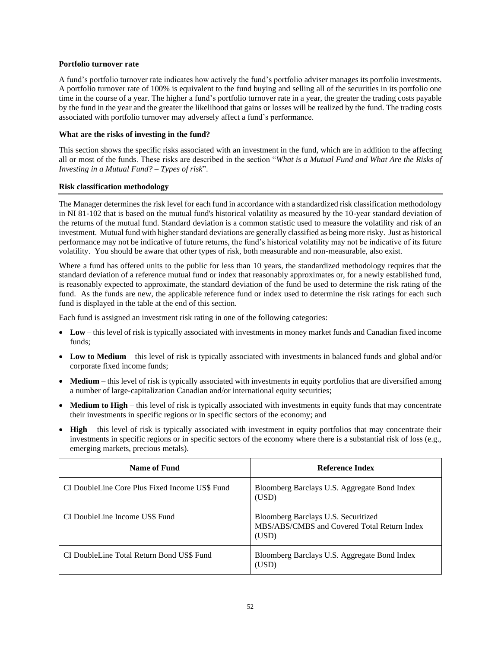#### **Portfolio turnover rate**

A fund's portfolio turnover rate indicates how actively the fund's portfolio adviser manages its portfolio investments. A portfolio turnover rate of 100% is equivalent to the fund buying and selling all of the securities in its portfolio one time in the course of a year. The higher a fund's portfolio turnover rate in a year, the greater the trading costs payable by the fund in the year and the greater the likelihood that gains or losses will be realized by the fund. The trading costs associated with portfolio turnover may adversely affect a fund's performance.

## **What are the risks of investing in the fund?**

This section shows the specific risks associated with an investment in the fund, which are in addition to the affecting all or most of the funds. These risks are described in the section "*What is a Mutual Fund and What Are the Risks of Investing in a Mutual Fund? – Types of risk*".

## **Risk classification methodology**

The Manager determines the risk level for each fund in accordance with a standardized risk classification methodology in NI 81-102 that is based on the mutual fund's historical volatility as measured by the 10-year standard deviation of the returns of the mutual fund. Standard deviation is a common statistic used to measure the volatility and risk of an investment. Mutual fund with higher standard deviations are generally classified as being more risky. Just as historical performance may not be indicative of future returns, the fund's historical volatility may not be indicative of its future volatility. You should be aware that other types of risk, both measurable and non-measurable, also exist.

Where a fund has offered units to the public for less than 10 years, the standardized methodology requires that the standard deviation of a reference mutual fund or index that reasonably approximates or, for a newly established fund, is reasonably expected to approximate, the standard deviation of the fund be used to determine the risk rating of the fund. As the funds are new, the applicable reference fund or index used to determine the risk ratings for each such fund is displayed in the table at the end of this section.

Each fund is assigned an investment risk rating in one of the following categories:

- **Low** this level of risk is typically associated with investments in money market funds and Canadian fixed income funds;
- **Low to Medium** this level of risk is typically associated with investments in balanced funds and global and/or corporate fixed income funds;
- **Medium** this level of risk is typically associated with investments in equity portfolios that are diversified among a number of large-capitalization Canadian and/or international equity securities;
- **Medium to High** this level of risk is typically associated with investments in equity funds that may concentrate their investments in specific regions or in specific sectors of the economy; and
- **High** this level of risk is typically associated with investment in equity portfolios that may concentrate their investments in specific regions or in specific sectors of the economy where there is a substantial risk of loss (e.g., emerging markets, precious metals).

| Name of Fund                                   | Reference Index                                                                             |
|------------------------------------------------|---------------------------------------------------------------------------------------------|
| CI DoubleLine Core Plus Fixed Income US\$ Fund | Bloomberg Barclays U.S. Aggregate Bond Index<br>(USD)                                       |
| CI DoubleLine Income US\$ Fund                 | Bloomberg Barclays U.S. Securitized<br>MBS/ABS/CMBS and Covered Total Return Index<br>(USD) |
| CI DoubleLine Total Return Bond US\$ Fund      | Bloomberg Barclays U.S. Aggregate Bond Index<br>(USD)                                       |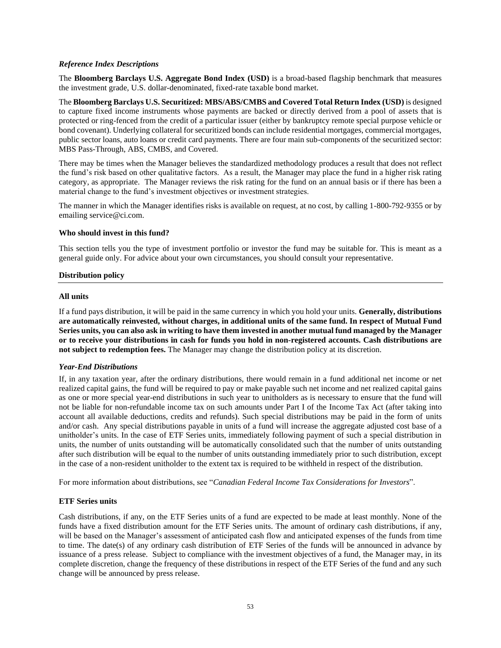### *Reference Index Descriptions*

The **Bloomberg Barclays U.S. Aggregate Bond Index (USD)** is a broad-based flagship benchmark that measures the investment grade, U.S. dollar-denominated, fixed-rate taxable bond market.

The **Bloomberg Barclays U.S. Securitized: MBS/ABS/CMBS and Covered Total Return Index (USD)** is designed to capture fixed income instruments whose payments are backed or directly derived from a pool of assets that is protected or ring-fenced from the credit of a particular issuer (either by bankruptcy remote special purpose vehicle or bond covenant). Underlying collateral for securitized bonds can include residential mortgages, commercial mortgages, public sector loans, auto loans or credit card payments. There are four main sub-components of the securitized sector: MBS Pass-Through, ABS, CMBS, and Covered.

There may be times when the Manager believes the standardized methodology produces a result that does not reflect the fund's risk based on other qualitative factors. As a result, the Manager may place the fund in a higher risk rating category, as appropriate. The Manager reviews the risk rating for the fund on an annual basis or if there has been a material change to the fund's investment objectives or investment strategies.

The manner in which the Manager identifies risks is available on request, at no cost, by calling 1-800-792-9355 or by emailing service@ci.com.

#### **Who should invest in this fund?**

This section tells you the type of investment portfolio or investor the fund may be suitable for. This is meant as a general guide only. For advice about your own circumstances, you should consult your representative.

### **Distribution policy**

#### **All units**

If a fund pays distribution, it will be paid in the same currency in which you hold your units. **Generally, distributions are automatically reinvested, without charges, in additional units of the same fund. In respect of Mutual Fund Series units, you can also ask in writing to have them invested in another mutual fund managed by the Manager or to receive your distributions in cash for funds you hold in non-registered accounts. Cash distributions are not subject to redemption fees.** The Manager may change the distribution policy at its discretion.

## *Year-End Distributions*

If, in any taxation year, after the ordinary distributions, there would remain in a fund additional net income or net realized capital gains, the fund will be required to pay or make payable such net income and net realized capital gains as one or more special year-end distributions in such year to unitholders as is necessary to ensure that the fund will not be liable for non-refundable income tax on such amounts under Part I of the Income Tax Act (after taking into account all available deductions, credits and refunds). Such special distributions may be paid in the form of units and/or cash. Any special distributions payable in units of a fund will increase the aggregate adjusted cost base of a unitholder's units. In the case of ETF Series units, immediately following payment of such a special distribution in units, the number of units outstanding will be automatically consolidated such that the number of units outstanding after such distribution will be equal to the number of units outstanding immediately prior to such distribution, except in the case of a non-resident unitholder to the extent tax is required to be withheld in respect of the distribution.

For more information about distributions, see "*Canadian Federal Income Tax Considerations for Investors*".

#### **ETF Series units**

Cash distributions, if any, on the ETF Series units of a fund are expected to be made at least monthly. None of the funds have a fixed distribution amount for the ETF Series units. The amount of ordinary cash distributions, if any, will be based on the Manager's assessment of anticipated cash flow and anticipated expenses of the funds from time to time. The date(s) of any ordinary cash distribution of ETF Series of the funds will be announced in advance by issuance of a press release. Subject to compliance with the investment objectives of a fund, the Manager may, in its complete discretion, change the frequency of these distributions in respect of the ETF Series of the fund and any such change will be announced by press release.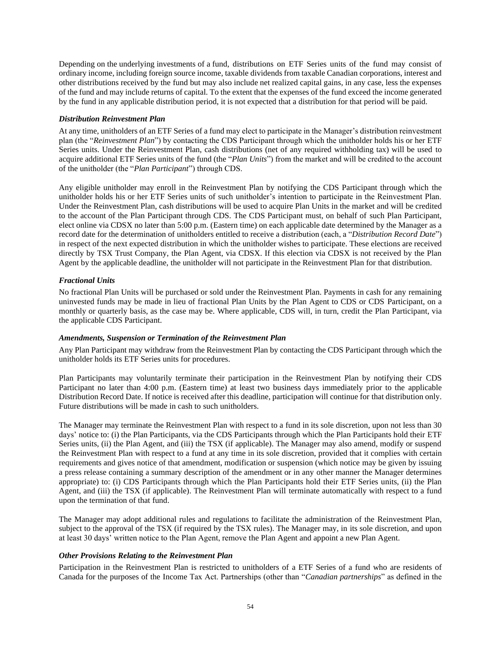Depending on the underlying investments of a fund, distributions on ETF Series units of the fund may consist of ordinary income, including foreign source income, taxable dividends from taxable Canadian corporations, interest and other distributions received by the fund but may also include net realized capital gains, in any case, less the expenses of the fund and may include returns of capital. To the extent that the expenses of the fund exceed the income generated by the fund in any applicable distribution period, it is not expected that a distribution for that period will be paid.

## *Distribution Reinvestment Plan*

At any time, unitholders of an ETF Series of a fund may elect to participate in the Manager's distribution reinvestment plan (the "*Reinvestment Plan*") by contacting the CDS Participant through which the unitholder holds his or her ETF Series units. Under the Reinvestment Plan, cash distributions (net of any required withholding tax) will be used to acquire additional ETF Series units of the fund (the "*Plan Units*") from the market and will be credited to the account of the unitholder (the "*Plan Participant*") through CDS.

Any eligible unitholder may enroll in the Reinvestment Plan by notifying the CDS Participant through which the unitholder holds his or her ETF Series units of such unitholder's intention to participate in the Reinvestment Plan. Under the Reinvestment Plan, cash distributions will be used to acquire Plan Units in the market and will be credited to the account of the Plan Participant through CDS. The CDS Participant must, on behalf of such Plan Participant, elect online via CDSX no later than 5:00 p.m. (Eastern time) on each applicable date determined by the Manager as a record date for the determination of unitholders entitled to receive a distribution (each, a "*Distribution Record Date*") in respect of the next expected distribution in which the unitholder wishes to participate. These elections are received directly by TSX Trust Company, the Plan Agent, via CDSX. If this election via CDSX is not received by the Plan Agent by the applicable deadline, the unitholder will not participate in the Reinvestment Plan for that distribution.

## *Fractional Units*

No fractional Plan Units will be purchased or sold under the Reinvestment Plan. Payments in cash for any remaining uninvested funds may be made in lieu of fractional Plan Units by the Plan Agent to CDS or CDS Participant, on a monthly or quarterly basis, as the case may be. Where applicable, CDS will, in turn, credit the Plan Participant, via the applicable CDS Participant.

#### *Amendments, Suspension or Termination of the Reinvestment Plan*

Any Plan Participant may withdraw from the Reinvestment Plan by contacting the CDS Participant through which the unitholder holds its ETF Series units for procedures.

Plan Participants may voluntarily terminate their participation in the Reinvestment Plan by notifying their CDS Participant no later than 4:00 p.m. (Eastern time) at least two business days immediately prior to the applicable Distribution Record Date. If notice is received after this deadline, participation will continue for that distribution only. Future distributions will be made in cash to such unitholders.

The Manager may terminate the Reinvestment Plan with respect to a fund in its sole discretion, upon not less than 30 days' notice to: (i) the Plan Participants, via the CDS Participants through which the Plan Participants hold their ETF Series units, (ii) the Plan Agent, and (iii) the TSX (if applicable). The Manager may also amend, modify or suspend the Reinvestment Plan with respect to a fund at any time in its sole discretion, provided that it complies with certain requirements and gives notice of that amendment, modification or suspension (which notice may be given by issuing a press release containing a summary description of the amendment or in any other manner the Manager determines appropriate) to: (i) CDS Participants through which the Plan Participants hold their ETF Series units, (ii) the Plan Agent, and (iii) the TSX (if applicable). The Reinvestment Plan will terminate automatically with respect to a fund upon the termination of that fund.

The Manager may adopt additional rules and regulations to facilitate the administration of the Reinvestment Plan, subject to the approval of the TSX (if required by the TSX rules). The Manager may, in its sole discretion, and upon at least 30 days' written notice to the Plan Agent, remove the Plan Agent and appoint a new Plan Agent.

## *Other Provisions Relating to the Reinvestment Plan*

Participation in the Reinvestment Plan is restricted to unitholders of a ETF Series of a fund who are residents of Canada for the purposes of the Income Tax Act. Partnerships (other than "*Canadian partnerships*" as defined in the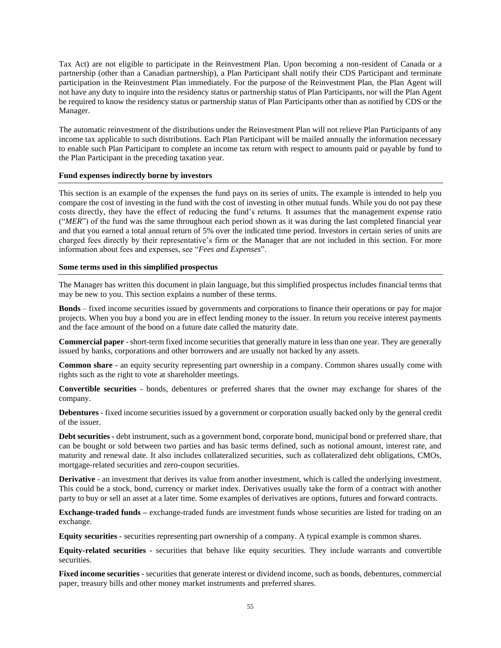Tax Act) are not eligible to participate in the Reinvestment Plan. Upon becoming a non-resident of Canada or a partnership (other than a Canadian partnership), a Plan Participant shall notify their CDS Participant and terminate participation in the Reinvestment Plan immediately. For the purpose of the Reinvestment Plan, the Plan Agent will not have any duty to inquire into the residency status or partnership status of Plan Participants, nor will the Plan Agent be required to know the residency status or partnership status of Plan Participants other than as notified by CDS or the Manager.

The automatic reinvestment of the distributions under the Reinvestment Plan will not relieve Plan Participants of any income tax applicable to such distributions. Each Plan Participant will be mailed annually the information necessary to enable such Plan Participant to complete an income tax return with respect to amounts paid or payable by fund to the Plan Participant in the preceding taxation year.

## **Fund expenses indirectly borne by investors**

This section is an example of the expenses the fund pays on its series of units. The example is intended to help you compare the cost of investing in the fund with the cost of investing in other mutual funds. While you do not pay these costs directly, they have the effect of reducing the fund's returns. It assumes that the management expense ratio ("*MER*") of the fund was the same throughout each period shown as it was during the last completed financial year and that you earned a total annual return of 5% over the indicated time period. Investors in certain series of units are charged fees directly by their representative's firm or the Manager that are not included in this section. For more information about fees and expenses, see "*Fees and Expenses*".

### **Some terms used in this simplified prospectus**

The Manager has written this document in plain language, but this simplified prospectus includes financial terms that may be new to you. This section explains a number of these terms.

**Bonds** – fixed income securities issued by governments and corporations to finance their operations or pay for major projects. When you buy a bond you are in effect lending money to the issuer. In return you receive interest payments and the face amount of the bond on a future date called the maturity date.

**Commercial paper** - short-term fixed income securities that generally mature in less than one year. They are generally issued by banks, corporations and other borrowers and are usually not backed by any assets.

**Common share** - an equity security representing part ownership in a company. Common shares usually come with rights such as the right to vote at shareholder meetings.

**Convertible securities** - bonds, debentures or preferred shares that the owner may exchange for shares of the company.

**Debentures** - fixed income securities issued by a government or corporation usually backed only by the general credit of the issuer.

**Debt securities -** debt instrument, such as a government bond, corporate bond, municipal bond or preferred share, that can be bought or sold between two parties and has basic terms defined, such as notional amount, interest rate, and maturity and renewal date. It also includes collateralized securities, such as collateralized debt obligations, CMOs, mortgage-related securities and zero-coupon securities.

**Derivative** - an investment that derives its value from another investment, which is called the underlying investment. This could be a stock, bond, currency or market index. Derivatives usually take the form of a contract with another party to buy or sell an asset at a later time. Some examples of derivatives are options, futures and forward contracts.

**Exchange-traded funds –** exchange-traded funds are investment funds whose securities are listed for trading on an exchange.

**Equity securities** - securities representing part ownership of a company. A typical example is common shares.

**Equity-related securities** - securities that behave like equity securities. They include warrants and convertible securities.

**Fixed income securities** - securities that generate interest or dividend income, such as bonds, debentures, commercial paper, treasury bills and other money market instruments and preferred shares.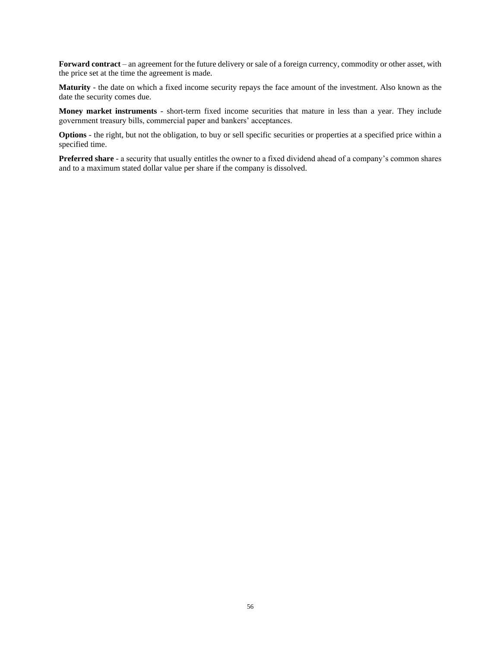**Forward contract** – an agreement for the future delivery or sale of a foreign currency, commodity or other asset, with the price set at the time the agreement is made.

**Maturity** - the date on which a fixed income security repays the face amount of the investment. Also known as the date the security comes due.

**Money market instruments** - short-term fixed income securities that mature in less than a year. They include government treasury bills, commercial paper and bankers' acceptances.

**Options** - the right, but not the obligation, to buy or sell specific securities or properties at a specified price within a specified time.

**Preferred share** - a security that usually entitles the owner to a fixed dividend ahead of a company's common shares and to a maximum stated dollar value per share if the company is dissolved.